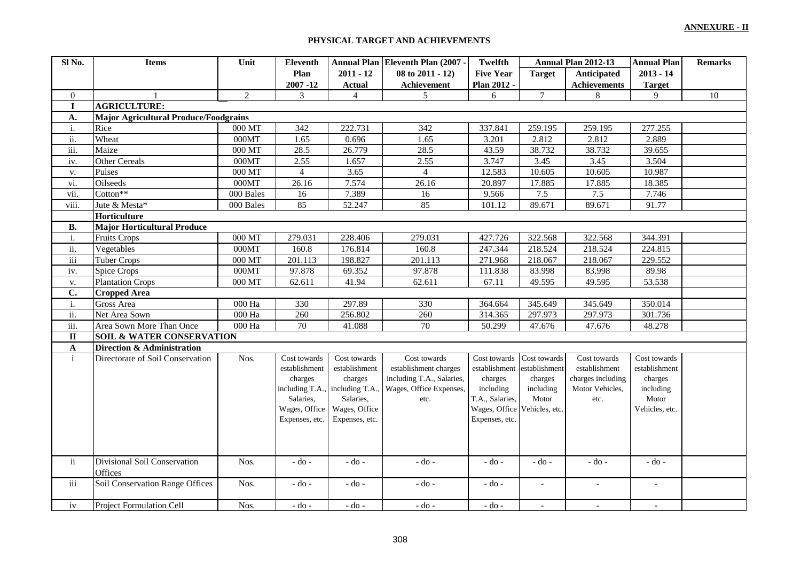#### **PHYSICAL TARGET AND ACHIEVEMENTS**

| Sl No.         | <b>Items</b>                                 | Unit                   | Eleventh       |                                 | Annual Plan Eleventh Plan (2007 - | <b>Twelfth</b>   | Annual Plan 2012-13 |                          | <b>Annual Plan</b>       | <b>Remarks</b> |
|----------------|----------------------------------------------|------------------------|----------------|---------------------------------|-----------------------------------|------------------|---------------------|--------------------------|--------------------------|----------------|
|                |                                              |                        | Plan           | $2011 - 12$                     | 08 to 2011 - 12)                  | <b>Five Year</b> | <b>Target</b>       | Anticipated              | $2013 - 14$              |                |
|                |                                              |                        | $2007 - 12$    | <b>Actual</b>                   | Achievement                       | Plan 2012 -      |                     | <b>Achievements</b>      | <b>Target</b>            |                |
| $\overline{0}$ |                                              | $\overline{2}$         | 3              | $\overline{4}$                  | 5 <sup>5</sup>                    | 6                | $7\overline{ }$     | 8                        | 9                        | $10\,$         |
| $\bf{I}$       | <b>AGRICULTURE:</b>                          |                        |                |                                 |                                   |                  |                     |                          |                          |                |
| A.             | <b>Major Agricultural Produce/Foodgrains</b> |                        |                |                                 |                                   |                  |                     |                          |                          |                |
| i.             | Rice                                         | 000 MT                 | 342            | 222.731                         | 342                               | 337.841          | 259.195             | 259.195                  | 277.255                  |                |
| ii.            | Wheat                                        | 000MT                  | 1.65           | 0.696                           | 1.65                              | 3.201            | 2.812               | 2.812                    | 2.889                    |                |
| iii.           | Maize                                        | 000 MT                 | 28.5           | 26.779                          | 28.5                              | 43.59            | 38.732              | 38.732                   | 39.655                   |                |
| iv.            | Other Cereals                                | 000MT                  | 2.55           | 1.657                           | 2.55                              | 3.747            | 3.45                | 3.45                     | 3.504                    |                |
| v.             | Pulses                                       | $000$ MT $\,$          | $\overline{4}$ | 3.65                            | $\overline{4}$                    | 12.583           | 10.605              | 10.605                   | 10.987                   |                |
| vi.            | Oilseeds                                     | 000MT                  | 26.16          | 7.574                           | 26.16                             | 20.897           | 17.885              | 17.885                   | 18.385                   |                |
| vii.           | $\cot \overline{on^{**}}$                    | $\overline{000}$ Bales | 16             | 7.389                           | 16                                | 9.566            | 7.5                 | 7.5                      | 7.746                    |                |
| viii.          | Jute & Mesta*                                | 000 Bales              | 85             | 52.247                          | 85                                | 101.12           | 89.671              | 89.671                   | 91.77                    |                |
|                | Horticulture                                 |                        |                |                                 |                                   |                  |                     |                          |                          |                |
| В.             | <b>Major Horticultural Produce</b>           |                        |                |                                 |                                   |                  |                     |                          |                          |                |
| i.             | <b>Fruits Crops</b>                          | $000$ MT $\,$          | 279.031        | 228.406                         | 279.031                           | 427.726          | 322.568             | 322.568                  | 344.391                  |                |
| ii.            | Vegetables                                   | 000MT                  | 160.8          | 176.814                         | 160.8                             | 247.344          | 218.524             | 218.524                  | 224.815                  |                |
| iii            | <b>Tuber Crops</b>                           | $000\ \mathrm{MT}$     | 201.113        | 198.827                         | 201.113                           | 271.968          | 218.067             | 218.067                  | 229.552                  |                |
| iv.            | <b>Spice Crops</b>                           | 000MT                  | 97.878         | 69.352                          | 97.878                            | 111.838          | 83.998              | 83.998                   | 89.98                    |                |
| v.             | <b>Plantation Crops</b>                      | 000 MT                 | 62.611         | 41.94                           | 62.611                            | 67.11            | 49.595              | 49.595                   | 53.538                   |                |
| $\mathbf{C}$ . | <b>Cropped Area</b>                          |                        |                |                                 |                                   |                  |                     |                          |                          |                |
| i.             | Gross Area                                   | 000 Ha                 | 330            | 297.89                          | 330                               | 364.664          | 345.649             | 345.649                  | 350.014                  |                |
| ii.            | Net Area Sown                                | $000\ \mathrm{Ha}$     | 260            | 256.802                         | 260                               | 314.365          | 297.973             | 297.973                  | 301.736                  |                |
| iii.           | Area Sown More Than Once                     | 000 Ha                 | 70             | 41.088                          | 70                                | 50.299           | 47.676              | 47.676                   | 48.278                   |                |
| $\rm II$       | <b>SOIL &amp; WATER CONSERVATION</b>         |                        |                |                                 |                                   |                  |                     |                          |                          |                |
| $\mathbf A$    | Direction & Administration                   |                        |                |                                 |                                   |                  |                     |                          |                          |                |
| $\mathbf{i}$   | Directorate of Soil Conservation             | Nos.                   | Cost towards   | Cost towards                    | Cost towards                      | Cost towards     | Cost towards        | Cost towards             | Cost towards             |                |
|                |                                              |                        | establishment  | establishment                   | establishment charges             | establishment    | establishment       | establishment            | establishment            |                |
|                |                                              |                        | charges        | charges                         | including T.A., Salaries,         | charges          | charges             | charges including        | charges                  |                |
|                |                                              |                        |                | including T.A., including T.A., | Wages, Office Expenses,           | including        | including           | Motor Vehicles,          | including                |                |
|                |                                              |                        | Salaries,      | Salaries,                       | etc.                              | T.A., Salaries,  | Motor               | etc.                     | Motor                    |                |
|                |                                              |                        | Wages, Office  | Wages, Office                   |                                   | Wages, Office    | Vehicles, etc.      |                          | Vehicles, etc.           |                |
|                |                                              |                        | Expenses, etc. | Expenses, etc.                  |                                   | Expenses, etc.   |                     |                          |                          |                |
|                |                                              |                        |                |                                 |                                   |                  |                     |                          |                          |                |
|                |                                              |                        |                |                                 |                                   |                  |                     |                          |                          |                |
| ii             | Divisional Soil Conservation                 | Nos.                   | $-$ do $-$     | - do -                          | $-$ do $-$                        | - do -           | - do -              | - do -                   | - do -                   |                |
|                | Offices                                      |                        |                |                                 |                                   |                  |                     |                          |                          |                |
| iii            | Soil Conservation Range Offices              | Nos.                   | - do -         | $-do$ -                         | $-$ do $-$                        | - do -           | $\sim$              | $\overline{\phantom{a}}$ | $\overline{\phantom{a}}$ |                |
|                |                                              |                        |                |                                 |                                   |                  |                     |                          |                          |                |
| iv             | <b>Project Formulation Cell</b>              | Nos.                   | - do -         | - do -                          | - do -                            | - do -           |                     |                          |                          |                |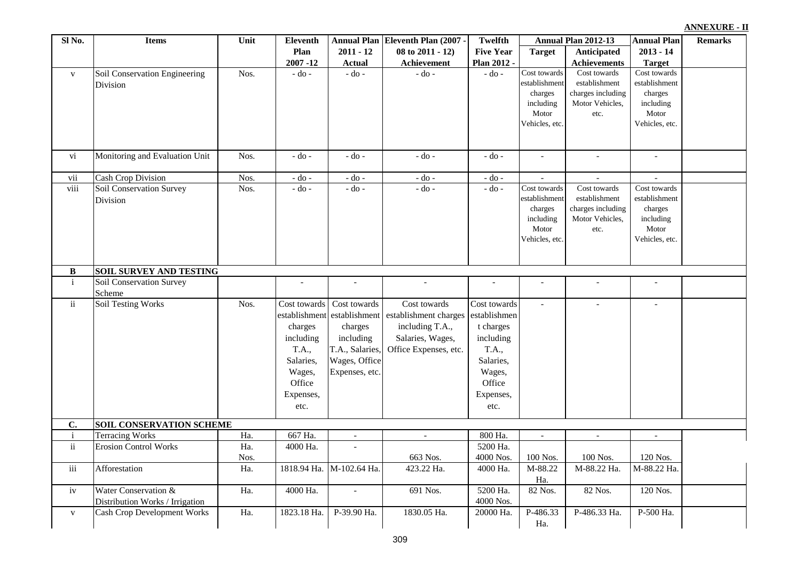| <b>ANNEXURE - II</b> |  |
|----------------------|--|
|                      |  |

| Sl No.       | <b>Items</b>                       | Unit | Eleventh      |                          | Annual Plan Eleventh Plan (2007    | <b>Twelfth</b>   |                          | Annual Plan 2012-13      | <b>Annual Plan</b>       | <b>Remarks</b> |
|--------------|------------------------------------|------|---------------|--------------------------|------------------------------------|------------------|--------------------------|--------------------------|--------------------------|----------------|
|              |                                    |      | Plan          | $2011 - 12$              | 08 to 2011 - 12)                   | <b>Five Year</b> | <b>Target</b>            | <b>Anticipated</b>       | $2013 - 14$              |                |
|              |                                    |      | $2007 - 12$   | <b>Actual</b>            | Achievement                        | Plan 2012 -      |                          | <b>Achievements</b>      | <b>Target</b>            |                |
| $\mathbf{V}$ | Soil Conservation Engineering      | Nos. | $-do$ -       | $-$ do $-$               | $-$ do $-$                         | $-do$ -          | Cost towards             | Cost towards             | Cost towards             |                |
|              | Division                           |      |               |                          |                                    |                  | establishment            | establishment            | establishment            |                |
|              |                                    |      |               |                          |                                    |                  | charges                  | charges including        | charges                  |                |
|              |                                    |      |               |                          |                                    |                  | including<br>Motor       | Motor Vehicles,          | including<br>Motor       |                |
|              |                                    |      |               |                          |                                    |                  | Vehicles, etc.           | etc.                     | Vehicles, etc.           |                |
|              |                                    |      |               |                          |                                    |                  |                          |                          |                          |                |
| vi           | Monitoring and Evaluation Unit     | Nos. | $-do -$       | - do -                   | $-do$ -                            | $-$ do $-$       | $\blacksquare$           | $\overline{\phantom{a}}$ | $\blacksquare$           |                |
| vii          | <b>Cash Crop Division</b>          | Nos. | $-$ do $-$    | - do -                   | - do -                             | $-$ do $-$       | $\overline{\phantom{a}}$ | $\overline{\phantom{a}}$ | $\overline{\phantom{a}}$ |                |
| viii         | Soil Conservation Survey           | Nos. | - do -        | - do -                   | - do -                             | $-do$ -          | Cost towards             | Cost towards             | Cost towards             |                |
|              | Division                           |      |               |                          |                                    |                  | establishment            | establishment            | establishment            |                |
|              |                                    |      |               |                          |                                    |                  | charges                  | charges including        | charges                  |                |
|              |                                    |      |               |                          |                                    |                  | including                | Motor Vehicles,          | including                |                |
|              |                                    |      |               |                          |                                    |                  | Motor                    | etc.                     | Motor                    |                |
|              |                                    |      |               |                          |                                    |                  | Vehicles, etc.           |                          | Vehicles, etc.           |                |
| B            | <b>SOIL SURVEY AND TESTING</b>     |      |               |                          |                                    |                  |                          |                          |                          |                |
| $\mathbf{i}$ | Soil Conservation Survey           |      |               |                          |                                    | $\overline{a}$   |                          | $\overline{\phantom{a}}$ | $\overline{\phantom{a}}$ |                |
|              | Scheme                             |      |               |                          |                                    |                  |                          |                          |                          |                |
| ii           | <b>Soil Testing Works</b>          | Nos. | Cost towards  | Cost towards             | Cost towards                       | Cost towards     | $\blacksquare$           | $\overline{\phantom{a}}$ | $\overline{\phantom{a}}$ |                |
|              |                                    |      | establishment | establishment            | establishment charges establishmen |                  |                          |                          |                          |                |
|              |                                    |      | charges       | charges                  | including T.A.,                    | t charges        |                          |                          |                          |                |
|              |                                    |      | including     | including                | Salaries, Wages,                   | including        |                          |                          |                          |                |
|              |                                    |      | T.A.,         | T.A., Salaries,          | Office Expenses, etc.              | T.A.,            |                          |                          |                          |                |
|              |                                    |      | Salaries,     | Wages, Office            |                                    | Salaries,        |                          |                          |                          |                |
|              |                                    |      | Wages,        | Expenses, etc.           |                                    | Wages,           |                          |                          |                          |                |
|              |                                    |      | Office        |                          |                                    | Office           |                          |                          |                          |                |
|              |                                    |      | Expenses,     |                          |                                    | Expenses,        |                          |                          |                          |                |
|              |                                    |      | etc.          |                          |                                    | etc.             |                          |                          |                          |                |
| C.           | <b>SOIL CONSERVATION SCHEME</b>    |      |               |                          |                                    |                  |                          |                          |                          |                |
| ji           | <b>Terracing Works</b>             | Ha.  | 667 Ha.       |                          |                                    | 800 Ha.          | $\overline{\phantom{a}}$ | $\overline{\phantom{a}}$ |                          |                |
| ii           | <b>Erosion Control Works</b>       | Ha.  | 4000 Ha.      | $\overline{\phantom{a}}$ |                                    | 5200 Ha.         |                          |                          |                          |                |
|              |                                    | Nos. |               |                          | 663 Nos.                           | 4000 Nos.        | 100 Nos.                 | 100 Nos.                 | 120 Nos.                 |                |
| iii          | Afforestation                      | Ha.  | 1818.94 Ha.   | M-102.64 Ha.             | 423.22 Ha.                         | 4000 Ha.         | M-88.22<br>Ha.           | M-88.22 Ha.              | M-88.22 Ha.              |                |
| iv           | Water Conservation &               | Ha.  | 4000 Ha.      | $\overline{\phantom{a}}$ | 691 Nos.                           | 5200 Ha.         | 82 Nos.                  | 82 Nos.                  | 120 Nos.                 |                |
|              | Distribution Works / Irrigation    |      |               |                          |                                    | 4000 Nos.        |                          |                          |                          |                |
| $\mathbf{V}$ | <b>Cash Crop Development Works</b> | Ha.  | 1823.18 Ha.   | P-39.90 Ha.              | 1830.05 Ha.                        | 20000 Ha.        | P-486.33                 | P-486.33 Ha.             | P-500 Ha.                |                |
|              |                                    |      |               |                          |                                    |                  | Ha.                      |                          |                          |                |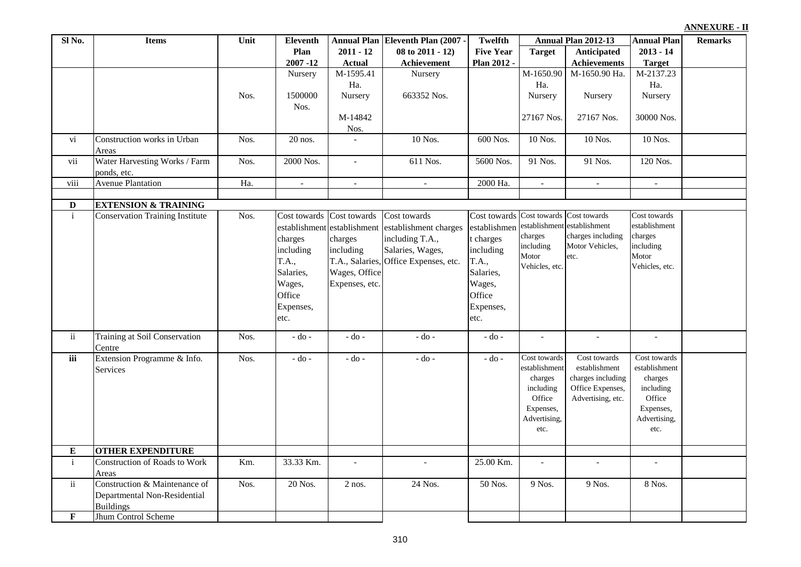| ANNEXURE - II |  |  |
|---------------|--|--|
|               |  |  |

| Sl No.        | <b>Items</b>                           | Unit | Eleventh                 |                           | <b>Annual Plan Eleventh Plan (2007 -</b>          | <b>Twelfth</b>   |                             | Annual Plan 2012-13                | <b>Annual Plan</b>       | <b>Remarks</b> |
|---------------|----------------------------------------|------|--------------------------|---------------------------|---------------------------------------------------|------------------|-----------------------------|------------------------------------|--------------------------|----------------|
|               |                                        |      | Plan                     | $2011 - 12$               | $08$ to $2011 - 12$ )                             | <b>Five Year</b> | <b>Target</b>               | Anticipated                        | $2013 - 14$              |                |
|               |                                        |      | $2007 - 12$              | <b>Actual</b>             | Achievement                                       | Plan 2012 -      |                             | <b>Achievements</b>                | <b>Target</b>            |                |
|               |                                        |      | Nursery                  | M-1595.41                 | Nursery                                           |                  | M-1650.90                   | M-1650.90 Ha.                      | M-2137.23                |                |
|               |                                        |      |                          | Ha.                       |                                                   |                  | Ha.                         |                                    | Ha.                      |                |
|               |                                        | Nos. | 1500000                  | Nursery                   | 663352 Nos.                                       |                  | Nursery                     | Nursery                            | Nursery                  |                |
|               |                                        |      | Nos.                     |                           |                                                   |                  |                             |                                    |                          |                |
|               |                                        |      |                          | M-14842                   |                                                   |                  | 27167 Nos.                  | 27167 Nos.                         | 30000 Nos.               |                |
|               |                                        |      |                          | Nos.                      |                                                   |                  |                             |                                    |                          |                |
| vi            | Construction works in Urban            | Nos. | 20 nos.                  |                           | 10 Nos.                                           | 600 Nos.         | 10 Nos.                     | 10 Nos.                            | 10 Nos.                  |                |
|               | Areas                                  |      |                          |                           |                                                   |                  |                             |                                    |                          |                |
| vii           | Water Harvesting Works / Farm          | Nos. | 2000 Nos.                | $\equiv$                  | 611 Nos.                                          | 5600 Nos.        | 91 Nos.                     | 91 Nos.                            | 120 Nos.                 |                |
|               | ponds, etc.                            |      |                          |                           |                                                   |                  |                             |                                    |                          |                |
| viii          | <b>Avenue Plantation</b>               | Ha.  | $\overline{\phantom{a}}$ | $\overline{\phantom{a}}$  | $\overline{\phantom{a}}$                          | 2000 Ha.         | $\sim$                      | $\overline{\phantom{a}}$           | $\overline{\phantom{a}}$ |                |
|               |                                        |      |                          |                           |                                                   |                  |                             |                                    |                          |                |
| $\mathbf D$   | <b>EXTENSION &amp; TRAINING</b>        |      |                          |                           |                                                   |                  |                             |                                    |                          |                |
| $\rm i$       | <b>Conservation Training Institute</b> | Nos. |                          | Cost towards Cost towards | Cost towards                                      | Cost towards     |                             | Cost towards Cost towards          | Cost towards             |                |
|               |                                        |      |                          |                           | establishment establishment establishment charges | establishmen     | establishment               | establishment<br>charges including | establishment<br>charges |                |
|               |                                        |      | charges                  | charges                   | including T.A.,                                   | t charges        | charges<br>including        | Motor Vehicles,                    | including                |                |
|               |                                        |      | including                | including                 | Salaries, Wages,                                  | including        | Motor                       | etc.                               | Motor                    |                |
|               |                                        |      | T.A.,                    |                           | T.A., Salaries, Office Expenses, etc.             | T.A.,            | Vehicles, etc.              |                                    | Vehicles, etc.           |                |
|               |                                        |      | Salaries,                | Wages, Office             |                                                   | Salaries,        |                             |                                    |                          |                |
|               |                                        |      | Wages,                   | Expenses, etc.            |                                                   | Wages,           |                             |                                    |                          |                |
|               |                                        |      | Office                   |                           |                                                   | Office           |                             |                                    |                          |                |
|               |                                        |      | Expenses,                |                           |                                                   | Expenses,        |                             |                                    |                          |                |
|               |                                        |      | etc.                     |                           |                                                   | etc.             |                             |                                    |                          |                |
|               |                                        |      |                          |                           |                                                   |                  |                             |                                    |                          |                |
| ii            | Training at Soil Conservation          | Nos. | $-$ do $-$               | $-do -$                   | $-do -$                                           | - do -           | $\overline{\phantom{a}}$    | $\overline{\phantom{a}}$           | $\overline{\phantom{a}}$ |                |
| iii           | Centre<br>Extension Programme & Info.  | Nos. | $-$ do $-$               | - do -                    | - do -                                            | $-do-$           | Cost towards                | Cost towards                       | Cost towards             |                |
|               | <b>Services</b>                        |      |                          |                           |                                                   |                  | establishment               | establishment                      | establishment            |                |
|               |                                        |      |                          |                           |                                                   |                  | charges                     | charges including                  | charges                  |                |
|               |                                        |      |                          |                           |                                                   |                  | including                   | Office Expenses,                   | including                |                |
|               |                                        |      |                          |                           |                                                   |                  | Office                      | Advertising, etc.                  | Office                   |                |
|               |                                        |      |                          |                           |                                                   |                  | Expenses,                   |                                    | Expenses,                |                |
|               |                                        |      |                          |                           |                                                   |                  | Advertising,                |                                    | Advertising,             |                |
|               |                                        |      |                          |                           |                                                   |                  | etc.                        |                                    | etc.                     |                |
|               |                                        |      |                          |                           |                                                   |                  |                             |                                    |                          |                |
| E             | <b>OTHER EXPENDITURE</b>               |      |                          |                           |                                                   |                  |                             |                                    |                          |                |
| $\mathbf{i}$  | Construction of Roads to Work          | Km.  | 33.33 Km.                | $\mathbb{L}$              |                                                   | 25.00 Km.        | $\mathcal{L}^{\mathcal{A}}$ |                                    | $\mathcal{L}$            |                |
|               | Areas                                  |      |                          |                           |                                                   |                  |                             |                                    |                          |                |
| $\mathbf{ii}$ | Construction & Maintenance of          | Nos. | 20 Nos.                  | $2$ nos.                  | 24 Nos.                                           | 50 Nos.          | 9 Nos.                      | 9 Nos.                             | 8 Nos.                   |                |
|               | Departmental Non-Residential           |      |                          |                           |                                                   |                  |                             |                                    |                          |                |
|               | <b>Buildings</b>                       |      |                          |                           |                                                   |                  |                             |                                    |                          |                |
| F             | Jhum Control Scheme                    |      |                          |                           |                                                   |                  |                             |                                    |                          |                |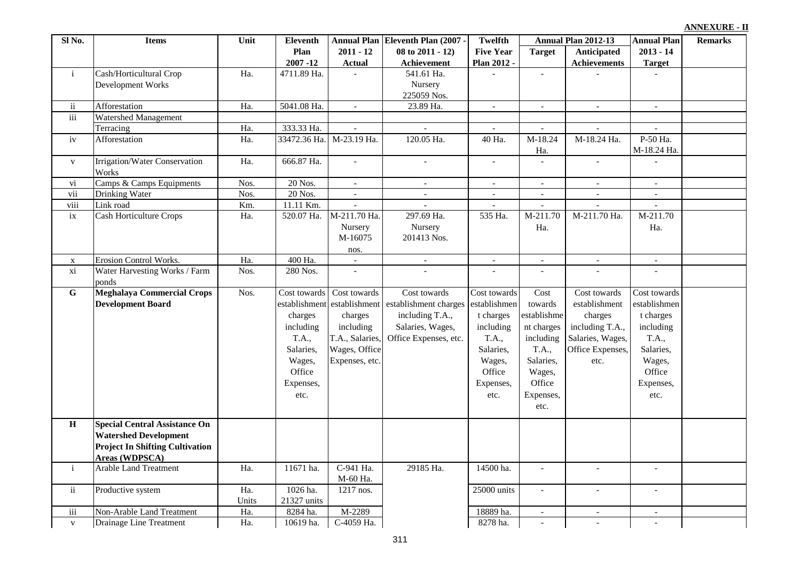| Sl <sub>No.</sub>   | <b>Items</b>                                          | Unit  | <b>Eleventh</b> |                          | Annual Plan Eleventh Plan (2007 - | <b>Twelfth</b>           | Annual Plan 2012-13         |                             | <b>Annual Plan</b>          | <b>Remarks</b> |
|---------------------|-------------------------------------------------------|-------|-----------------|--------------------------|-----------------------------------|--------------------------|-----------------------------|-----------------------------|-----------------------------|----------------|
|                     |                                                       |       | Plan            | $2011 - 12$              | 08 to 2011 - 12)                  | <b>Five Year</b>         | <b>Target</b>               | <b>Anticipated</b>          | $2013 - 14$                 |                |
|                     |                                                       |       | $2007 - 12$     | <b>Actual</b>            | Achievement                       | Plan 2012 -              |                             | <b>Achievements</b>         | <b>Target</b>               |                |
| $\mathbf{i}$        | Cash/Horticultural Crop                               | Ha.   | 4711.89 Ha.     | $\overline{a}$           | 541.61 Ha.                        | $\sim$                   | $\mathcal{L}_{\mathcal{A}}$ | $\sim$                      | $\sim$                      |                |
|                     | Development Works                                     |       |                 |                          | Nursery                           |                          |                             |                             |                             |                |
|                     |                                                       |       |                 |                          | 225059 Nos.                       |                          |                             |                             |                             |                |
| $\ddot{\mathbf{i}}$ | Afforestation                                         | Ha.   | 5041.08 Ha.     | $\mathbb{L}$             | 23.89 Ha.                         | $\blacksquare$           | $\omega$                    | $\sim$                      | $\sim$                      |                |
| iii                 | Watershed Management                                  |       |                 |                          |                                   |                          |                             |                             |                             |                |
|                     | Terracing                                             | Ha.   | 333.33 Ha.      | $\overline{\phantom{a}}$ |                                   |                          | $\overline{a}$              | $\overline{\phantom{a}}$    | $\overline{\phantom{a}}$    |                |
| iv                  | Afforestation                                         | Ha.   | 33472.36 Ha.    | M-23.19 Ha.              | 120.05 Ha.                        | 40 Ha.                   | M-18.24<br>Ha.              | M-18.24 Ha.                 | P-50 Ha.<br>M-18.24 Ha.     |                |
| $\mathbf{V}$        | Irrigation/Water Conservation<br>Works                | Ha.   | 666.87 Ha.      | $\sim$                   | $\bar{\phantom{a}}$               | $\overline{a}$           | $\overline{a}$              | $\overline{\phantom{a}}$    |                             |                |
| vi                  | Camps & Camps Equipments                              | Nos.  | 20 Nos.         | $\omega$                 | $\sim$                            | $\bar{\phantom{a}}$      | $\mathcal{L}_{\mathcal{A}}$ | $\mathcal{L}_{\mathcal{A}}$ | $\mathcal{L}_{\mathcal{A}}$ |                |
| vii                 | <b>Drinking Water</b>                                 | Nos.  | 20 Nos.         | $\sim$                   | $\overline{\phantom{a}}$          | $\overline{\phantom{0}}$ | $\overline{\phantom{a}}$    | $\overline{\phantom{a}}$    | $\overline{\phantom{a}}$    |                |
| viii                | Link road                                             | Km.   | 11.11 Km.       | $\sim$                   | $\overline{\phantom{a}}$          |                          | $\blacksquare$              | $\sim$                      | $\sim$                      |                |
| $i\mathbf{x}$       | <b>Cash Horticulture Crops</b>                        | Ha.   | 520.07 Ha.      | M-211.70 Ha.             | 297.69 Ha.                        | 535 Ha.                  | M-211.70                    | M-211.70 Ha.                | M-211.70                    |                |
|                     |                                                       |       |                 | Nursery                  | Nursery                           |                          | Ha.                         |                             | Ha.                         |                |
|                     |                                                       |       |                 | M-16075                  | 201413 Nos.                       |                          |                             |                             |                             |                |
|                     |                                                       |       |                 | nos.                     |                                   |                          |                             |                             |                             |                |
| $\mathbf X$         | <b>Erosion Control Works.</b>                         | Ha.   | 400 Ha.         | $\overline{\phantom{a}}$ | $\equiv$                          | $\overline{\phantom{a}}$ | $\overline{\phantom{a}}$    | $\pm$                       | $\equiv$                    |                |
| xi                  | Water Harvesting Works / Farm<br>ponds                | Nos.  | 280 Nos.        |                          |                                   |                          |                             |                             |                             |                |
| ${\bf G}$           | <b>Meghalaya Commercial Crops</b>                     | Nos.  | Cost towards    | Cost towards             | Cost towards                      | Cost towards             | Cost                        | Cost towards                | Cost towards                |                |
|                     | <b>Development Board</b>                              |       | establishment   | establishment            | establishment charges             | establishmen             | towards                     | establishment               | establishmen                |                |
|                     |                                                       |       | charges         | charges                  | including T.A.,                   | t charges                | establishme                 | charges                     | t charges                   |                |
|                     |                                                       |       | including       | including                | Salaries, Wages,                  | including                | nt charges                  | including T.A.,             | including                   |                |
|                     |                                                       |       | T.A.,           | T.A., Salaries,          | Office Expenses, etc.             | T.A.,                    | including                   | Salaries, Wages,            | T.A.,                       |                |
|                     |                                                       |       | Salaries,       | Wages, Office            |                                   | Salaries,                | T.A.,                       | Office Expenses,            | Salaries,                   |                |
|                     |                                                       |       | Wages,          | Expenses, etc.           |                                   | Wages,                   | Salaries,                   | etc.                        | Wages,                      |                |
|                     |                                                       |       | Office          |                          |                                   | Office                   | Wages,                      |                             | Office                      |                |
|                     |                                                       |       | Expenses,       |                          |                                   | Expenses,                | Office                      |                             | Expenses,                   |                |
|                     |                                                       |       | etc.            |                          |                                   | etc.                     | Expenses,                   |                             | etc.                        |                |
|                     |                                                       |       |                 |                          |                                   |                          | etc.                        |                             |                             |                |
| $\, {\bf H}$        | <b>Special Central Assistance On</b>                  |       |                 |                          |                                   |                          |                             |                             |                             |                |
|                     |                                                       |       |                 |                          |                                   |                          |                             |                             |                             |                |
|                     | <b>Watershed Development</b>                          |       |                 |                          |                                   |                          |                             |                             |                             |                |
|                     | <b>Project In Shifting Cultivation</b>                |       |                 |                          |                                   |                          |                             |                             |                             |                |
| $\mathbf{i}$        | <b>Areas (WDPSCA)</b><br><b>Arable Land Treatment</b> | Ha.   | 11671 ha.       | C-941 Ha.                | 29185 Ha.                         | 14500 ha.                | $\overline{a}$              | $\mathbf{r}$                | $\mathbb{L}$                |                |
|                     |                                                       |       |                 | M-60 Ha.                 |                                   |                          |                             |                             |                             |                |
| $\ddot{\mathbf{i}}$ | Productive system                                     | Ha.   | 1026 ha.        | 1217 nos.                |                                   | 25000 units              | $\sim$                      | $\sim$                      | $\overline{a}$              |                |
|                     |                                                       | Units | 21327 units     |                          |                                   |                          |                             |                             |                             |                |
| iii                 | Non-Arable Land Treatment                             | Ha.   | 8284 ha.        | M-2289                   |                                   | 18889 ha.                | $\overline{\phantom{a}}$    | $\overline{\phantom{a}}$    | $\overline{\phantom{a}}$    |                |
| $\mathbf{V}$        | Drainage Line Treatment                               | Ha.   | 10619 ha.       | C-4059 Ha.               |                                   | 8278 ha.                 | $\blacksquare$              | $\overline{\phantom{a}}$    | $\blacksquare$              |                |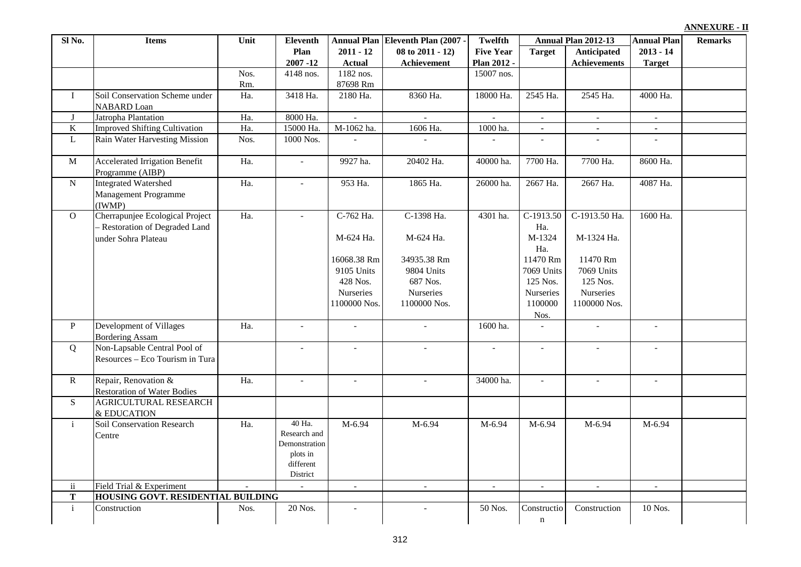| Sl <sub>No.</sub> | <b>Items</b>                                                                             | Unit   | Eleventh                                                                     |                                                                           | Annual Plan Eleventh Plan (2007 -                                  | Twelfth                         |                                                                   | Annual Plan 2012-13                                             | <b>Annual Plan</b>           | <b>Remarks</b> |
|-------------------|------------------------------------------------------------------------------------------|--------|------------------------------------------------------------------------------|---------------------------------------------------------------------------|--------------------------------------------------------------------|---------------------------------|-------------------------------------------------------------------|-----------------------------------------------------------------|------------------------------|----------------|
|                   |                                                                                          |        | Plan<br>$2007 - 12$                                                          | $2011 - 12$<br><b>Actual</b>                                              | 08 to 2011 - 12)<br>Achievement                                    | <b>Five Year</b><br>Plan 2012 - | <b>Target</b>                                                     | Anticipated<br><b>Achievements</b>                              | $2013 - 14$<br><b>Target</b> |                |
|                   |                                                                                          | Nos.   | 4148 nos.                                                                    | 1182 nos.                                                                 |                                                                    | 15007 nos.                      |                                                                   |                                                                 |                              |                |
|                   |                                                                                          | Rm.    |                                                                              | 87698 Rm                                                                  |                                                                    |                                 |                                                                   |                                                                 |                              |                |
| $\bf{I}$          | Soil Conservation Scheme under<br><b>NABARD</b> Loan                                     | Ha.    | 3418 Ha.                                                                     | 2180 Ha.                                                                  | 8360 Ha.                                                           | 18000 Ha.                       | 2545 Ha.                                                          | 2545 Ha.                                                        | 4000 Ha.                     |                |
| J                 | Jatropha Plantation                                                                      | Ha.    | 8000 Ha.                                                                     |                                                                           | $\overline{a}$                                                     |                                 | $\blacksquare$                                                    | $\mathbb{L}$                                                    | $\sim$                       |                |
| $\bf K$           | <b>Improved Shifting Cultivation</b>                                                     | Ha.    | 15000 Ha.                                                                    | M-1062 ha.                                                                | 1606 Ha.                                                           | 1000 ha.                        | $\blacksquare$                                                    | $\blacksquare$                                                  | $\blacksquare$               |                |
| $\mathbf L$       | Rain Water Harvesting Mission                                                            | Nos.   | 1000 Nos.                                                                    | $\mathbb{L}$                                                              | $\mathbb{L}$                                                       | $\sim$                          | $\mathbf{r}$                                                      | $\equiv$                                                        | $\blacksquare$               |                |
| $\overline{M}$    | <b>Accelerated Irrigation Benefit</b><br>Programme (AIBP)                                | Ha.    | $\bar{\phantom{a}}$                                                          | 9927 ha.                                                                  | 20402 Ha.                                                          | 40000 ha.                       | 7700 Ha.                                                          | 7700 Ha.                                                        | 8600 Ha.                     |                |
| $\overline{N}$    | <b>Integrated Watershed</b><br>Management Programme<br>(IWMP)                            | Ha.    | $\overline{a}$                                                               | 953 Ha.                                                                   | 1865 Ha.                                                           | 26000 ha.                       | 2667 Ha.                                                          | 2667 Ha.                                                        | 4087 Ha.                     |                |
| $\overline{0}$    | Cherrapunjee Ecological Project<br>- Restoration of Degraded Land<br>under Sohra Plateau | Ha.    | $\overline{a}$                                                               | C-762 Ha.<br>M-624 Ha.                                                    | C-1398 Ha.<br>M-624 Ha.                                            | 4301 ha.                        | $C-1913.50$<br>Ha.<br>M-1324<br>Ha.                               | C-1913.50 Ha.<br>M-1324 Ha.                                     | 1600 Ha.                     |                |
|                   |                                                                                          |        |                                                                              | 16068.38 Rm<br>9105 Units<br>428 Nos.<br><b>Nurseries</b><br>1100000 Nos. | 34935.38 Rm<br>9804 Units<br>687 Nos.<br>Nurseries<br>1100000 Nos. |                                 | 11470 Rm<br>7069 Units<br>125 Nos.<br><b>Nurseries</b><br>1100000 | 11470 Rm<br>7069 Units<br>125 Nos.<br>Nurseries<br>1100000 Nos. |                              |                |
| $\, {\bf P}$      | Development of Villages<br><b>Bordering Assam</b>                                        | Ha.    | $\overline{\phantom{a}}$                                                     | $\overline{\phantom{a}}$                                                  | $\sim$                                                             | 1600 ha.                        | Nos.<br>$\mathbb{L}$                                              | $\equiv$                                                        | $\overline{\phantom{a}}$     |                |
| Q                 | Non-Lapsable Central Pool of<br>Resources - Eco Tourism in Tura                          |        | $\mathbb{L}$                                                                 | $\mathcal{L}$                                                             | $\mathbb{Z}^2$                                                     | $\mathbb{Z}^2$                  | $\mathbf{r}$                                                      | $\mathbb{Z}^2$                                                  | $\mathcal{L}$                |                |
| ${\bf R}$         | Repair, Renovation &<br><b>Restoration of Water Bodies</b>                               | Ha.    | $\mathcal{L}^{\mathcal{A}}$                                                  | $\sim$                                                                    | $\mathcal{L}_{\mathcal{A}}$                                        | 34000 ha.                       | $\mathbb{L}$                                                      | $\mathcal{L}$                                                   | $\sim$                       |                |
| ${\bf S}$         | AGRICULTURAL RESEARCH<br>& EDUCATION                                                     |        |                                                                              |                                                                           |                                                                    |                                 |                                                                   |                                                                 |                              |                |
| $\mathbf{i}$      | Soil Conservation Research<br>Centre                                                     | Ha.    | 40 Ha.<br>Research and<br>Demonstration<br>plots in<br>different<br>District | M-6.94                                                                    | M-6.94                                                             | M-6.94                          | M-6.94                                                            | M-6.94                                                          | M-6.94                       |                |
| $\mathbf{ii}$     | Field Trial & Experiment                                                                 | $\sim$ | $\mathbb{L}^+$                                                               | $\sim$                                                                    | $\sim$                                                             | $\mathcal{L}$                   | $\sim$                                                            | $\sim$                                                          | $\mathbb{L}$                 |                |
| ${\bf T}$         | HOUSING GOVT. RESIDENTIAL BUILDING                                                       |        |                                                                              |                                                                           |                                                                    |                                 |                                                                   |                                                                 |                              |                |
| $\mathbf{i}$      | Construction                                                                             | Nos.   | 20 Nos.                                                                      |                                                                           |                                                                    | 50 Nos.                         | Constructio<br>$\bf n$                                            | Construction                                                    | 10 Nos.                      |                |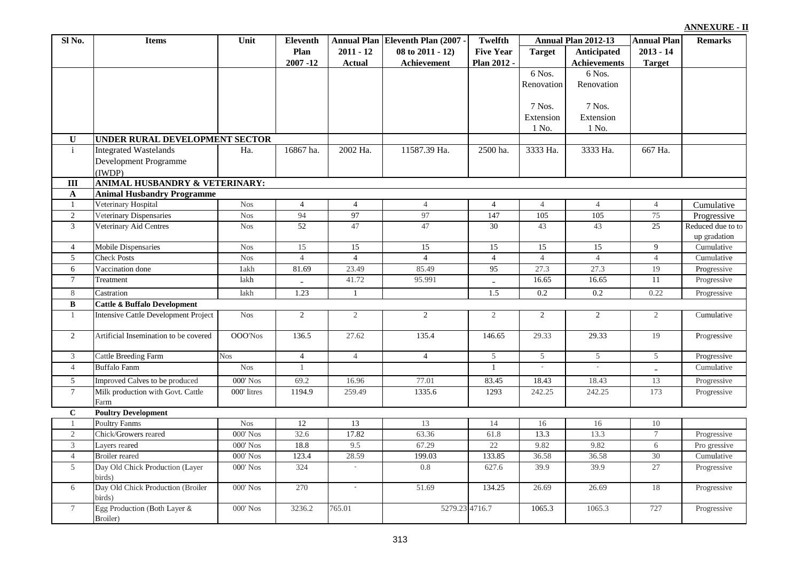| ANNEXURE - II |  |  |  |
|---------------|--|--|--|
|               |  |  |  |

| Plan<br>08 to 2011 - 12)<br><b>Five Year</b><br><b>Target</b><br>Anticipated<br>$2011 - 12$<br>$2013 - 14$<br>Plan 2012 -<br><b>Achievements</b><br>$2007 - 12$<br><b>Actual</b><br>Achievement<br><b>Target</b><br>6 Nos.<br>6 Nos.<br>Renovation<br>Renovation<br>$7$ Nos.<br>7 Nos.<br>Extension<br>Extension<br>1 No.<br>1 No.<br>UNDER RURAL DEVELOPMENT SECTOR<br>U<br><b>Integrated Wastelands</b><br>16867 ha.<br>11587.39 Ha.<br>$\mathbf{i}$<br>2002 Ha.<br>2500 ha.<br>3333 Ha.<br>3333 Ha.<br>667 Ha.<br>Ha.<br><b>Development Programme</b><br>(IWDP)<br>ANIMAL HUSBANDRY & VETERINARY:<br>$\rm III$<br><b>Animal Husbandry Programme</b><br>$\mathbf{A}$<br>Veterinary Hospital<br><b>Nos</b><br>$\mathbf{1}$<br>$\overline{4}$<br>$\overline{4}$<br>$\overline{4}$<br>$\overline{4}$<br>$\overline{4}$<br>$\overline{4}$<br>$\overline{4}$<br>Cumulative<br>94<br>97<br>147<br>105<br>105<br>75<br>$\overline{2}$<br>Veterinary Dispensaries<br><b>Nos</b><br>97<br>Progressive<br>52<br>47<br>47<br>30<br>43<br>43<br>25<br>Reduced due to to<br>3<br>Veterinary Aid Centres<br><b>Nos</b><br>up gradation<br>15<br>15<br>15<br>15<br><b>Mobile Dispensaries</b><br><b>Nos</b><br>15<br>15<br>9<br>Cumulative<br>$\overline{4}$<br>$\overline{4}$<br><b>Nos</b><br>$\overline{4}$<br>$\overline{4}$<br>$\overline{4}$<br>$\overline{4}$<br>$\overline{4}$<br>5<br><b>Check Posts</b><br>$\overline{4}$<br>Cumulative<br>Vaccination done<br>1akh<br>81.69<br>23.49<br>85.49<br>95<br>27.3<br>27.3<br>19<br>Progressive<br>6<br>11<br>$\tau$<br>lakh<br>41.72<br>95.991<br>16.65<br>16.65<br>Progressive<br>Treatment<br>$\overline{\phantom{0}}$<br>1.23<br>1.5<br>0.22<br>$\,8\,$<br>lakh<br>0.2<br>0.2<br>Progressive<br>$\mathbf{1}$<br>Castration<br>B<br><b>Cattle &amp; Buffalo Development</b><br>$\overline{2}$<br><b>Nos</b><br>$\overline{c}$<br>$\overline{2}$<br>$\mathbf{1}$<br>Intensive Cattle Development Project<br>2<br>$\overline{2}$<br>$\overline{2}$<br>$\overline{2}$<br>Cumulative<br>2<br>OOO'Nos<br>136.5<br>27.62<br>135.4<br>146.65<br>29.33<br>29.33<br>19<br>Artificial Insemination to be covered<br>Progressive<br>$\overline{4}$<br>$\overline{4}$<br>$\overline{4}$<br>3<br><b>Cattle Breeding Farm</b><br><b>Nos</b><br>5<br>5<br>5<br>5<br>Progressive<br><b>Buffalo Fanm</b><br><b>Nos</b><br>$\overline{4}$<br>Cumulative<br>$\mathbf{1}$<br>1<br>$\overline{\phantom{a}}$<br>5<br>Improved Calves to be produced<br>$000'$ Nos<br>69.2<br>77.01<br>83.45<br>18.43<br>18.43<br>13<br>16.96<br>Progressive<br>Milk production with Govt. Cattle<br>$\tau$<br>000' litres<br>1194.9<br>259.49<br>1335.6<br>1293<br>242.25<br>242.25<br>173<br>Progressive<br>Farm<br>$\mathbf C$<br><b>Poultry Development</b><br><b>Poultry Fanms</b><br><b>Nos</b><br>12<br>13<br>$10\,$<br>13<br>14<br>16<br>16<br>-1<br>32.6<br>$\overline{2}$<br>Chick/Growers reared<br>000' Nos<br>17.82<br>63.36<br>61.8<br>13.3<br>13.3<br>$\tau$<br>Progressive<br>3<br>000' Nos<br>18.8<br>9.5<br>67.29<br>22<br>9.82<br>9.82<br>6<br>Pro gressive<br>Layers reared<br>30<br>$\overline{4}$<br>000' Nos<br>123.4<br>28.59<br>199.03<br>133.85<br>36.58<br>36.58<br>Cumulative<br><b>Broiler</b> reared<br>5<br>Day Old Chick Production (Layer<br>324<br>$\omega$<br>627.6<br>39.9<br>27<br>000' Nos<br>0.8<br>39.9<br>Progressive<br>birds)<br>Day Old Chick Production (Broiler<br>$\overline{6}$<br>$000'$ Nos<br>270<br>134.25<br>26.69<br>18<br>Progressive<br>$\blacksquare$<br>51.69<br>26.69<br>birds)<br>$\tau$<br>Egg Production (Both Layer &<br>727<br>000' Nos<br>3236.2<br>765.01<br>5279.23 4716.7<br>1065.3<br>1065.3<br>Progressive<br>Broiler) | Sl No. | <b>Items</b> | Unit | Eleventh | Annual Plan Eleventh Plan (2007 - | Twelfth | Annual Plan 2012-13 | <b>Annual Plan</b> | <b>Remarks</b> |
|-------------------------------------------------------------------------------------------------------------------------------------------------------------------------------------------------------------------------------------------------------------------------------------------------------------------------------------------------------------------------------------------------------------------------------------------------------------------------------------------------------------------------------------------------------------------------------------------------------------------------------------------------------------------------------------------------------------------------------------------------------------------------------------------------------------------------------------------------------------------------------------------------------------------------------------------------------------------------------------------------------------------------------------------------------------------------------------------------------------------------------------------------------------------------------------------------------------------------------------------------------------------------------------------------------------------------------------------------------------------------------------------------------------------------------------------------------------------------------------------------------------------------------------------------------------------------------------------------------------------------------------------------------------------------------------------------------------------------------------------------------------------------------------------------------------------------------------------------------------------------------------------------------------------------------------------------------------------------------------------------------------------------------------------------------------------------------------------------------------------------------------------------------------------------------------------------------------------------------------------------------------------------------------------------------------------------------------------------------------------------------------------------------------------------------------------------------------------------------------------------------------------------------------------------------------------------------------------------------------------------------------------------------------------------------------------------------------------------------------------------------------------------------------------------------------------------------------------------------------------------------------------------------------------------------------------------------------------------------------------------------------------------------------------------------------------------------------------------------------------------------------------------------------------------------------------------------------------------------------------------------------------------------------------------------------------------------------------------------------------------------------------------------------------------------------------------------------------------------------------------------------------------------------------------------------------------------------------------------------------------------------------------------------------------------------------------|--------|--------------|------|----------|-----------------------------------|---------|---------------------|--------------------|----------------|
|                                                                                                                                                                                                                                                                                                                                                                                                                                                                                                                                                                                                                                                                                                                                                                                                                                                                                                                                                                                                                                                                                                                                                                                                                                                                                                                                                                                                                                                                                                                                                                                                                                                                                                                                                                                                                                                                                                                                                                                                                                                                                                                                                                                                                                                                                                                                                                                                                                                                                                                                                                                                                                                                                                                                                                                                                                                                                                                                                                                                                                                                                                                                                                                                                                                                                                                                                                                                                                                                                                                                                                                                                                                                                                 |        |              |      |          |                                   |         |                     |                    |                |
|                                                                                                                                                                                                                                                                                                                                                                                                                                                                                                                                                                                                                                                                                                                                                                                                                                                                                                                                                                                                                                                                                                                                                                                                                                                                                                                                                                                                                                                                                                                                                                                                                                                                                                                                                                                                                                                                                                                                                                                                                                                                                                                                                                                                                                                                                                                                                                                                                                                                                                                                                                                                                                                                                                                                                                                                                                                                                                                                                                                                                                                                                                                                                                                                                                                                                                                                                                                                                                                                                                                                                                                                                                                                                                 |        |              |      |          |                                   |         |                     |                    |                |
|                                                                                                                                                                                                                                                                                                                                                                                                                                                                                                                                                                                                                                                                                                                                                                                                                                                                                                                                                                                                                                                                                                                                                                                                                                                                                                                                                                                                                                                                                                                                                                                                                                                                                                                                                                                                                                                                                                                                                                                                                                                                                                                                                                                                                                                                                                                                                                                                                                                                                                                                                                                                                                                                                                                                                                                                                                                                                                                                                                                                                                                                                                                                                                                                                                                                                                                                                                                                                                                                                                                                                                                                                                                                                                 |        |              |      |          |                                   |         |                     |                    |                |
|                                                                                                                                                                                                                                                                                                                                                                                                                                                                                                                                                                                                                                                                                                                                                                                                                                                                                                                                                                                                                                                                                                                                                                                                                                                                                                                                                                                                                                                                                                                                                                                                                                                                                                                                                                                                                                                                                                                                                                                                                                                                                                                                                                                                                                                                                                                                                                                                                                                                                                                                                                                                                                                                                                                                                                                                                                                                                                                                                                                                                                                                                                                                                                                                                                                                                                                                                                                                                                                                                                                                                                                                                                                                                                 |        |              |      |          |                                   |         |                     |                    |                |
|                                                                                                                                                                                                                                                                                                                                                                                                                                                                                                                                                                                                                                                                                                                                                                                                                                                                                                                                                                                                                                                                                                                                                                                                                                                                                                                                                                                                                                                                                                                                                                                                                                                                                                                                                                                                                                                                                                                                                                                                                                                                                                                                                                                                                                                                                                                                                                                                                                                                                                                                                                                                                                                                                                                                                                                                                                                                                                                                                                                                                                                                                                                                                                                                                                                                                                                                                                                                                                                                                                                                                                                                                                                                                                 |        |              |      |          |                                   |         |                     |                    |                |
|                                                                                                                                                                                                                                                                                                                                                                                                                                                                                                                                                                                                                                                                                                                                                                                                                                                                                                                                                                                                                                                                                                                                                                                                                                                                                                                                                                                                                                                                                                                                                                                                                                                                                                                                                                                                                                                                                                                                                                                                                                                                                                                                                                                                                                                                                                                                                                                                                                                                                                                                                                                                                                                                                                                                                                                                                                                                                                                                                                                                                                                                                                                                                                                                                                                                                                                                                                                                                                                                                                                                                                                                                                                                                                 |        |              |      |          |                                   |         |                     |                    |                |
|                                                                                                                                                                                                                                                                                                                                                                                                                                                                                                                                                                                                                                                                                                                                                                                                                                                                                                                                                                                                                                                                                                                                                                                                                                                                                                                                                                                                                                                                                                                                                                                                                                                                                                                                                                                                                                                                                                                                                                                                                                                                                                                                                                                                                                                                                                                                                                                                                                                                                                                                                                                                                                                                                                                                                                                                                                                                                                                                                                                                                                                                                                                                                                                                                                                                                                                                                                                                                                                                                                                                                                                                                                                                                                 |        |              |      |          |                                   |         |                     |                    |                |
|                                                                                                                                                                                                                                                                                                                                                                                                                                                                                                                                                                                                                                                                                                                                                                                                                                                                                                                                                                                                                                                                                                                                                                                                                                                                                                                                                                                                                                                                                                                                                                                                                                                                                                                                                                                                                                                                                                                                                                                                                                                                                                                                                                                                                                                                                                                                                                                                                                                                                                                                                                                                                                                                                                                                                                                                                                                                                                                                                                                                                                                                                                                                                                                                                                                                                                                                                                                                                                                                                                                                                                                                                                                                                                 |        |              |      |          |                                   |         |                     |                    |                |
|                                                                                                                                                                                                                                                                                                                                                                                                                                                                                                                                                                                                                                                                                                                                                                                                                                                                                                                                                                                                                                                                                                                                                                                                                                                                                                                                                                                                                                                                                                                                                                                                                                                                                                                                                                                                                                                                                                                                                                                                                                                                                                                                                                                                                                                                                                                                                                                                                                                                                                                                                                                                                                                                                                                                                                                                                                                                                                                                                                                                                                                                                                                                                                                                                                                                                                                                                                                                                                                                                                                                                                                                                                                                                                 |        |              |      |          |                                   |         |                     |                    |                |
|                                                                                                                                                                                                                                                                                                                                                                                                                                                                                                                                                                                                                                                                                                                                                                                                                                                                                                                                                                                                                                                                                                                                                                                                                                                                                                                                                                                                                                                                                                                                                                                                                                                                                                                                                                                                                                                                                                                                                                                                                                                                                                                                                                                                                                                                                                                                                                                                                                                                                                                                                                                                                                                                                                                                                                                                                                                                                                                                                                                                                                                                                                                                                                                                                                                                                                                                                                                                                                                                                                                                                                                                                                                                                                 |        |              |      |          |                                   |         |                     |                    |                |
|                                                                                                                                                                                                                                                                                                                                                                                                                                                                                                                                                                                                                                                                                                                                                                                                                                                                                                                                                                                                                                                                                                                                                                                                                                                                                                                                                                                                                                                                                                                                                                                                                                                                                                                                                                                                                                                                                                                                                                                                                                                                                                                                                                                                                                                                                                                                                                                                                                                                                                                                                                                                                                                                                                                                                                                                                                                                                                                                                                                                                                                                                                                                                                                                                                                                                                                                                                                                                                                                                                                                                                                                                                                                                                 |        |              |      |          |                                   |         |                     |                    |                |
|                                                                                                                                                                                                                                                                                                                                                                                                                                                                                                                                                                                                                                                                                                                                                                                                                                                                                                                                                                                                                                                                                                                                                                                                                                                                                                                                                                                                                                                                                                                                                                                                                                                                                                                                                                                                                                                                                                                                                                                                                                                                                                                                                                                                                                                                                                                                                                                                                                                                                                                                                                                                                                                                                                                                                                                                                                                                                                                                                                                                                                                                                                                                                                                                                                                                                                                                                                                                                                                                                                                                                                                                                                                                                                 |        |              |      |          |                                   |         |                     |                    |                |
|                                                                                                                                                                                                                                                                                                                                                                                                                                                                                                                                                                                                                                                                                                                                                                                                                                                                                                                                                                                                                                                                                                                                                                                                                                                                                                                                                                                                                                                                                                                                                                                                                                                                                                                                                                                                                                                                                                                                                                                                                                                                                                                                                                                                                                                                                                                                                                                                                                                                                                                                                                                                                                                                                                                                                                                                                                                                                                                                                                                                                                                                                                                                                                                                                                                                                                                                                                                                                                                                                                                                                                                                                                                                                                 |        |              |      |          |                                   |         |                     |                    |                |
|                                                                                                                                                                                                                                                                                                                                                                                                                                                                                                                                                                                                                                                                                                                                                                                                                                                                                                                                                                                                                                                                                                                                                                                                                                                                                                                                                                                                                                                                                                                                                                                                                                                                                                                                                                                                                                                                                                                                                                                                                                                                                                                                                                                                                                                                                                                                                                                                                                                                                                                                                                                                                                                                                                                                                                                                                                                                                                                                                                                                                                                                                                                                                                                                                                                                                                                                                                                                                                                                                                                                                                                                                                                                                                 |        |              |      |          |                                   |         |                     |                    |                |
|                                                                                                                                                                                                                                                                                                                                                                                                                                                                                                                                                                                                                                                                                                                                                                                                                                                                                                                                                                                                                                                                                                                                                                                                                                                                                                                                                                                                                                                                                                                                                                                                                                                                                                                                                                                                                                                                                                                                                                                                                                                                                                                                                                                                                                                                                                                                                                                                                                                                                                                                                                                                                                                                                                                                                                                                                                                                                                                                                                                                                                                                                                                                                                                                                                                                                                                                                                                                                                                                                                                                                                                                                                                                                                 |        |              |      |          |                                   |         |                     |                    |                |
|                                                                                                                                                                                                                                                                                                                                                                                                                                                                                                                                                                                                                                                                                                                                                                                                                                                                                                                                                                                                                                                                                                                                                                                                                                                                                                                                                                                                                                                                                                                                                                                                                                                                                                                                                                                                                                                                                                                                                                                                                                                                                                                                                                                                                                                                                                                                                                                                                                                                                                                                                                                                                                                                                                                                                                                                                                                                                                                                                                                                                                                                                                                                                                                                                                                                                                                                                                                                                                                                                                                                                                                                                                                                                                 |        |              |      |          |                                   |         |                     |                    |                |
|                                                                                                                                                                                                                                                                                                                                                                                                                                                                                                                                                                                                                                                                                                                                                                                                                                                                                                                                                                                                                                                                                                                                                                                                                                                                                                                                                                                                                                                                                                                                                                                                                                                                                                                                                                                                                                                                                                                                                                                                                                                                                                                                                                                                                                                                                                                                                                                                                                                                                                                                                                                                                                                                                                                                                                                                                                                                                                                                                                                                                                                                                                                                                                                                                                                                                                                                                                                                                                                                                                                                                                                                                                                                                                 |        |              |      |          |                                   |         |                     |                    |                |
|                                                                                                                                                                                                                                                                                                                                                                                                                                                                                                                                                                                                                                                                                                                                                                                                                                                                                                                                                                                                                                                                                                                                                                                                                                                                                                                                                                                                                                                                                                                                                                                                                                                                                                                                                                                                                                                                                                                                                                                                                                                                                                                                                                                                                                                                                                                                                                                                                                                                                                                                                                                                                                                                                                                                                                                                                                                                                                                                                                                                                                                                                                                                                                                                                                                                                                                                                                                                                                                                                                                                                                                                                                                                                                 |        |              |      |          |                                   |         |                     |                    |                |
|                                                                                                                                                                                                                                                                                                                                                                                                                                                                                                                                                                                                                                                                                                                                                                                                                                                                                                                                                                                                                                                                                                                                                                                                                                                                                                                                                                                                                                                                                                                                                                                                                                                                                                                                                                                                                                                                                                                                                                                                                                                                                                                                                                                                                                                                                                                                                                                                                                                                                                                                                                                                                                                                                                                                                                                                                                                                                                                                                                                                                                                                                                                                                                                                                                                                                                                                                                                                                                                                                                                                                                                                                                                                                                 |        |              |      |          |                                   |         |                     |                    |                |
|                                                                                                                                                                                                                                                                                                                                                                                                                                                                                                                                                                                                                                                                                                                                                                                                                                                                                                                                                                                                                                                                                                                                                                                                                                                                                                                                                                                                                                                                                                                                                                                                                                                                                                                                                                                                                                                                                                                                                                                                                                                                                                                                                                                                                                                                                                                                                                                                                                                                                                                                                                                                                                                                                                                                                                                                                                                                                                                                                                                                                                                                                                                                                                                                                                                                                                                                                                                                                                                                                                                                                                                                                                                                                                 |        |              |      |          |                                   |         |                     |                    |                |
|                                                                                                                                                                                                                                                                                                                                                                                                                                                                                                                                                                                                                                                                                                                                                                                                                                                                                                                                                                                                                                                                                                                                                                                                                                                                                                                                                                                                                                                                                                                                                                                                                                                                                                                                                                                                                                                                                                                                                                                                                                                                                                                                                                                                                                                                                                                                                                                                                                                                                                                                                                                                                                                                                                                                                                                                                                                                                                                                                                                                                                                                                                                                                                                                                                                                                                                                                                                                                                                                                                                                                                                                                                                                                                 |        |              |      |          |                                   |         |                     |                    |                |
|                                                                                                                                                                                                                                                                                                                                                                                                                                                                                                                                                                                                                                                                                                                                                                                                                                                                                                                                                                                                                                                                                                                                                                                                                                                                                                                                                                                                                                                                                                                                                                                                                                                                                                                                                                                                                                                                                                                                                                                                                                                                                                                                                                                                                                                                                                                                                                                                                                                                                                                                                                                                                                                                                                                                                                                                                                                                                                                                                                                                                                                                                                                                                                                                                                                                                                                                                                                                                                                                                                                                                                                                                                                                                                 |        |              |      |          |                                   |         |                     |                    |                |
|                                                                                                                                                                                                                                                                                                                                                                                                                                                                                                                                                                                                                                                                                                                                                                                                                                                                                                                                                                                                                                                                                                                                                                                                                                                                                                                                                                                                                                                                                                                                                                                                                                                                                                                                                                                                                                                                                                                                                                                                                                                                                                                                                                                                                                                                                                                                                                                                                                                                                                                                                                                                                                                                                                                                                                                                                                                                                                                                                                                                                                                                                                                                                                                                                                                                                                                                                                                                                                                                                                                                                                                                                                                                                                 |        |              |      |          |                                   |         |                     |                    |                |
|                                                                                                                                                                                                                                                                                                                                                                                                                                                                                                                                                                                                                                                                                                                                                                                                                                                                                                                                                                                                                                                                                                                                                                                                                                                                                                                                                                                                                                                                                                                                                                                                                                                                                                                                                                                                                                                                                                                                                                                                                                                                                                                                                                                                                                                                                                                                                                                                                                                                                                                                                                                                                                                                                                                                                                                                                                                                                                                                                                                                                                                                                                                                                                                                                                                                                                                                                                                                                                                                                                                                                                                                                                                                                                 |        |              |      |          |                                   |         |                     |                    |                |
|                                                                                                                                                                                                                                                                                                                                                                                                                                                                                                                                                                                                                                                                                                                                                                                                                                                                                                                                                                                                                                                                                                                                                                                                                                                                                                                                                                                                                                                                                                                                                                                                                                                                                                                                                                                                                                                                                                                                                                                                                                                                                                                                                                                                                                                                                                                                                                                                                                                                                                                                                                                                                                                                                                                                                                                                                                                                                                                                                                                                                                                                                                                                                                                                                                                                                                                                                                                                                                                                                                                                                                                                                                                                                                 |        |              |      |          |                                   |         |                     |                    |                |
|                                                                                                                                                                                                                                                                                                                                                                                                                                                                                                                                                                                                                                                                                                                                                                                                                                                                                                                                                                                                                                                                                                                                                                                                                                                                                                                                                                                                                                                                                                                                                                                                                                                                                                                                                                                                                                                                                                                                                                                                                                                                                                                                                                                                                                                                                                                                                                                                                                                                                                                                                                                                                                                                                                                                                                                                                                                                                                                                                                                                                                                                                                                                                                                                                                                                                                                                                                                                                                                                                                                                                                                                                                                                                                 |        |              |      |          |                                   |         |                     |                    |                |
|                                                                                                                                                                                                                                                                                                                                                                                                                                                                                                                                                                                                                                                                                                                                                                                                                                                                                                                                                                                                                                                                                                                                                                                                                                                                                                                                                                                                                                                                                                                                                                                                                                                                                                                                                                                                                                                                                                                                                                                                                                                                                                                                                                                                                                                                                                                                                                                                                                                                                                                                                                                                                                                                                                                                                                                                                                                                                                                                                                                                                                                                                                                                                                                                                                                                                                                                                                                                                                                                                                                                                                                                                                                                                                 |        |              |      |          |                                   |         |                     |                    |                |
|                                                                                                                                                                                                                                                                                                                                                                                                                                                                                                                                                                                                                                                                                                                                                                                                                                                                                                                                                                                                                                                                                                                                                                                                                                                                                                                                                                                                                                                                                                                                                                                                                                                                                                                                                                                                                                                                                                                                                                                                                                                                                                                                                                                                                                                                                                                                                                                                                                                                                                                                                                                                                                                                                                                                                                                                                                                                                                                                                                                                                                                                                                                                                                                                                                                                                                                                                                                                                                                                                                                                                                                                                                                                                                 |        |              |      |          |                                   |         |                     |                    |                |
|                                                                                                                                                                                                                                                                                                                                                                                                                                                                                                                                                                                                                                                                                                                                                                                                                                                                                                                                                                                                                                                                                                                                                                                                                                                                                                                                                                                                                                                                                                                                                                                                                                                                                                                                                                                                                                                                                                                                                                                                                                                                                                                                                                                                                                                                                                                                                                                                                                                                                                                                                                                                                                                                                                                                                                                                                                                                                                                                                                                                                                                                                                                                                                                                                                                                                                                                                                                                                                                                                                                                                                                                                                                                                                 |        |              |      |          |                                   |         |                     |                    |                |
|                                                                                                                                                                                                                                                                                                                                                                                                                                                                                                                                                                                                                                                                                                                                                                                                                                                                                                                                                                                                                                                                                                                                                                                                                                                                                                                                                                                                                                                                                                                                                                                                                                                                                                                                                                                                                                                                                                                                                                                                                                                                                                                                                                                                                                                                                                                                                                                                                                                                                                                                                                                                                                                                                                                                                                                                                                                                                                                                                                                                                                                                                                                                                                                                                                                                                                                                                                                                                                                                                                                                                                                                                                                                                                 |        |              |      |          |                                   |         |                     |                    |                |
|                                                                                                                                                                                                                                                                                                                                                                                                                                                                                                                                                                                                                                                                                                                                                                                                                                                                                                                                                                                                                                                                                                                                                                                                                                                                                                                                                                                                                                                                                                                                                                                                                                                                                                                                                                                                                                                                                                                                                                                                                                                                                                                                                                                                                                                                                                                                                                                                                                                                                                                                                                                                                                                                                                                                                                                                                                                                                                                                                                                                                                                                                                                                                                                                                                                                                                                                                                                                                                                                                                                                                                                                                                                                                                 |        |              |      |          |                                   |         |                     |                    |                |
|                                                                                                                                                                                                                                                                                                                                                                                                                                                                                                                                                                                                                                                                                                                                                                                                                                                                                                                                                                                                                                                                                                                                                                                                                                                                                                                                                                                                                                                                                                                                                                                                                                                                                                                                                                                                                                                                                                                                                                                                                                                                                                                                                                                                                                                                                                                                                                                                                                                                                                                                                                                                                                                                                                                                                                                                                                                                                                                                                                                                                                                                                                                                                                                                                                                                                                                                                                                                                                                                                                                                                                                                                                                                                                 |        |              |      |          |                                   |         |                     |                    |                |
|                                                                                                                                                                                                                                                                                                                                                                                                                                                                                                                                                                                                                                                                                                                                                                                                                                                                                                                                                                                                                                                                                                                                                                                                                                                                                                                                                                                                                                                                                                                                                                                                                                                                                                                                                                                                                                                                                                                                                                                                                                                                                                                                                                                                                                                                                                                                                                                                                                                                                                                                                                                                                                                                                                                                                                                                                                                                                                                                                                                                                                                                                                                                                                                                                                                                                                                                                                                                                                                                                                                                                                                                                                                                                                 |        |              |      |          |                                   |         |                     |                    |                |
|                                                                                                                                                                                                                                                                                                                                                                                                                                                                                                                                                                                                                                                                                                                                                                                                                                                                                                                                                                                                                                                                                                                                                                                                                                                                                                                                                                                                                                                                                                                                                                                                                                                                                                                                                                                                                                                                                                                                                                                                                                                                                                                                                                                                                                                                                                                                                                                                                                                                                                                                                                                                                                                                                                                                                                                                                                                                                                                                                                                                                                                                                                                                                                                                                                                                                                                                                                                                                                                                                                                                                                                                                                                                                                 |        |              |      |          |                                   |         |                     |                    |                |
|                                                                                                                                                                                                                                                                                                                                                                                                                                                                                                                                                                                                                                                                                                                                                                                                                                                                                                                                                                                                                                                                                                                                                                                                                                                                                                                                                                                                                                                                                                                                                                                                                                                                                                                                                                                                                                                                                                                                                                                                                                                                                                                                                                                                                                                                                                                                                                                                                                                                                                                                                                                                                                                                                                                                                                                                                                                                                                                                                                                                                                                                                                                                                                                                                                                                                                                                                                                                                                                                                                                                                                                                                                                                                                 |        |              |      |          |                                   |         |                     |                    |                |
|                                                                                                                                                                                                                                                                                                                                                                                                                                                                                                                                                                                                                                                                                                                                                                                                                                                                                                                                                                                                                                                                                                                                                                                                                                                                                                                                                                                                                                                                                                                                                                                                                                                                                                                                                                                                                                                                                                                                                                                                                                                                                                                                                                                                                                                                                                                                                                                                                                                                                                                                                                                                                                                                                                                                                                                                                                                                                                                                                                                                                                                                                                                                                                                                                                                                                                                                                                                                                                                                                                                                                                                                                                                                                                 |        |              |      |          |                                   |         |                     |                    |                |
|                                                                                                                                                                                                                                                                                                                                                                                                                                                                                                                                                                                                                                                                                                                                                                                                                                                                                                                                                                                                                                                                                                                                                                                                                                                                                                                                                                                                                                                                                                                                                                                                                                                                                                                                                                                                                                                                                                                                                                                                                                                                                                                                                                                                                                                                                                                                                                                                                                                                                                                                                                                                                                                                                                                                                                                                                                                                                                                                                                                                                                                                                                                                                                                                                                                                                                                                                                                                                                                                                                                                                                                                                                                                                                 |        |              |      |          |                                   |         |                     |                    |                |
|                                                                                                                                                                                                                                                                                                                                                                                                                                                                                                                                                                                                                                                                                                                                                                                                                                                                                                                                                                                                                                                                                                                                                                                                                                                                                                                                                                                                                                                                                                                                                                                                                                                                                                                                                                                                                                                                                                                                                                                                                                                                                                                                                                                                                                                                                                                                                                                                                                                                                                                                                                                                                                                                                                                                                                                                                                                                                                                                                                                                                                                                                                                                                                                                                                                                                                                                                                                                                                                                                                                                                                                                                                                                                                 |        |              |      |          |                                   |         |                     |                    |                |
|                                                                                                                                                                                                                                                                                                                                                                                                                                                                                                                                                                                                                                                                                                                                                                                                                                                                                                                                                                                                                                                                                                                                                                                                                                                                                                                                                                                                                                                                                                                                                                                                                                                                                                                                                                                                                                                                                                                                                                                                                                                                                                                                                                                                                                                                                                                                                                                                                                                                                                                                                                                                                                                                                                                                                                                                                                                                                                                                                                                                                                                                                                                                                                                                                                                                                                                                                                                                                                                                                                                                                                                                                                                                                                 |        |              |      |          |                                   |         |                     |                    |                |
|                                                                                                                                                                                                                                                                                                                                                                                                                                                                                                                                                                                                                                                                                                                                                                                                                                                                                                                                                                                                                                                                                                                                                                                                                                                                                                                                                                                                                                                                                                                                                                                                                                                                                                                                                                                                                                                                                                                                                                                                                                                                                                                                                                                                                                                                                                                                                                                                                                                                                                                                                                                                                                                                                                                                                                                                                                                                                                                                                                                                                                                                                                                                                                                                                                                                                                                                                                                                                                                                                                                                                                                                                                                                                                 |        |              |      |          |                                   |         |                     |                    |                |
|                                                                                                                                                                                                                                                                                                                                                                                                                                                                                                                                                                                                                                                                                                                                                                                                                                                                                                                                                                                                                                                                                                                                                                                                                                                                                                                                                                                                                                                                                                                                                                                                                                                                                                                                                                                                                                                                                                                                                                                                                                                                                                                                                                                                                                                                                                                                                                                                                                                                                                                                                                                                                                                                                                                                                                                                                                                                                                                                                                                                                                                                                                                                                                                                                                                                                                                                                                                                                                                                                                                                                                                                                                                                                                 |        |              |      |          |                                   |         |                     |                    |                |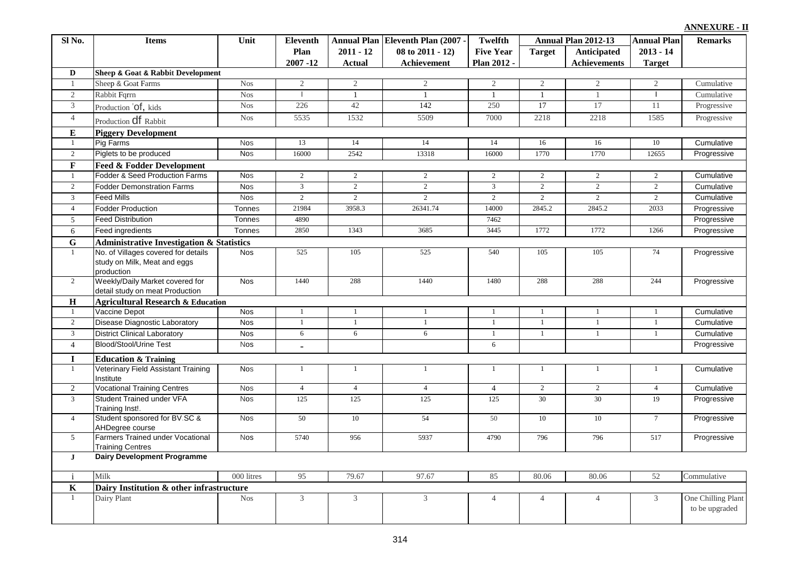| Sl No.                      | <b>Items</b>                                                  | Unit       | <b>Eleventh</b> |                | Annual Plan Eleventh Plan (2007 - | <b>Twelfth</b>   |                 | Annual Plan 2012-13 | <b>Annual Plan</b> | <b>Remarks</b>                       |
|-----------------------------|---------------------------------------------------------------|------------|-----------------|----------------|-----------------------------------|------------------|-----------------|---------------------|--------------------|--------------------------------------|
|                             |                                                               |            | Plan            | $2011 - 12$    | 08 to 2011 - 12)                  | <b>Five Year</b> | <b>Target</b>   | Anticipated         | $2013 - 14$        |                                      |
|                             |                                                               |            | $2007 - 12$     | <b>Actual</b>  | <b>Achievement</b>                | Plan 2012 -      |                 | <b>Achievements</b> | <b>Target</b>      |                                      |
| D                           | <b>Sheep &amp; Goat &amp; Rabbit Development</b>              |            |                 |                |                                   |                  |                 |                     |                    |                                      |
| -1                          | Sheep & Goat Farms                                            | <b>Nos</b> | $\mathbf{2}$    | 2              | $\overline{2}$                    | 2                | 2               | $\overline{2}$      | 2                  | Cumulative                           |
| $\overline{2}$              | Rabbit Fqrrn                                                  | <b>Nos</b> |                 | $\mathbf{1}$   | $\mathbf{1}$                      | $\mathbf{1}$     | $\overline{1}$  | $\overline{1}$      |                    | Cumulative                           |
| $\overline{3}$              | Production 'Of, kids                                          | <b>Nos</b> | 226             | 42             | 142                               | 250              | $\overline{17}$ | 17                  | 11                 | Progressive                          |
| $\overline{4}$              | Production <b>df</b> Rabbit                                   | <b>Nos</b> | 5535            | 1532           | 5509                              | 7000             | 2218            | 2218                | 1585               | Progressive                          |
| ${\bf E}$                   | <b>Piggery Development</b>                                    |            |                 |                |                                   |                  |                 |                     |                    |                                      |
| $\mathbf{1}$                | Pig Farms                                                     | <b>Nos</b> | 13              | 14             | 14                                | 14               | 16              | 16                  | 10                 | Cumulative                           |
| $\overline{2}$              | Piglets to be produced                                        | <b>Nos</b> | 16000           | 2542           | 13318                             | 16000            | 1770            | 1770                | 12655              | Progressive                          |
| $\mathbf F$                 | <b>Feed &amp; Fodder Development</b>                          |            |                 |                |                                   |                  |                 |                     |                    |                                      |
| $\mathbf{1}$                | Fodder & Seed Production Farms                                | <b>Nos</b> | $\sqrt{2}$      | $\sqrt{2}$     | $\overline{2}$                    | $\sqrt{2}$       | $\overline{2}$  | $\overline{2}$      | $\overline{2}$     | Cumulative                           |
| $\sqrt{2}$                  | <b>Fodder Demonstration Farms</b>                             | <b>Nos</b> | $\sqrt{3}$      | $\overline{2}$ | $\overline{2}$                    | $\mathfrak{Z}$   | $\sqrt{2}$      | $\sqrt{2}$          | $\sqrt{2}$         | Cumulative                           |
| $\overline{3}$              | <b>Feed Mills</b>                                             | <b>Nos</b> | $\overline{2}$  | $\overline{2}$ | $\overline{2}$                    | $\overline{2}$   | $\overline{2}$  | 2                   | $\overline{2}$     | Cumulative                           |
| $\overline{4}$              | <b>Fodder Production</b>                                      | Tonnes     | 21984           | 3958.3         | 26341.74                          | 14000            | 2845.2          | 2845.2              | 2033               | Progressive                          |
| $\mathfrak{S}$              | <b>Feed Distribution</b>                                      | Tonnes     | 4890            |                |                                   | 7462             |                 |                     |                    | Progressive                          |
| 6                           | Feed ingredients                                              | Tonnes     | 2850            | 1343           | 3685                              | 3445             | 1772            | 1772                | 1266               | Progressive                          |
| $\mathbf G$                 | <b>Administrative Investigation &amp; Statistics</b>          |            |                 |                |                                   |                  |                 |                     |                    |                                      |
| $\mathbf{1}$                | No. of Villages covered for details                           | <b>Nos</b> | 525             | 105            | 525                               | 540              | 105             | 105                 | 74                 | Progressive                          |
|                             | study on Milk, Meat and eggs                                  |            |                 |                |                                   |                  |                 |                     |                    |                                      |
|                             | production                                                    |            |                 |                |                                   |                  |                 |                     |                    |                                      |
| $\overline{2}$              | Weekly/Daily Market covered for                               | <b>Nos</b> | 1440            | 288            | 1440                              | 1480             | 288             | 288                 | 244                | Progressive                          |
|                             | detail study on meat Production                               |            |                 |                |                                   |                  |                 |                     |                    |                                      |
| $\mathbf H$<br>$\mathbf{1}$ | <b>Agricultural Research &amp; Education</b><br>Vaccine Depot | <b>Nos</b> |                 | $\mathbf{1}$   | $\mathbf{1}$                      | $\mathbf{1}$     | $\overline{1}$  | $\mathbf{1}$        |                    | Cumulative                           |
| 2                           | <b>Disease Diagnostic Laboratory</b>                          | <b>Nos</b> |                 | $\mathbf{1}$   | $\mathbf{1}$                      | 1                | $\overline{1}$  | -1                  | 1                  | Cumulative                           |
| $\overline{3}$              | <b>District Clinical Laboratory</b>                           | <b>Nos</b> | $\overline{6}$  | 6              | $\overline{6}$                    | $\mathbf{1}$     | $\mathbf{1}$    | $\mathbf{1}$        | $\mathbf{1}$       |                                      |
|                             |                                                               |            |                 |                |                                   | 6                |                 |                     |                    | Cumulative                           |
| $\overline{4}$              | Blood/Stool/Urine Test                                        | <b>Nos</b> | $\blacksquare$  |                |                                   |                  |                 |                     |                    | Progressive                          |
| $\mathbf I$                 | <b>Education &amp; Training</b>                               |            |                 |                |                                   |                  |                 |                     |                    |                                      |
| $\mathbf{1}$                | Veterinary Field Assistant Training<br>Institute              | <b>Nos</b> |                 | $\mathbf{1}$   | $\mathbf{1}$                      | $\mathbf{1}$     | $\overline{1}$  | $\overline{1}$      |                    | Cumulative                           |
| 2                           | <b>Vocational Training Centres</b>                            | <b>Nos</b> | $\overline{4}$  | $\overline{4}$ | $\overline{4}$                    | $\overline{4}$   | 2               | 2                   | $\overline{4}$     | Cumulative                           |
| $\overline{3}$              | Student Trained under VFA                                     | <b>Nos</b> | 125             | 125            | 125                               | 125              | 30              | $\overline{30}$     | 19                 | Progressive                          |
|                             | Training Inst!.<br>Student sponsored for BV.SC &              |            | 50              | 10             | 54                                |                  | 10              | 10                  | $7\overline{ }$    | Progressive                          |
| $\overline{4}$              | AHDegree course                                               | <b>Nos</b> |                 |                |                                   | 50               |                 |                     |                    |                                      |
| 5                           | Farmers Trained under Vocational                              | <b>Nos</b> | 5740            | 956            | 5937                              | 4790             | 796             | 796                 | 517                | Progressive                          |
|                             | <b>Training Centres</b>                                       |            |                 |                |                                   |                  |                 |                     |                    |                                      |
| $\mathbf{J}$                | <b>Dairy Development Programme</b>                            |            |                 |                |                                   |                  |                 |                     |                    |                                      |
|                             |                                                               |            |                 |                |                                   |                  |                 |                     |                    |                                      |
| $\mathbf{i}$                | Milk                                                          | 000 litres | 95              | 79.67          | 97.67                             | 85               | 80.06           | 80.06               | 52                 | Commulative                          |
| $\mathbf K$                 | Dairy Institution & other infrastructure                      |            |                 |                |                                   |                  |                 |                     |                    |                                      |
| $\mathbf{1}$                | Dairy Plant                                                   | <b>Nos</b> | 3               | $\mathfrak{Z}$ | $\mathfrak{Z}$                    | $\overline{4}$   | $\overline{4}$  | $\overline{4}$      | 3                  | One Chilling Plant<br>to be upgraded |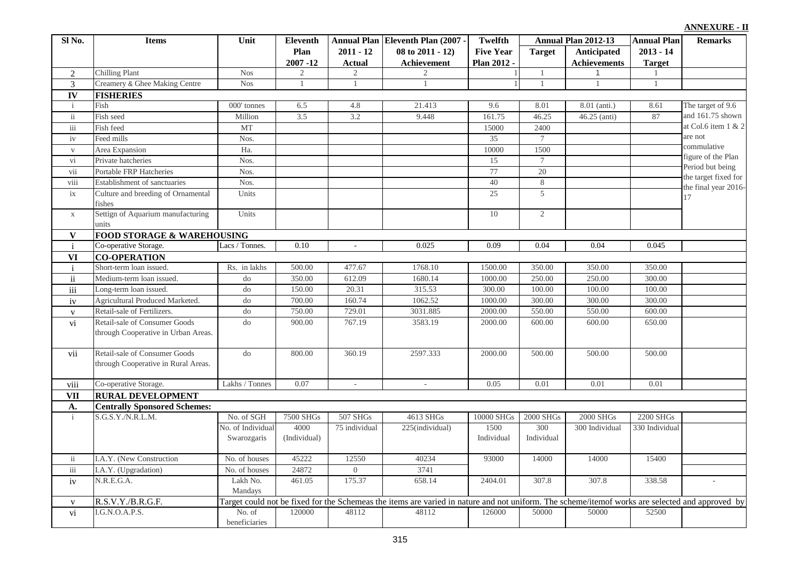#### **Target Anticipated Achievements Annual Plan 2011 - 12 Actual Eleventh Plan (2007) 08 to 2011 - 12) Achievement Twelfth Five Year Plan 2012 - Annual Plan 2012-13 Annual Plan Eleventh Remarks 2013 - 14 Target Plan**   $\frac{2007 - 12}{2}$ **Sl No. Items Unit** 2 Chilling Plant 1 Nos 2 2 2 1 1 1 1 1 1 3 Creamery & Ghee Making Centre Nos 1 1 1 1 1 1 1 1 1 1 1 1 1 **IV** i Fish 000' tonnes 6.5 4.8 21.413 9.6 8.01 8.01 (anti.) 8.61 ii Fish seed Million 3.5 3.2 9.448 161.75 46.25 46.25 (anti) 87 iii Fish feed  $MT$  MT 15000 2400 iv Feed mills 35 7 7 v Area Expansion Ha. 10000 1500 vi Private hatcheries Nos. Nos. 15 7 vii Portable FRP Hatcheries Nos. Nos. 1 20 viii Establishment of sanctuaries Nos. 40 8 ix Culture and breeding of Ornamental fishes Units 25 5 x Settign of Aquarium manufacturing units Units 10 2 **V** i Co-operative Storage. Lacs / Tonnes. 0.10 - 0.025 0.09 0.04 0.04 0.04 0.045 **VI** i Short-term loan issued. Rs. in lakhs 500.00 477.67 1768.10 1500.00 350.00 350.00 350.00 350.00 ii Medium-term loan issued. do 350.00 612.09 1680.14 1000.00 250.00 250.00 300.00 iii Long-term loan issued. do do 150.00 20.31 315.53 300.00 100.00 100.00 100.00 100.00 iv Agricultural Produced Marketed. do 700.00 160.74 1062.52 1000.00 300.00 300.00 300.00 300.00 300.00 300.00 300.00 300.00 300.00 300.00 300.00 300.00 300.00 300.00 300.00 300.00 300.00 300.00 300.00 300.00 300.00 300.00 v Retail-sale of Fertilizers. 1 do 750.00 729.01 3031.885 2000.00 550.00 550.00 600.00 vi Retail-sale of Consumer Goods through Cooperative in Urban Areas. do 900.00 767.19 3583.19 2000.00 600.00 600.00 650.00 vii Retail-sale of Consumer Goods through Cooperative in Rural Areas. do 800.00 360.19 2597.333 2000.00 500.00 500.00 500.00 viii Co-operative Storage. Lakhs / Tonnes 0.07 - 0.05 0.01 0.01 0.01 0.01 0.01 0.01 **VII A.** No. of SGH 7500 SHGs 507 SHGs 4613 SHGs 10000 SHGs 2000 SHGs 2000 SHGs 2200 SHGs No. of Individual Swarozgaris 4000 (Individual) 75 individual 225(individual) 1500 Individual 300 Individual 300 Individual 330 Individual ii I.A.Y. (New Construction No. of houses 45222 12550 40234 iii I.A.Y. (Upgradation)  $\qquad \qquad$  No. of houses  $24872 \qquad 0 \qquad 3741$ iv N.R.E.G.A. Lakh No. Mandays 461.05 175.37 658.14 2404.01 307.8 307.8 338.58 v R.S.V.Y./B.R.G.F. vi I.G.N.O.A.P.S. No. of beneficiaries 120000 48112 48112 48112 126000 50000 50000 52500 i 93000 14000 S.G.S.Y./N.R.L.M. 15400 Target could not be fixed for the Schemeas the items are varied in nature and not uniform. The scheme/itemof works are selected and approved by 14000 **RURAL DEVELOPMENT** The target of 9.6 and 161.75 shown at Col.6 item 1 & 2 are not commulative figure of the Plan Period but being the target fixed for the final year 2016- 17 **Centrally Sponsored Schemes: FISHERIES CO-OPERATION FOOD STORAGE & WAREHOUSING**<br>Co-operative Storage. [Lacs / Tonnes.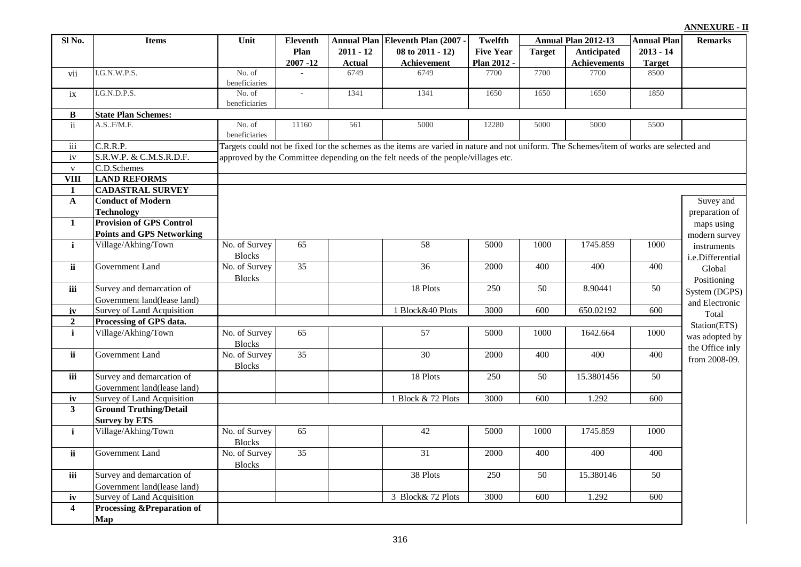| Sl No.                   | <b>Items</b>                                             | Unit                           |                 | <b>Eleventh</b><br>Annual Plan Eleventh Plan (2007 - |                                                                                                                                          | Twelfth          | Annual Plan 2012-13 |                     | <b>Annual Plan</b> | <b>Remarks</b>                    |
|--------------------------|----------------------------------------------------------|--------------------------------|-----------------|------------------------------------------------------|------------------------------------------------------------------------------------------------------------------------------------------|------------------|---------------------|---------------------|--------------------|-----------------------------------|
|                          |                                                          |                                | Plan            | $2011 - 12$                                          | 08 to 2011 - 12)                                                                                                                         | <b>Five Year</b> | <b>Target</b>       | Anticipated         | $2013 - 14$        |                                   |
|                          |                                                          |                                | $2007 - 12$     | Actual                                               | Achievement                                                                                                                              | Plan 2012 -      |                     | <b>Achievements</b> | <b>Target</b>      |                                   |
| vii                      | I.G.N.W.P.S.                                             | No. of<br>beneficiaries        |                 | 6749                                                 | 6749                                                                                                                                     | 7700             | 7700                | 7700                | 8500               |                                   |
| ix                       | I.G.N.D.P.S.                                             | No. of<br>beneficiaries        | $\sim$          | 1341                                                 | 1341                                                                                                                                     | 1650             | 1650                | 1650                | 1850               |                                   |
| $\bf{B}$                 | <b>State Plan Schemes:</b>                               |                                |                 |                                                      |                                                                                                                                          |                  |                     |                     |                    |                                   |
| ii                       | A.S., F/M.F.                                             | No. of<br>beneficiaries        | 11160           | 561                                                  | 5000                                                                                                                                     | 12280            | 5000                | 5000                | 5500               |                                   |
| iii                      | C.R.R.P.                                                 |                                |                 |                                                      | Targets could not be fixed for the schemes as the items are varied in nature and not uniform. The Schemes/item of works are selected and |                  |                     |                     |                    |                                   |
| iv                       | S.R.W.P. & C.M.S.R.D.F.                                  |                                |                 |                                                      | approved by the Committee depending on the felt needs of the people/villages etc.                                                        |                  |                     |                     |                    |                                   |
| $\mathbf{V}$             | C.D.Schemes                                              |                                |                 |                                                      |                                                                                                                                          |                  |                     |                     |                    |                                   |
| VIII                     | <b>LAND REFORMS</b>                                      |                                |                 |                                                      |                                                                                                                                          |                  |                     |                     |                    |                                   |
| $\mathbf{1}$             | <b>CADASTRAL SURVEY</b>                                  |                                |                 |                                                      |                                                                                                                                          |                  |                     |                     |                    |                                   |
| $\mathbf A$              | <b>Conduct of Modern</b>                                 |                                |                 |                                                      |                                                                                                                                          |                  |                     |                     |                    | Suvey and                         |
|                          | <b>Technology</b>                                        |                                |                 |                                                      |                                                                                                                                          |                  |                     |                     |                    | preparation of                    |
| $\mathbf{1}$             | <b>Provision of GPS Control</b>                          |                                |                 |                                                      |                                                                                                                                          |                  |                     |                     |                    | maps using                        |
|                          | <b>Points and GPS Networking</b>                         |                                |                 |                                                      |                                                                                                                                          |                  |                     |                     |                    | modern survey                     |
| $\mathbf{i}$             | Village/Akhing/Town                                      | No. of Survey<br><b>Blocks</b> | 65              |                                                      | 58                                                                                                                                       | 5000             | 1000                | 1745.859            | 1000               | instruments<br>i.e.Differential   |
| ii                       | <b>Government Land</b>                                   | No. of Survey<br><b>Blocks</b> | $\overline{35}$ |                                                      | 36                                                                                                                                       | 2000             | 400                 | 400                 | 400                | Global<br>Positioning             |
| iii                      | Survey and demarcation of                                |                                |                 |                                                      | 18 Plots                                                                                                                                 | 250              | 50                  | 8.90441             | 50                 | System (DGPS)                     |
|                          | Government land(lease land)                              |                                |                 |                                                      |                                                                                                                                          |                  |                     |                     |                    | and Electronic                    |
| iv                       | <b>Survey of Land Acquisition</b>                        |                                |                 |                                                      | 1 Block&40 Plots                                                                                                                         | 3000             | 600                 | 650.02192           | 600                | Total                             |
| $\overline{2}$           | Processing of GPS data.                                  |                                |                 |                                                      |                                                                                                                                          |                  |                     |                     |                    | Station(ETS)                      |
| $\mathbf{i}$             | Village/Akhing/Town                                      | No. of Survey<br><b>Blocks</b> | 65              |                                                      | 57                                                                                                                                       | 5000             | 1000                | 1642.664            | 1000               | was adopted by<br>the Office inly |
| $\overline{\mathbf{ii}}$ | Government Land                                          | No. of Survey<br><b>Blocks</b> | 35              |                                                      | $\overline{30}$                                                                                                                          | 2000             | 400                 | 400                 | 400                | from 2008-09.                     |
| iii                      | Survey and demarcation of<br>Government land(lease land) |                                |                 |                                                      | 18 Plots                                                                                                                                 | 250              | 50                  | 15.3801456          | 50                 |                                   |
| iv                       | Survey of Land Acquisition                               |                                |                 |                                                      | 1 Block & 72 Plots                                                                                                                       | 3000             | 600                 | 1.292               | 600                |                                   |
| $\overline{\mathbf{3}}$  | <b>Ground Truthing/Detail</b><br><b>Survey by ETS</b>    |                                |                 |                                                      |                                                                                                                                          |                  |                     |                     |                    |                                   |
| $\mathbf{i}$             | Village/Akhing/Town                                      | No. of Survey<br><b>Blocks</b> | $\overline{65}$ |                                                      | 42                                                                                                                                       | 5000             | 1000                | 1745.859            | 1000               |                                   |
| ii                       | <b>Government Land</b>                                   | No. of Survey<br><b>Blocks</b> | $\overline{35}$ |                                                      | $\overline{31}$                                                                                                                          | 2000             | 400                 | 400                 | 400                |                                   |
| iii                      | Survey and demarcation of                                |                                |                 |                                                      | 38 Plots                                                                                                                                 | 250              | 50                  | 15.380146           | 50                 |                                   |
|                          | Government land(lease land)                              |                                |                 |                                                      |                                                                                                                                          |                  |                     |                     |                    |                                   |
| iv                       | <b>Survey of Land Acquisition</b>                        |                                |                 |                                                      | 3 Block& 72 Plots                                                                                                                        | 3000             | 600                 | 1.292               | $\overline{600}$   |                                   |
| $\overline{\mathbf{4}}$  | <b>Processing &amp;Preparation of</b>                    |                                |                 |                                                      |                                                                                                                                          |                  |                     |                     |                    |                                   |
|                          | Map                                                      |                                |                 |                                                      |                                                                                                                                          |                  |                     |                     |                    |                                   |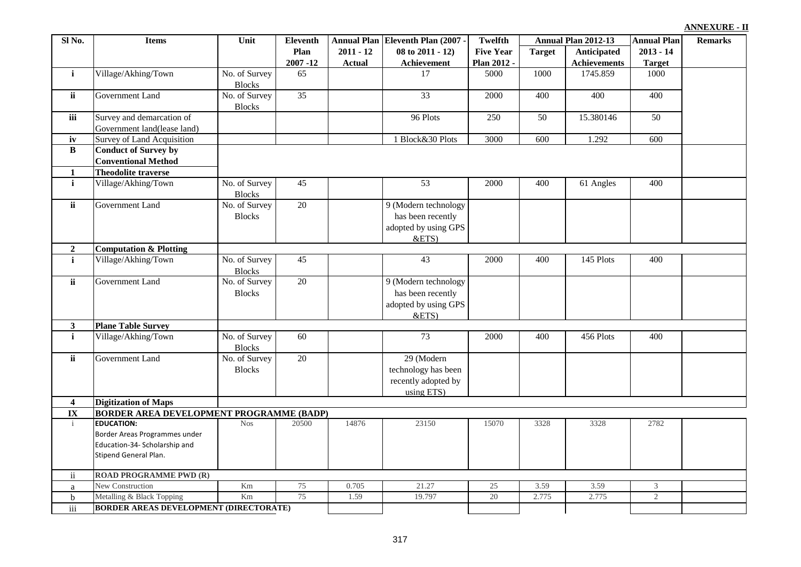| Sl No.              | <b>Items</b>                                    | Unit                           | <b>Eleventh</b>     |                              | Annual Plan Eleventh Plan (2007 -                                         | Twelfth                         |               | Annual Plan 2012-13                | <b>Annual Plan</b>           | <b>Remarks</b> |
|---------------------|-------------------------------------------------|--------------------------------|---------------------|------------------------------|---------------------------------------------------------------------------|---------------------------------|---------------|------------------------------------|------------------------------|----------------|
|                     |                                                 |                                | Plan<br>$2007 - 12$ | $2011 - 12$<br><b>Actual</b> | $08$ to $2011 - 12$ )<br>Achievement                                      | <b>Five Year</b><br>Plan 2012 - | <b>Target</b> | Anticipated<br><b>Achievements</b> | $2013 - 14$<br><b>Target</b> |                |
| $\mathbf{i}$        | Village/Akhing/Town                             | No. of Survey                  | 65                  |                              | 17                                                                        | 5000                            | 1000          | 1745.859                           | 1000                         |                |
|                     |                                                 | <b>Blocks</b>                  |                     |                              |                                                                           |                                 |               |                                    |                              |                |
| ii                  | <b>Government Land</b>                          | No. of Survey                  | 35                  |                              | 33                                                                        | 2000                            | 400           | 400                                | 400                          |                |
|                     |                                                 | <b>Blocks</b>                  |                     |                              |                                                                           |                                 |               |                                    |                              |                |
| iii                 | Survey and demarcation of                       |                                |                     |                              | 96 Plots                                                                  | 250                             | 50            | 15.380146                          | 50                           |                |
|                     | Government land(lease land)                     |                                |                     |                              |                                                                           |                                 |               |                                    |                              |                |
| iv                  | <b>Survey of Land Acquisition</b>               |                                |                     |                              | 1 Block&30 Plots                                                          | 3000                            | 600           | 1.292                              | 600                          |                |
| $\, {\bf B}$        | <b>Conduct of Survey by</b>                     |                                |                     |                              |                                                                           |                                 |               |                                    |                              |                |
|                     | <b>Conventional Method</b>                      |                                |                     |                              |                                                                           |                                 |               |                                    |                              |                |
| 1                   | <b>Theodolite traverse</b>                      |                                |                     |                              |                                                                           |                                 |               |                                    |                              |                |
| $\mathbf{i}$        | Village/Akhing/Town                             | No. of Survey<br><b>Blocks</b> | 45                  |                              | 53                                                                        | 2000                            | 400           | 61 Angles                          | 400                          |                |
| $\overline{ii}$     | <b>Government Land</b>                          | No. of Survey<br><b>Blocks</b> | 20                  |                              | 9 (Modern technology<br>has been recently<br>adopted by using GPS<br>&ETS |                                 |               |                                    |                              |                |
| $\overline{2}$      | <b>Computation &amp; Plotting</b>               |                                |                     |                              |                                                                           |                                 |               |                                    |                              |                |
| $\mathbf{i}$        | Village/Akhing/Town                             | No. of Survey<br><b>Blocks</b> | 45                  |                              | 43                                                                        | 2000                            | 400           | 145 Plots                          | 400                          |                |
| ii                  | Government Land                                 | No. of Survey                  | 20                  |                              | 9 (Modern technology                                                      |                                 |               |                                    |                              |                |
|                     |                                                 | <b>Blocks</b>                  |                     |                              | has been recently                                                         |                                 |               |                                    |                              |                |
|                     |                                                 |                                |                     |                              | adopted by using GPS                                                      |                                 |               |                                    |                              |                |
|                     |                                                 |                                |                     |                              | &ETS                                                                      |                                 |               |                                    |                              |                |
| $\mathbf{3}$        | <b>Plane Table Survey</b>                       |                                |                     |                              |                                                                           |                                 |               |                                    |                              |                |
| $\mathbf{i}$        | Village/Akhing/Town                             | No. of Survey<br><b>Blocks</b> | 60                  |                              | 73                                                                        | 2000                            | 400           | 456 Plots                          | 400                          |                |
| ii                  | Government Land                                 | No. of Survey                  | 20                  |                              | 29 (Modern                                                                |                                 |               |                                    |                              |                |
|                     |                                                 | <b>Blocks</b>                  |                     |                              | technology has been                                                       |                                 |               |                                    |                              |                |
|                     |                                                 |                                |                     |                              | recently adopted by                                                       |                                 |               |                                    |                              |                |
|                     |                                                 |                                |                     |                              | using ETS)                                                                |                                 |               |                                    |                              |                |
| $\boldsymbol{4}$    | <b>Digitization of Maps</b>                     |                                |                     |                              |                                                                           |                                 |               |                                    |                              |                |
| IX                  | <b>BORDER AREA DEVELOPMENT PROGRAMME (BADP)</b> |                                |                     |                              |                                                                           |                                 |               |                                    |                              |                |
| $\mathbf{i}$        | <b>EDUCATION:</b>                               | <b>Nos</b>                     | 20500               | 14876                        | 23150                                                                     | 15070                           | 3328          | 3328                               | 2782                         |                |
|                     | Border Areas Programmes under                   |                                |                     |                              |                                                                           |                                 |               |                                    |                              |                |
|                     | Education-34- Scholarship and                   |                                |                     |                              |                                                                           |                                 |               |                                    |                              |                |
|                     | Stipend General Plan.                           |                                |                     |                              |                                                                           |                                 |               |                                    |                              |                |
| $\ddot{\mathbf{i}}$ | <b>ROAD PROGRAMME PWD (R)</b>                   |                                |                     |                              |                                                                           |                                 |               |                                    |                              |                |
| a                   | New Construction                                | Km                             | 75                  | 0.705                        | 21.27                                                                     | 25                              | 3.59          | 3.59                               | 3                            |                |
| $\mathbf b$         | Metalling & Black Topping                       | Km                             | 75                  | 1.59                         | 19.797                                                                    | $\overline{20}$                 | 2.775         | 2.775                              | $\overline{2}$               |                |
| iii                 | <b>BORDER AREAS DEVELOPMENT (DIRECTORATE)</b>   |                                |                     |                              |                                                                           |                                 |               |                                    |                              |                |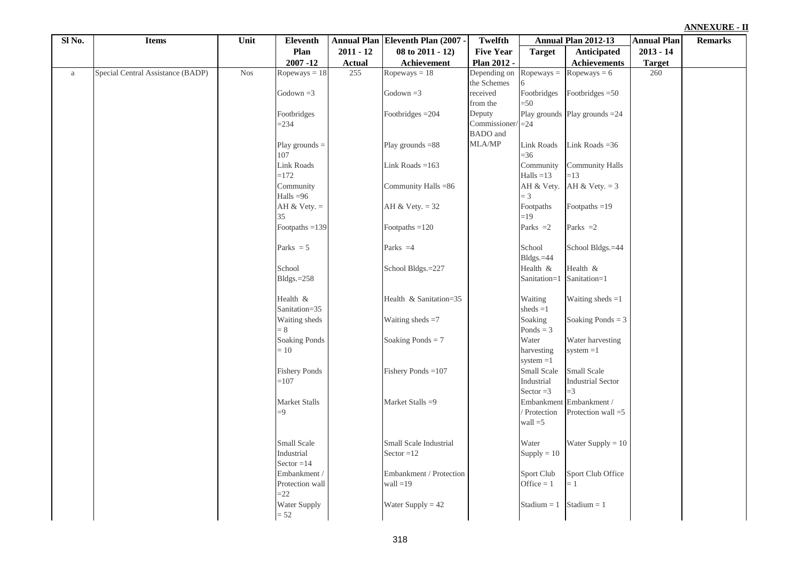| Sl No.   | <b>Items</b>                      | Unit       | <b>Eleventh</b>            |               | Annual Plan Eleventh Plan (2007 - | Twelfth                         |                         | Annual Plan 2012-13                | <b>Annual Plan</b> | <b>Remarks</b> |
|----------|-----------------------------------|------------|----------------------------|---------------|-----------------------------------|---------------------------------|-------------------------|------------------------------------|--------------------|----------------|
|          |                                   |            | Plan                       | $2011 - 12$   | 08 to 2011 - 12)                  | <b>Five Year</b>                | <b>Target</b>           | Anticipated                        | $2013 - 14$        |                |
|          |                                   |            | $2007 - 12$                | <b>Actual</b> | Achievement                       | Plan 2012 -                     |                         | Achievements                       | <b>Target</b>      |                |
| $\rm{a}$ | Special Central Assistance (BADP) | <b>Nos</b> | Ropeways $= 18$            | 255           | $Ropeways = 18$                   | Depending on                    | $Ropeways =$            | Ropeways $= 6$                     | 260                |                |
|          |                                   |            |                            |               |                                   | the Schemes                     |                         |                                    |                    |                |
|          |                                   |            | Godown $=3$                |               | Godown $=3$                       | received                        | Footbridges             | Footbridges $=50$                  |                    |                |
|          |                                   |            |                            |               |                                   | from the                        | $= 50$                  |                                    |                    |                |
|          |                                   |            | Footbridges                |               | Footbridges = 204                 | Deputy                          |                         | Play grounds Play grounds = 24     |                    |                |
|          |                                   |            | $= 234$                    |               |                                   | Commissioner<br><b>BADO</b> and | $=24$                   |                                    |                    |                |
|          |                                   |            |                            |               | Play grounds $=88$                | MLA/MP                          | <b>Link Roads</b>       | Link Roads $=36$                   |                    |                |
|          |                                   |            | Play grounds $=$<br>107    |               |                                   |                                 | $=$ 36                  |                                    |                    |                |
|          |                                   |            | <b>Link Roads</b>          |               | Link Roads $=163$                 |                                 | Community               | <b>Community Halls</b>             |                    |                |
|          |                                   |            | $=172$                     |               |                                   |                                 | Halls $=13$             | $=13$                              |                    |                |
|          |                                   |            | Community                  |               | Community Halls =86               |                                 | AH & Vety.              | AH & Vety. $= 3$                   |                    |                |
|          |                                   |            | Halls $=96$                |               |                                   |                                 | $=$ 3                   |                                    |                    |                |
|          |                                   |            | AH & Vety. $=$             |               | AH & Vety. $= 32$                 |                                 | Footpaths               | Footpaths $=19$                    |                    |                |
|          |                                   |            | 35                         |               |                                   |                                 | $=19$                   |                                    |                    |                |
|          |                                   |            | Footpaths $=$ 139          |               | Footpaths $=120$                  |                                 | Parks $=2$              | Parks $=2$                         |                    |                |
|          |                                   |            |                            |               |                                   |                                 |                         |                                    |                    |                |
|          |                                   |            | Parks $= 5$                |               | Parks $=4$                        |                                 | School                  | School Bldgs.=44                   |                    |                |
|          |                                   |            |                            |               |                                   |                                 | Bldgs.=44               |                                    |                    |                |
|          |                                   |            | School                     |               | School Bldgs.=227                 |                                 | Health &                | Health &                           |                    |                |
|          |                                   |            | $Bldgs.=258$               |               |                                   |                                 | Sanitation=1            | Sanitation=1                       |                    |                |
|          |                                   |            | Health &                   |               | Health & Sanitation=35            |                                 | Waiting                 | Waiting sheds $=1$                 |                    |                |
|          |                                   |            | Sanitation=35              |               |                                   |                                 | sheds $=1$              |                                    |                    |                |
|          |                                   |            | Waiting sheds              |               | Waiting sheds $=7$                |                                 | Soaking                 | Soaking Ponds = $3$                |                    |                |
|          |                                   |            | $= 8$                      |               |                                   |                                 | Ponds = $3$             |                                    |                    |                |
|          |                                   |            | <b>Soaking Ponds</b>       |               | Soaking Ponds = $7$               |                                 | Water                   | Water harvesting                   |                    |                |
|          |                                   |            | $= 10$                     |               |                                   |                                 | harvesting              | $system = 1$                       |                    |                |
|          |                                   |            |                            |               |                                   |                                 | $system = 1$            |                                    |                    |                |
|          |                                   |            | <b>Fishery Ponds</b>       |               | Fishery Ponds $=107$              |                                 | Small Scale             | Small Scale                        |                    |                |
|          |                                   |            | $=107$                     |               |                                   |                                 | Industrial              | <b>Industrial Sector</b>           |                    |                |
|          |                                   |            |                            |               |                                   |                                 | Sector $=3$             | $=$ 3                              |                    |                |
|          |                                   |            | <b>Market Stalls</b><br>-9 |               | Market Stalls =9                  |                                 | Embankmen<br>Protection | Embankment /<br>Protection wall =5 |                    |                |
|          |                                   |            |                            |               |                                   |                                 | wall $=5$               |                                    |                    |                |
|          |                                   |            |                            |               |                                   |                                 |                         |                                    |                    |                |
|          |                                   |            | Small Scale                |               | Small Scale Industrial            |                                 | Water                   | Water Supply $= 10$                |                    |                |
|          |                                   |            | Industrial                 |               | Sector $=12$                      |                                 | $Supply = 10$           |                                    |                    |                |
|          |                                   |            | Sector $=14$               |               |                                   |                                 |                         |                                    |                    |                |
|          |                                   |            | Embankment /               |               | Embankment / Protection           |                                 | Sport Club              | Sport Club Office                  |                    |                |
|          |                                   |            | Protection wall            |               | wall $=19$                        |                                 | Office $= 1$            | $=1$                               |                    |                |
|          |                                   |            | $=22$                      |               |                                   |                                 |                         |                                    |                    |                |
|          |                                   |            | Water Supply               |               | Water Supply $= 42$               |                                 | $Stadium = 1$           | $Stadium = 1$                      |                    |                |
|          |                                   |            | $= 52$                     |               |                                   |                                 |                         |                                    |                    |                |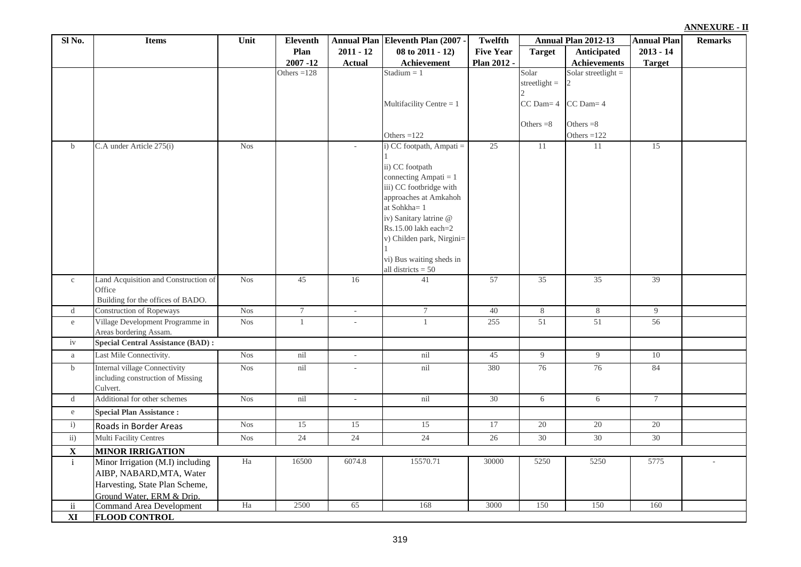|  | ANNEXURE - II |  |  |
|--|---------------|--|--|
|  |               |  |  |

| Sl No.                  | <b>Items</b>                                                                                                                | Unit       | Eleventh      |                          | Annual Plan Eleventh Plan (2007 -                                                                                                                                                                                                                | Twelfth          |                          | Annual Plan 2012-13          | <b>Annual Plan</b> | <b>Remarks</b> |
|-------------------------|-----------------------------------------------------------------------------------------------------------------------------|------------|---------------|--------------------------|--------------------------------------------------------------------------------------------------------------------------------------------------------------------------------------------------------------------------------------------------|------------------|--------------------------|------------------------------|--------------------|----------------|
|                         |                                                                                                                             |            | Plan          | $2011 - 12$              | $08$ to $2011 - 12$ )                                                                                                                                                                                                                            | <b>Five Year</b> | <b>Target</b>            | Anticipated                  | $2013 - 14$        |                |
|                         |                                                                                                                             |            | $2007 - 12$   | <b>Actual</b>            | Achievement                                                                                                                                                                                                                                      | Plan 2012 -      |                          | <b>Achievements</b>          | <b>Target</b>      |                |
|                         |                                                                                                                             |            | Others $=128$ |                          | Stadium $= 1$                                                                                                                                                                                                                                    |                  | Solar<br>streetlight $=$ | Solar streetlight $=$        |                    |                |
|                         |                                                                                                                             |            |               |                          | Multifacility Centre = $1$                                                                                                                                                                                                                       |                  | $CC$ Dam $=$ 4           | $CC$ Dam= $4$                |                    |                |
|                         |                                                                                                                             |            |               |                          | Others $=122$                                                                                                                                                                                                                                    |                  | Others $=8$              | Others $=8$<br>Others $=122$ |                    |                |
| $\mathbf b$             | C.A under Article 275(i)                                                                                                    | <b>Nos</b> |               | $\sim$                   | i) CC footpath, Ampati =                                                                                                                                                                                                                         | 25               | 11                       | 11                           | 15                 |                |
|                         |                                                                                                                             |            |               |                          | ii) CC footpath<br>connecting Ampati = $1$<br>iii) CC footbridge with<br>approaches at Amkahoh<br>at Sohkha=1<br>iv) Sanitary latrine @<br>Rs.15.00 lakh each=2<br>v) Childen park, Nirgini=<br>vi) Bus waiting sheds in<br>all districts $= 50$ |                  |                          |                              |                    |                |
| $\rm{c}$                | Land Acquisition and Construction of                                                                                        | <b>Nos</b> | 45            | 16                       | 41                                                                                                                                                                                                                                               | 57               | 35                       | 35                           | 39                 |                |
|                         | Office                                                                                                                      |            |               |                          |                                                                                                                                                                                                                                                  |                  |                          |                              |                    |                |
|                         | Building for the offices of BADO.                                                                                           |            |               |                          |                                                                                                                                                                                                                                                  |                  |                          |                              |                    |                |
| $\mathbf d$             | <b>Construction of Ropeways</b>                                                                                             | <b>Nos</b> | $\tau$        | $\omega$                 | $\overline{7}$                                                                                                                                                                                                                                   | 40               | 8                        | 8                            | 9                  |                |
| ${\rm e}$               | Village Development Programme in<br>Areas bordering Assam.                                                                  | <b>Nos</b> | $\mathbf{1}$  | $\sim$                   | $\mathbf{1}$                                                                                                                                                                                                                                     | 255              | 51                       | 51                           | 56                 |                |
| iv                      | <b>Special Central Assistance (BAD):</b>                                                                                    |            |               |                          |                                                                                                                                                                                                                                                  |                  |                          |                              |                    |                |
| a                       | Last Mile Connectivity.                                                                                                     | $Nos$      | nil           | $\overline{\phantom{a}}$ | nil                                                                                                                                                                                                                                              | 45               | 9                        | $\overline{9}$               | 10                 |                |
| $\mathbf b$             | <b>Internal village Connectivity</b><br>including construction of Missing<br>Culvert.                                       | <b>Nos</b> | nil           | ÷,                       | nil                                                                                                                                                                                                                                              | 380              | 76                       | 76                           | 84                 |                |
| $\mathbf d$             | Additional for other schemes                                                                                                | <b>Nos</b> | nil           | $\sim$                   | nil                                                                                                                                                                                                                                              | 30               | $6\overline{6}$          | 6                            | $7\overline{ }$    |                |
| ${\rm e}$               | <b>Special Plan Assistance:</b>                                                                                             |            |               |                          |                                                                                                                                                                                                                                                  |                  |                          |                              |                    |                |
| i)                      | Roads in Border Areas                                                                                                       | <b>Nos</b> | 15            | 15                       | 15                                                                                                                                                                                                                                               | 17               | 20                       | 20                           | 20                 |                |
| $\overline{ii}$ )       | <b>Multi Facility Centres</b>                                                                                               | <b>Nos</b> | 24            | 24                       | 24                                                                                                                                                                                                                                               | 26               | 30                       | 30                           | 30                 |                |
| $\overline{\mathbf{X}}$ | <b>MINOR IRRIGATION</b>                                                                                                     |            |               |                          |                                                                                                                                                                                                                                                  |                  |                          |                              |                    |                |
| $\mathbf i$             | Minor Irrigation (M.I) including<br>AIBP, NABARD, MTA, Water<br>Harvesting, State Plan Scheme,<br>Ground Water, ERM & Drip. | Ha         | 16500         | 6074.8                   | 15570.71                                                                                                                                                                                                                                         | 30000            | 5250                     | 5250                         | 5775               |                |
| $\mathbf{ii}$           | <b>Command Area Development</b>                                                                                             | Ha         | 2500          | 65                       | 168                                                                                                                                                                                                                                              | 3000             | 150                      | 150                          | 160                |                |
| XI                      | <b>FLOOD CONTROL</b>                                                                                                        |            |               |                          |                                                                                                                                                                                                                                                  |                  |                          |                              |                    |                |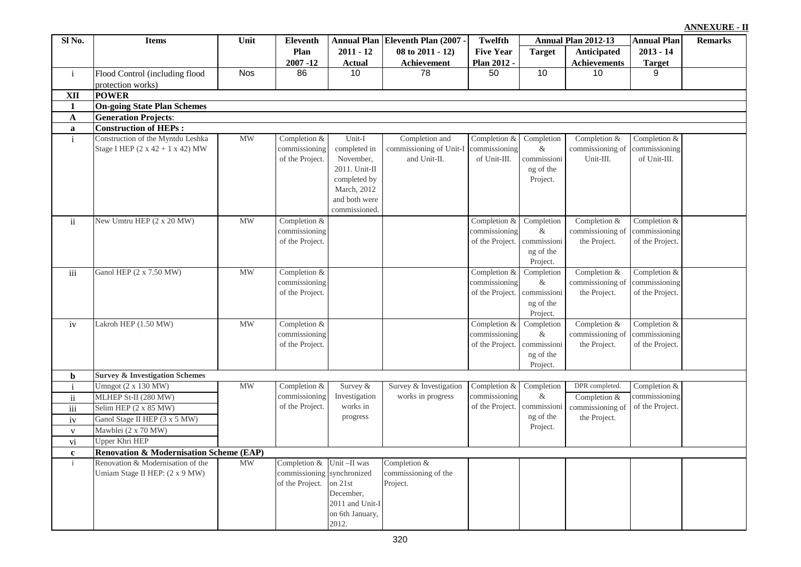|               |                                                                                   |                                 |                                                  |                                                                                                                       |                                                           |                                                  |                                                            |                                                    |                                                  | <b>ANNEXURE - II</b> |
|---------------|-----------------------------------------------------------------------------------|---------------------------------|--------------------------------------------------|-----------------------------------------------------------------------------------------------------------------------|-----------------------------------------------------------|--------------------------------------------------|------------------------------------------------------------|----------------------------------------------------|--------------------------------------------------|----------------------|
| Sl No.        | <b>Items</b>                                                                      | Unit                            | <b>Eleventh</b>                                  |                                                                                                                       | Annual Plan Eleventh Plan (2007 -                         | <b>Twelfth</b>                                   |                                                            | Annual Plan 2012-13                                | <b>Annual Plan</b>                               | <b>Remarks</b>       |
|               |                                                                                   |                                 | Plan                                             | $2011 - 12$                                                                                                           | $08$ to $2011 - 12$ )                                     | <b>Five Year</b>                                 | <b>Target</b>                                              | Anticipated                                        | $2013 - 14$                                      |                      |
|               |                                                                                   |                                 | $2007 - 12$                                      | <b>Actual</b>                                                                                                         | Achievement                                               | Plan 2012 -                                      |                                                            | <b>Achievements</b>                                | <b>Target</b>                                    |                      |
| $\mathbf{i}$  | Flood Control (including flood                                                    | <b>Nos</b>                      | 86                                               | 10                                                                                                                    | 78                                                        | 50                                               | 10                                                         | 10                                                 | 9                                                |                      |
|               | protection works)                                                                 |                                 |                                                  |                                                                                                                       |                                                           |                                                  |                                                            |                                                    |                                                  |                      |
| <b>XII</b>    | <b>POWER</b>                                                                      |                                 |                                                  |                                                                                                                       |                                                           |                                                  |                                                            |                                                    |                                                  |                      |
| 1             | <b>On-going State Plan Schemes</b>                                                |                                 |                                                  |                                                                                                                       |                                                           |                                                  |                                                            |                                                    |                                                  |                      |
| $\mathbf A$   | <b>Generation Projects:</b>                                                       |                                 |                                                  |                                                                                                                       |                                                           |                                                  |                                                            |                                                    |                                                  |                      |
| a             | <b>Construction of HEPs:</b>                                                      |                                 |                                                  |                                                                                                                       |                                                           |                                                  |                                                            |                                                    |                                                  |                      |
| $\mathbf{i}$  | Construction of the Myntdu Leshka<br>Stage I HEP $(2 \times 42 + 1 \times 42)$ MW | $\ensuremath{\text{MW}}\xspace$ | Completion &<br>commissioning<br>of the Project. | Unit-I<br>completed in<br>November,<br>2011. Unit-II<br>completed by<br>March, 2012<br>and both were<br>commissioned. | Completion and<br>commissioning of Unit-I<br>and Unit-II. | Completion &<br>commissioning<br>of Unit-III.    | Completion<br>$\&$<br>commissioni<br>ng of the<br>Project. | Completion &<br>commissioning of<br>Unit-III.      | Completion &<br>commissioning<br>of Unit-III.    |                      |
| $\mathbf{ii}$ | New Umtru HEP (2 x 20 MW)                                                         | <b>MW</b>                       | Completion &<br>commissioning<br>of the Project. |                                                                                                                       |                                                           | Completion &<br>commissioning<br>of the Project. | Completion<br>$\&$<br>commissioni<br>ng of the<br>Project. | Completion $&$<br>commissioning of<br>the Project. | Completion &<br>commissioning<br>of the Project. |                      |
| iii           | Ganol HEP (2 x 7.50 MW)                                                           | <b>MW</b>                       | Completion &<br>commissioning<br>of the Project. |                                                                                                                       |                                                           | Completion &<br>commissioning<br>of the Project. | Completion<br>$\&$<br>commissioni<br>ng of the<br>Project. | Completion &<br>commissioning of<br>the Project.   | Completion &<br>commissioning<br>of the Project. |                      |
| iv            | Lakroh HEP (1.50 MW)                                                              | <b>MW</b>                       | Completion &<br>commissioning<br>of the Project. |                                                                                                                       |                                                           | Completion &<br>commissioning<br>of the Project. | Completion<br>$\&$<br>commissioni<br>ng of the<br>Project. | Completion $&$<br>commissioning of<br>the Project. | Completion &<br>commissioning<br>of the Project. |                      |
| b             | <b>Survey &amp; Investigation Schemes</b>                                         |                                 |                                                  |                                                                                                                       |                                                           |                                                  |                                                            |                                                    |                                                  |                      |
| $\mathbf{i}$  | Umngot (2 x 130 MW)                                                               | MW                              | Completion &                                     | Survey $\&$                                                                                                           | Survey & Investigation                                    | Completion &                                     | Completion                                                 | DPR completed.                                     | Completion &                                     |                      |
| $\rm ii$      | MLHEP St-II (280 MW)                                                              |                                 | commissioning                                    | Investigation                                                                                                         | works in progress                                         | commissioning                                    | &                                                          | Completion &                                       | commissioning                                    |                      |
| iii           | Selim HEP $(2 \times 85 \text{ MW})$                                              |                                 | of the Project.                                  | works in                                                                                                              |                                                           | of the Project.                                  | commissioni                                                | commissioning of                                   | of the Project.                                  |                      |
| iv            | Ganol Stage II HEP (3 x 5 MW)                                                     |                                 |                                                  | progress                                                                                                              |                                                           |                                                  | ng of the<br>Project.                                      | the Project.                                       |                                                  |                      |
| $\mathbf{V}$  | Mawblei (2 x 70 MW)                                                               |                                 |                                                  |                                                                                                                       |                                                           |                                                  |                                                            |                                                    |                                                  |                      |
| vi            | <b>Upper Khri HEP</b>                                                             |                                 |                                                  |                                                                                                                       |                                                           |                                                  |                                                            |                                                    |                                                  |                      |
| $\mathbf c$   | <b>Renovation &amp; Modernisation Scheme (EAP)</b>                                |                                 |                                                  |                                                                                                                       |                                                           |                                                  |                                                            |                                                    |                                                  |                      |
| $\mathbf{i}$  | Renovation & Modernisation of the                                                 | <b>MW</b>                       | Completion & Unit-II was                         |                                                                                                                       | Completion &                                              |                                                  |                                                            |                                                    |                                                  |                      |
|               | Umiam Stage II HEP: (2 x 9 MW)                                                    |                                 | commissioning synchronized<br>of the Project.    | on 21st<br>December,<br>2011 and Unit-I<br>on 6th January,                                                            | commissioning of the<br>Project.                          |                                                  |                                                            |                                                    |                                                  |                      |
|               |                                                                                   |                                 |                                                  | 2012.                                                                                                                 |                                                           |                                                  |                                                            |                                                    |                                                  |                      |

320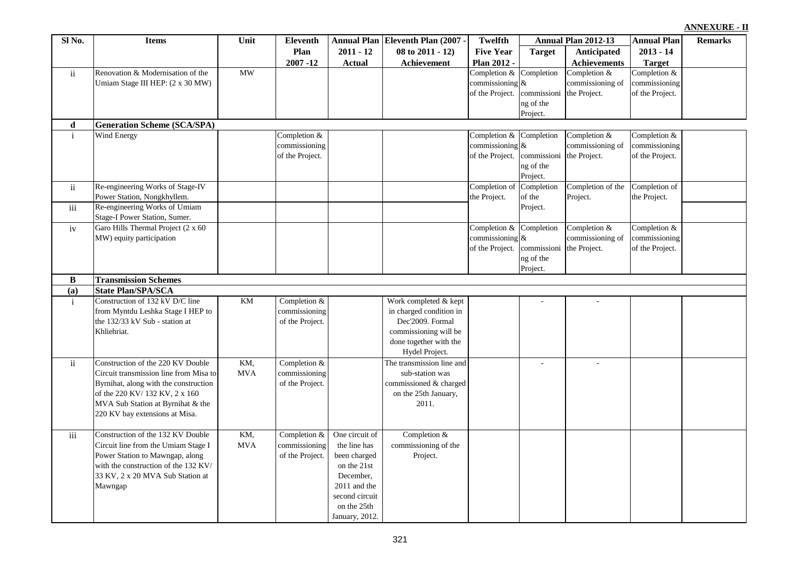| Eleventh                   |             | Annual Plan   Eleventh Plan (2007 - | Twelfth                                                            |                                                   | Annual Plan 2012-13                                | <b>Annual Plan</b>                                 | <b>Remarks</b> |
|----------------------------|-------------|-------------------------------------|--------------------------------------------------------------------|---------------------------------------------------|----------------------------------------------------|----------------------------------------------------|----------------|
| Plan                       | $2011 - 12$ | 08 to $2011 - 12$                   | <b>Five Year</b>                                                   | <b>Target</b>                                     | Anticipated                                        | $2013 - 14$                                        |                |
| $2007 - 12$                | Actual      | Achievement                         | <b>Plan 2012 -</b>                                                 |                                                   | Achievements                                       | <b>Target</b>                                      |                |
|                            |             |                                     | Completion $&$ Completion<br>commissioning $\&$<br>of the Project. | commissioni<br>ng of the                          | Completion $&$<br>commissioning of<br>the Project. | Completion $&$<br>commissioning<br>of the Project. |                |
|                            |             |                                     |                                                                    | Project.                                          |                                                    |                                                    |                |
|                            |             |                                     |                                                                    |                                                   |                                                    |                                                    |                |
| ompletion &<br>mmissioning |             |                                     | Completion & Completion<br>commissioning $\&$                      |                                                   | Completion &<br>commissioning of                   | Completion &<br>commissioning                      |                |
| the Project.               |             |                                     | of the Project.                                                    | commissioni the Project.<br>ng of the<br>Project. |                                                    | of the Project.                                    |                |
|                            |             |                                     | Completion of<br>the Project.                                      | Completion<br>of the                              | Completion of the<br>Project.                      | Completion of<br>the Project.                      |                |
|                            |             |                                     |                                                                    | Project.                                          |                                                    |                                                    |                |
|                            |             |                                     | Completion & Completion<br>commissionino R                         |                                                   | Completion $&$<br>commissioning of                 | Completion &<br>commissioning                      |                |

|                     |                                        |            | $2007 - 12$     | <b>Actual</b>  | Achievement               | Plan 2012 -        |             | Achievements      | <b>Target</b>   |  |
|---------------------|----------------------------------------|------------|-----------------|----------------|---------------------------|--------------------|-------------|-------------------|-----------------|--|
| ii                  | Renovation & Modernisation of the      | <b>MW</b>  |                 |                |                           | Completion &       | Completion  | Completion $&$    | Completion &    |  |
|                     | Umiam Stage III HEP: (2 x 30 MW)       |            |                 |                |                           | commissioning $\&$ |             | commissioning of  | commissioning   |  |
|                     |                                        |            |                 |                |                           | of the Project.    | commissioni | the Project.      | of the Project. |  |
|                     |                                        |            |                 |                |                           |                    | ng of the   |                   |                 |  |
|                     |                                        |            |                 |                |                           |                    | Project.    |                   |                 |  |
| d                   | <b>Generation Scheme (SCA/SPA)</b>     |            |                 |                |                           |                    |             |                   |                 |  |
| $\mathbf{i}$        | Wind Energy                            |            | Completion $&$  |                |                           | Completion &       | Completion  | Completion $&$    | Completion $&$  |  |
|                     |                                        |            | commissioning   |                |                           | commissioning $\&$ |             | commissioning of  | commissioning   |  |
|                     |                                        |            | of the Project. |                |                           | of the Project.    | commissioni | the Project.      | of the Project. |  |
|                     |                                        |            |                 |                |                           |                    | ng of the   |                   |                 |  |
|                     |                                        |            |                 |                |                           |                    | Project.    |                   |                 |  |
| $\ddot{\mathbf{i}}$ | Re-engineering Works of Stage-IV       |            |                 |                |                           | Completion of      | Completion  | Completion of the | Completion of   |  |
|                     | Power Station, Nongkhyllem.            |            |                 |                |                           | the Project.       | of the      | Project.          | the Project.    |  |
| $\rm iii$           | Re-engineering Works of Umiam          |            |                 |                |                           |                    | Project.    |                   |                 |  |
|                     | Stage-I Power Station, Sumer.          |            |                 |                |                           |                    |             |                   |                 |  |
| iv                  | Garo Hills Thermal Project (2 x 60     |            |                 |                |                           | Completion &       | Completion  | Completion &      | Completion $&$  |  |
|                     | MW) equity participation               |            |                 |                |                           | commissioning $\&$ |             | commissioning of  | commissioning   |  |
|                     |                                        |            |                 |                |                           | of the Project.    | commissioni | the Project.      | of the Project. |  |
|                     |                                        |            |                 |                |                           |                    | ng of the   |                   |                 |  |
|                     |                                        |            |                 |                |                           |                    | Project.    |                   |                 |  |
| $\bf{B}$            | <b>Transmission Schemes</b>            |            |                 |                |                           |                    |             |                   |                 |  |
| (a)                 | <b>State Plan/SPA/SCA</b>              |            |                 |                |                           |                    |             |                   |                 |  |
| $\mathbf{i}$        | Construction of 132 kV D/C line        | KM         | Completion $&$  |                | Work completed & kept     |                    |             |                   |                 |  |
|                     | from Myntdu Leshka Stage I HEP to      |            | commissioning   |                | in charged condition in   |                    |             |                   |                 |  |
|                     | the 132/33 kV Sub - station at         |            | of the Project. |                | Dec'2009. Formal          |                    |             |                   |                 |  |
|                     | Khliehriat.                            |            |                 |                | commissioning will be     |                    |             |                   |                 |  |
|                     |                                        |            |                 |                | done together with the    |                    |             |                   |                 |  |
|                     |                                        |            |                 |                | Hydel Project.            |                    |             |                   |                 |  |
| $\ddot{\mathbf{i}}$ | Construction of the 220 KV Double      | KM.        | Completion $&$  |                | The transmission line and |                    | $\sim$      | $\sim$            |                 |  |
|                     | Circuit transmission line from Misa to | <b>MVA</b> | commissioning   |                | sub-station was           |                    |             |                   |                 |  |
|                     | Byrnihat, along with the construction  |            | of the Project. |                | commissioned & charged    |                    |             |                   |                 |  |
|                     | of the 220 KV/132 KV, 2 x 160          |            |                 |                | on the 25th January,      |                    |             |                   |                 |  |
|                     | MVA Sub Station at Byrnihat & the      |            |                 |                | 2011.                     |                    |             |                   |                 |  |
|                     | 220 KV bay extensions at Misa.         |            |                 |                |                           |                    |             |                   |                 |  |
|                     |                                        |            |                 |                |                           |                    |             |                   |                 |  |
| $\rm iii$           | Construction of the 132 KV Double      | KM,        | Completion &    | One circuit of | Completion &              |                    |             |                   |                 |  |
|                     | Circuit line from the Umiam Stage I    | <b>MVA</b> | commissioning   | the line has   | commissioning of the      |                    |             |                   |                 |  |
|                     | Power Station to Mawngap, along        |            | of the Project. | been charged   | Project.                  |                    |             |                   |                 |  |
|                     | with the construction of the 132 KV/   |            |                 | on the 21st    |                           |                    |             |                   |                 |  |
|                     | 33 KV, 2 x 20 MVA Sub Station at       |            |                 | December,      |                           |                    |             |                   |                 |  |
|                     | Mawngap                                |            |                 | 2011 and the   |                           |                    |             |                   |                 |  |
|                     |                                        |            |                 | second circuit |                           |                    |             |                   |                 |  |
|                     |                                        |            |                 | on the 25th    |                           |                    |             |                   |                 |  |
|                     |                                        |            |                 | January, 2012. |                           |                    |             |                   |                 |  |

**Sl No. Items Unit**

 $\blacksquare$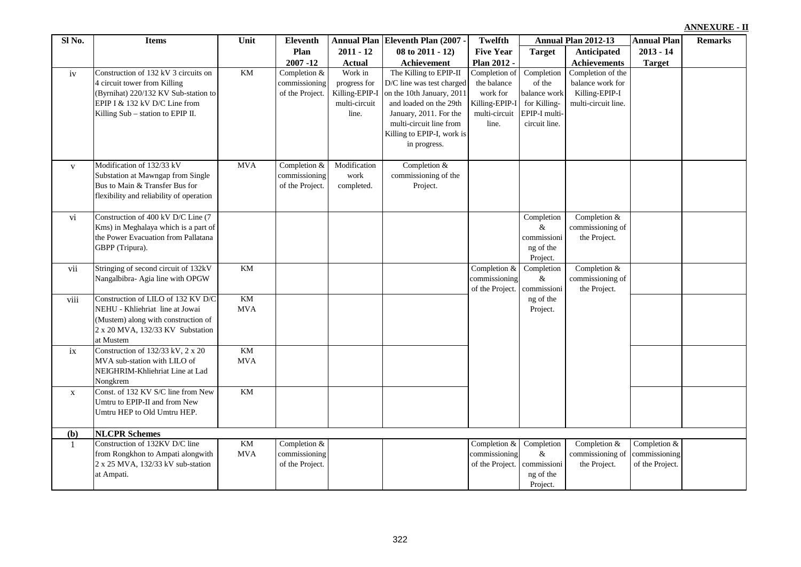| iv           | Construction of 132 kV 3 circuits on<br>4 circuit tower from Killing<br>(Byrnihat) 220/132 KV Sub-station to<br>EPIP I & 132 kV D/C Line from<br>Killing Sub - station to EPIP II. | KM               | Completion $&$<br>commissioning<br>of the Project. | Work in<br>progress for<br>Killing-EPIP-I<br>multi-circuit<br>line. | The Killing to EPIP-II<br>D/C line was test charged<br>on the 10th January, 2011<br>and loaded on the 29th<br>January, 2011. For the<br>multi-circuit line from<br>Killing to EPIP-I, work is<br>in progress. | Completion of<br>the balance<br>work for<br>Killing-EPIP-I<br>multi-circuit<br>line. | Completion<br>of the<br>balance work<br>for Killing-<br>EPIP-I multi-<br>circuit line. | Completion of the<br>balance work for<br>Killing-EPIP-I<br>multi-circuit line. |              |  |
|--------------|------------------------------------------------------------------------------------------------------------------------------------------------------------------------------------|------------------|----------------------------------------------------|---------------------------------------------------------------------|---------------------------------------------------------------------------------------------------------------------------------------------------------------------------------------------------------------|--------------------------------------------------------------------------------------|----------------------------------------------------------------------------------------|--------------------------------------------------------------------------------|--------------|--|
| $\mathbf{V}$ | Modification of 132/33 kV<br>Substation at Mawngap from Single<br>Bus to Main & Transfer Bus for<br>flexibility and reliability of operation                                       | <b>MVA</b>       | Completion $&$<br>commissioning<br>of the Project. | Modification<br>work<br>completed.                                  | Completion $&$<br>commissioning of the<br>Project.                                                                                                                                                            |                                                                                      |                                                                                        |                                                                                |              |  |
| vi           | Construction of 400 kV D/C Line (7<br>Kms) in Meghalaya which is a part of<br>the Power Evacuation from Pallatana<br>GBPP (Tripura).                                               |                  |                                                    |                                                                     |                                                                                                                                                                                                               |                                                                                      | Completion<br>&<br>commissioni<br>ng of the<br>Project.                                | Completion &<br>commissioning of<br>the Project.                               |              |  |
| vii          | Stringing of second circuit of 132kV<br>Nangalbibra- Agia line with OPGW                                                                                                           | <b>KM</b>        |                                                    |                                                                     |                                                                                                                                                                                                               | Completion &<br>commissioning<br>of the Project.                                     | Completion<br>$\&$<br>commissioni                                                      | Completion $&$<br>commissioning of<br>the Project.                             |              |  |
| viii         | Construction of LILO of 132 KV D/C<br>NEHU - Khliehriat line at Jowai<br>(Mustem) along with construction of<br>2 x 20 MVA, 132/33 KV Substation<br>at Mustem                      | KM<br><b>MVA</b> |                                                    |                                                                     |                                                                                                                                                                                                               |                                                                                      | ng of the<br>Project.                                                                  |                                                                                |              |  |
| ix           | Construction of 132/33 kV, 2 x 20<br>MVA sub-station with LILO of<br>NEIGHRIM-Khliehriat Line at Lad<br>Nongkrem                                                                   | KM<br><b>MVA</b> |                                                    |                                                                     |                                                                                                                                                                                                               |                                                                                      |                                                                                        |                                                                                |              |  |
| $\mathbf{X}$ | Const. of 132 KV S/C line from New<br>Umtru to EPIP-II and from New<br>Umtru HEP to Old Umtru HEP.                                                                                 | KM               |                                                    |                                                                     |                                                                                                                                                                                                               |                                                                                      |                                                                                        |                                                                                |              |  |
| (b)          | <b>NLCPR Schemes</b>                                                                                                                                                               |                  |                                                    |                                                                     |                                                                                                                                                                                                               |                                                                                      |                                                                                        |                                                                                |              |  |
|              | Construction of 132KV D/C line<br>from Rongkhon to Ampati alongwith                                                                                                                | KM<br><b>MVA</b> | Completion &<br>commissioning                      |                                                                     |                                                                                                                                                                                                               | Completion &<br>commissioning                                                        | Completion<br>$\&$                                                                     | Completion &<br>commissioning of commissioning                                 | Completion & |  |

**Eleventh Plan (2007) 08 to 2011 - 12) Achievement**

**Twelfth Five Year Plan 2012 -** 

**Annual Plan 2012-13 Annual Plan Eleventh Remarks**

of the Project. commissioni

ng of the Project.

the Project.

of the Project.

**Annual Plan 2011 - 12 Actual** 

**Plan 2007 -12** 

of the Project.

**Sl No. Items Unit**

2 x 25 MVA, 132/33 kV sub-station

at Ampati.

**Target Anticipated** 

**Achievements**

**2013 - 14 Target**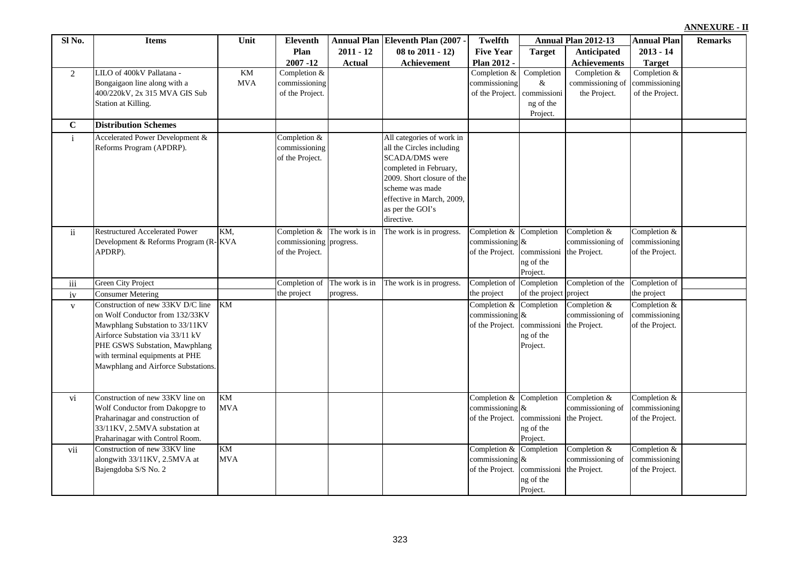| Sl No.         | <b>Items</b>                                                                                                                                                                                                                                            | Unit                    | <b>Eleventh</b>                                            |                | Annual Plan Eleventh Plan (2007 -                                                                                                                                                                                         | Twelfth                                               |                                                                      | Annual Plan 2012-13                                | <b>Annual Plan</b>                                 | <b>Remarks</b> |
|----------------|---------------------------------------------------------------------------------------------------------------------------------------------------------------------------------------------------------------------------------------------------------|-------------------------|------------------------------------------------------------|----------------|---------------------------------------------------------------------------------------------------------------------------------------------------------------------------------------------------------------------------|-------------------------------------------------------|----------------------------------------------------------------------|----------------------------------------------------|----------------------------------------------------|----------------|
|                |                                                                                                                                                                                                                                                         |                         | Plan                                                       | $2011 - 12$    | 08 to 2011 - 12)                                                                                                                                                                                                          | <b>Five Year</b>                                      | <b>Target</b>                                                        | Anticipated                                        | $2013 - 14$                                        |                |
|                |                                                                                                                                                                                                                                                         |                         | $2007 - 12$                                                | <b>Actual</b>  | Achievement                                                                                                                                                                                                               | Plan 2012 -                                           |                                                                      | <b>Achievements</b>                                | <b>Target</b>                                      |                |
| $\overline{2}$ | LILO of 400kV Pallatana -<br>Bongaigaon line along with a<br>400/220kV, 2x 315 MVA GIS Sub<br>Station at Killing.                                                                                                                                       | <b>KM</b><br><b>MVA</b> | Completion $&$<br>commissioning<br>of the Project.         |                |                                                                                                                                                                                                                           | Completion &<br>commissioning<br>of the Project.      | Completion<br>&<br>commissioni<br>ng of the<br>Project.              | Completion $&$<br>commissioning of<br>the Project. | Completion $&$<br>commissioning<br>of the Project. |                |
| $\mathbf C$    | <b>Distribution Schemes</b>                                                                                                                                                                                                                             |                         |                                                            |                |                                                                                                                                                                                                                           |                                                       |                                                                      |                                                    |                                                    |                |
| $\mathbf{i}$   | Accelerated Power Development &<br>Reforms Program (APDRP).                                                                                                                                                                                             |                         | Completion &<br>commissioning<br>of the Project.           |                | All categories of work in<br>all the Circles including<br><b>SCADA/DMS</b> were<br>completed in February,<br>2009. Short closure of the<br>scheme was made<br>effective in March, 2009,<br>as per the GOI's<br>directive. |                                                       |                                                                      |                                                    |                                                    |                |
| ii             | <b>Restructured Accelerated Power</b><br>Development & Reforms Program (R-KVA<br>APDRP).                                                                                                                                                                | KM,                     | Completion &<br>commissioning progress.<br>of the Project. | The work is in | The work is in progress.                                                                                                                                                                                                  | Completion &<br>commissioning<br>of the Project.      | Completion<br>&<br>commissioni the Project.<br>ng of the<br>Project. | Completion $&$<br>commissioning of                 | Completion &<br>commissioning<br>of the Project.   |                |
| iii            | <b>Green City Project</b>                                                                                                                                                                                                                               |                         | Completion of                                              | The work is in | The work is in progress.                                                                                                                                                                                                  | Completion of                                         | Completion                                                           | Completion of the                                  | Completion of                                      |                |
| iv             | <b>Consumer Metering</b>                                                                                                                                                                                                                                |                         | the project                                                | progress.      |                                                                                                                                                                                                                           | the project                                           | of the project                                                       | project                                            | the project                                        |                |
| $\mathbf{V}$   | Construction of new 33KV D/C line<br>on Wolf Conductor from 132/33KV<br>Mawphlang Substation to 33/11KV<br>Airforce Substation via 33/11 kV<br>PHE GSWS Substation, Mawphlang<br>with terminal equipments at PHE<br>Mawphlang and Airforce Substations. | <b>KM</b>               |                                                            |                |                                                                                                                                                                                                                           | Completion &<br>commissioning<br>of the Project.      | Completion<br>$\&$<br>commissioni<br>ng of the<br>Project.           | Completion &<br>commissioning of<br>the Project.   | Completion &<br>commissioning<br>of the Project.   |                |
| vi             | Construction of new 33KV line on<br>Wolf Conductor from Dakopgre to<br>Praharinagar and construction of<br>33/11KV, 2.5MVA substation at<br>Praharinagar with Control Room.                                                                             | KM<br><b>MVA</b>        |                                                            |                |                                                                                                                                                                                                                           | Completion &<br>commissioning $\&$<br>of the Project. | Completion<br>commissioni the Project.<br>ng of the<br>Project.      | Completion $&$<br>commissioning of                 | Completion $&$<br>commissioning<br>of the Project. |                |
| vii            | Construction of new 33KV line<br>alongwith 33/11KV, 2.5MVA at<br>Bajengdoba S/S No. 2                                                                                                                                                                   | KM<br><b>MVA</b>        |                                                            |                |                                                                                                                                                                                                                           | Completion $&$<br>commissioning<br>of the Project.    | Completion<br>&<br>commissioni<br>ng of the<br>Project.              | Completion $&$<br>commissioning of<br>the Project. | Completion $&$<br>commissioning<br>of the Project. |                |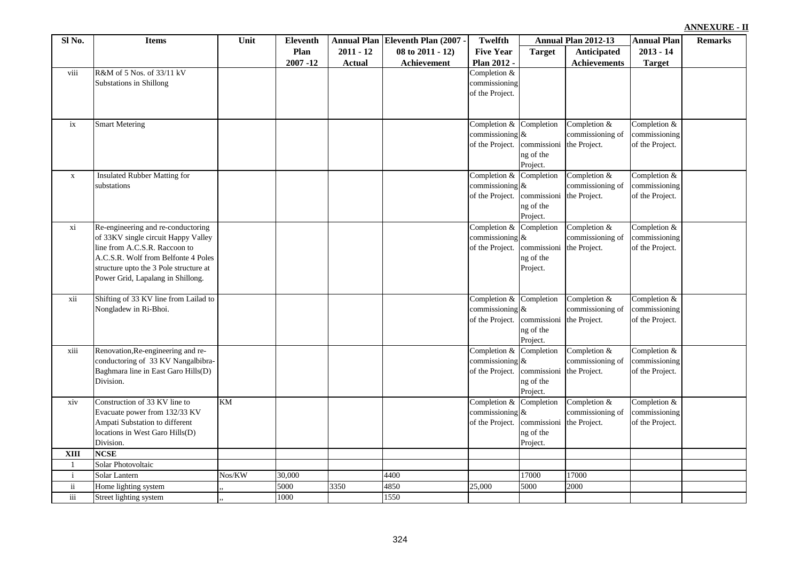|  | ANNEXURE - II |  |  |
|--|---------------|--|--|
|  |               |  |  |

| Sl No.                         | <b>Items</b>                           | Unit   | Eleventh       |               | Annual Plan Eleventh Plan (2007 - | <b>Twelfth</b>                        |                          | Annual Plan 2012-13              | <b>Annual Plan</b>            | <b>Remarks</b> |
|--------------------------------|----------------------------------------|--------|----------------|---------------|-----------------------------------|---------------------------------------|--------------------------|----------------------------------|-------------------------------|----------------|
|                                |                                        |        | Plan           | $2011 - 12$   | 08 to 2011 - 12)                  | <b>Five Year</b>                      | <b>Target</b>            | Anticipated                      | $2013 - 14$                   |                |
|                                |                                        |        | $2007 - 12$    | <b>Actual</b> | Achievement                       | Plan 2012 -                           |                          | Achievements                     | <b>Target</b>                 |                |
| viii                           | R&M of 5 Nos. of 33/11 kV              |        |                |               |                                   | Completion $&$                        |                          |                                  |                               |                |
|                                | Substations in Shillong                |        |                |               |                                   | commissioning                         |                          |                                  |                               |                |
|                                |                                        |        |                |               |                                   | of the Project.                       |                          |                                  |                               |                |
|                                |                                        |        |                |               |                                   |                                       |                          |                                  |                               |                |
|                                |                                        |        |                |               |                                   |                                       |                          |                                  |                               |                |
| ix                             | <b>Smart Metering</b>                  |        |                |               |                                   | Completion &                          | Completion               | Completion &                     | Completion &                  |                |
|                                |                                        |        |                |               |                                   | commissioning &                       |                          | commissioning of                 | commissioning                 |                |
|                                |                                        |        |                |               |                                   | of the Project.                       | commissioni the Project. |                                  | of the Project.               |                |
|                                |                                        |        |                |               |                                   |                                       | ng of the<br>Project.    |                                  |                               |                |
| $\mathbf X$                    | Insulated Rubber Matting for           |        |                |               |                                   | Completion & Completion               |                          | Completion $&$                   | Completion $&$                |                |
|                                | substations                            |        |                |               |                                   | commissioning $\&$                    |                          | commissioning of                 | commissioning                 |                |
|                                |                                        |        |                |               |                                   | of the Project.                       | commissioni              | the Project.                     | of the Project.               |                |
|                                |                                        |        |                |               |                                   |                                       | ng of the                |                                  |                               |                |
|                                |                                        |        |                |               |                                   |                                       | Project.                 |                                  |                               |                |
| xi                             | Re-engineering and re-conductoring     |        |                |               |                                   | Completion & Completion               |                          | Completion $&$                   | Completion $&$                |                |
|                                | of 33KV single circuit Happy Valley    |        |                |               |                                   | commissioning $\&$                    |                          | commissioning of                 | commissioning                 |                |
|                                | line from A.C.S.R. Raccoon to          |        |                |               |                                   | of the Project.                       | commissioni              | the Project.                     | of the Project.               |                |
|                                | A.C.S.R. Wolf from Belfonte 4 Poles    |        |                |               |                                   |                                       | ng of the                |                                  |                               |                |
|                                | structure upto the 3 Pole structure at |        |                |               |                                   |                                       | Project.                 |                                  |                               |                |
|                                | Power Grid, Lapalang in Shillong.      |        |                |               |                                   |                                       |                          |                                  |                               |                |
|                                |                                        |        |                |               |                                   |                                       |                          |                                  |                               |                |
| xii                            | Shifting of 33 KV line from Lailad to  |        |                |               |                                   | Completion & Completion               |                          | Completion &<br>commissioning of | Completion &<br>commissioning |                |
|                                | Nongladew in Ri-Bhoi.                  |        |                |               |                                   | commissioning $\&$<br>of the Project. | commissioni              | the Project.                     | of the Project.               |                |
|                                |                                        |        |                |               |                                   |                                       | ng of the                |                                  |                               |                |
|                                |                                        |        |                |               |                                   |                                       | Project.                 |                                  |                               |                |
| xiii                           | Renovation, Re-engineering and re-     |        |                |               |                                   | Completion & Completion               |                          | Completion $&$                   | Completion &                  |                |
|                                | conductoring of 33 KV Nangalbibra-     |        |                |               |                                   | commissioning $\&$                    |                          | commissioning of                 | commissioning                 |                |
|                                | Baghmara line in East Garo Hills(D)    |        |                |               |                                   | of the Project.                       | commissioni the Project. |                                  | of the Project.               |                |
|                                | Division.                              |        |                |               |                                   |                                       | ng of the                |                                  |                               |                |
|                                |                                        |        |                |               |                                   |                                       | Project.                 |                                  |                               |                |
| xiv                            | Construction of 33 KV line to          | KM     |                |               |                                   | Completion & Completion               |                          | Completion &                     | Completion &                  |                |
|                                | Evacuate power from 132/33 KV          |        |                |               |                                   | commissioning $\&$                    |                          | commissioning of                 | commissioning                 |                |
|                                | Ampati Substation to different         |        |                |               |                                   | of the Project.                       | commissioni              | the Project.                     | of the Project.               |                |
|                                | locations in West Garo Hills(D)        |        |                |               |                                   |                                       | ng of the                |                                  |                               |                |
|                                | Division.                              |        |                |               |                                   |                                       | Project.                 |                                  |                               |                |
| <b>XIII</b>                    | <b>NCSE</b>                            |        |                |               |                                   |                                       |                          |                                  |                               |                |
| $\mathbf{1}$                   | Solar Photovoltaic                     |        |                |               |                                   |                                       |                          |                                  |                               |                |
| $\mathbf{i}$<br>$\ddot{\rm n}$ | Solar Lantern                          | Nos/KW | 30,000<br>5000 | 3350          | 4400<br>4850                      | 25,000                                | 17000<br>5000            | 17000                            |                               |                |
| iii                            | Home lighting system                   |        |                |               | 1550                              |                                       |                          | 2000                             |                               |                |
|                                | Street lighting system                 |        | 1000           |               |                                   |                                       |                          |                                  |                               |                |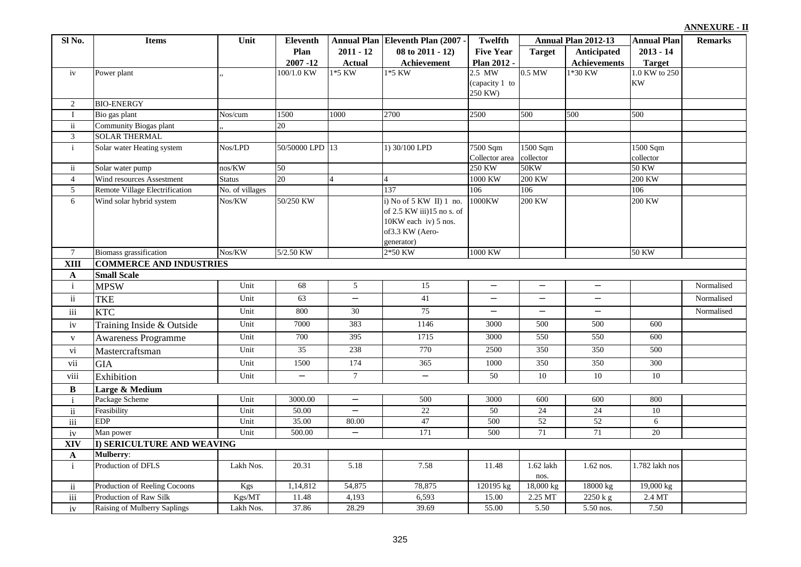|  | ANNEXURE - II |  |  |
|--|---------------|--|--|
|  |               |  |  |

| Sl No.              | <b>Items</b>                   | Unit            | <b>Eleventh</b>   |                          | Annual Plan Eleventh Plan (2007 -                    | <b>Twelfth</b>           |                   | Annual Plan 2012-13           | <b>Annual Plan</b> | <b>Remarks</b> |
|---------------------|--------------------------------|-----------------|-------------------|--------------------------|------------------------------------------------------|--------------------------|-------------------|-------------------------------|--------------------|----------------|
|                     |                                |                 | Plan              | $2011 - 12$              | 08 to 2011 - 12)                                     | <b>Five Year</b>         | <b>Target</b>     | Anticipated                   | $2013 - 14$        |                |
|                     |                                |                 | $2007 - 12$       | <b>Actual</b>            | Achievement                                          | Plan 2012 -              |                   | <b>Achievements</b>           | <b>Target</b>      |                |
| iv                  | Power plant                    |                 | 100/1.0 KW        | 1*5 KW                   | $1*5$ KW                                             | $2.5$ MW                 | $0.5$ MW          | 1*30 KW                       | 1.0 KW to 250      |                |
|                     |                                |                 |                   |                          |                                                      | (capacity 1 to           |                   |                               | <b>KW</b>          |                |
|                     |                                |                 |                   |                          |                                                      | 250 KW)                  |                   |                               |                    |                |
| 2                   | <b>BIO-ENERGY</b>              |                 |                   |                          |                                                      |                          |                   |                               |                    |                |
| $\mathbf I$         | Bio gas plant                  | Nos/cum         | 1500              | 1000                     | 2700                                                 | 2500                     | 500               | 500                           | 500                |                |
| $\mathbf{ii}$       | Community Biogas plant         |                 | 20                |                          |                                                      |                          |                   |                               |                    |                |
| 3                   | <b>SOLAR THERMAL</b>           |                 |                   |                          |                                                      |                          |                   |                               |                    |                |
| $\mathbf{i}$        | Solar water Heating system     | Nos/LPD         | 50/50000 LPD 13   |                          | 1) 30/100 LPD                                        | 7500 Sqm                 | 1500 Sqm          |                               | 1500 Sqm           |                |
|                     |                                |                 |                   |                          |                                                      | Collector area           | collector         |                               | collector          |                |
| $\ddot{\mathbf{i}}$ | Solar water pump               | nos/KW          | 50                |                          |                                                      | 250 KW                   | <b>50KW</b>       |                               | <b>50 KW</b>       |                |
| $\overline{4}$      | Wind resources Assestment      | Status          | 20                | $\overline{4}$           |                                                      | 1000 KW                  | 200 KW            |                               | <b>200 KW</b>      |                |
| $\overline{5}$      | Remote Village Electrification | No. of villages |                   |                          | 137                                                  | 106                      | 106               |                               | 106                |                |
| 6                   | Wind solar hybrid system       | Nos/KW          | 50/250 KW         |                          | i) No of 5 KW II) 1 no.<br>of 2.5 KW iii)15 no s. of | 1000KW                   | <b>200 KW</b>     |                               | <b>200 KW</b>      |                |
|                     |                                |                 |                   |                          | 10KW each iv) 5 nos.                                 |                          |                   |                               |                    |                |
|                     |                                |                 |                   |                          | of3.3 KW (Aero-                                      |                          |                   |                               |                    |                |
|                     |                                |                 |                   |                          | generator)                                           |                          |                   |                               |                    |                |
| $\tau$              | <b>Biomass</b> grassification  | Nos/KW          | 5/2.50 KW         |                          | 2*50 KW                                              | 1000 KW                  |                   |                               | <b>50 KW</b>       |                |
| <b>XIII</b>         | <b>COMMERCE AND INDUSTRIES</b> |                 |                   |                          |                                                      |                          |                   |                               |                    |                |
| $\mathbf{A}$        | <b>Small Scale</b>             |                 |                   |                          |                                                      |                          |                   |                               |                    |                |
| $\mathbf{i}$        | <b>MPSW</b>                    | Unit            | 68                | $\overline{5}$           | 15                                                   | $\overline{\phantom{0}}$ | $\qquad \qquad -$ | $\overline{\phantom{m}}$      |                    | Normalised     |
| $\mathbf{ii}$       | <b>TKE</b>                     | Unit            | 63                | $\overline{\phantom{0}}$ | 41                                                   | $\overline{\phantom{0}}$ | $\qquad \qquad -$ | $\qquad \qquad -$             |                    | Normalised     |
| iii                 | <b>KTC</b>                     | Unit            | 800               | $30\,$                   | 75                                                   | $\overline{\phantom{0}}$ | —                 | $\qquad \qquad -$             |                    | Normalised     |
| iv                  | Training Inside & Outside      | Unit            | 7000              | 383                      | 1146                                                 | 3000                     | 500               | 500                           | 600                |                |
| $\mathbf{V}$        | <b>Awareness Programme</b>     | Unit            | 700               | 395                      | 1715                                                 | 3000                     | 550               | 550                           | 600                |                |
| vi                  | Mastercraftsman                | Unit            | $\overline{35}$   | 238                      | 770                                                  | 2500                     | 350               | 350                           | 500                |                |
| vii                 | <b>GIA</b>                     | Unit            | 1500              | 174                      | 365                                                  | 1000                     | 350               | 350                           | 300                |                |
| viii                | Exhibition                     | Unit            | $\qquad \qquad -$ | $\boldsymbol{7}$         | $\overline{\phantom{0}}$                             | 50                       | 10                | 10                            | 10                 |                |
| $\bf{B}$            | Large & Medium                 |                 |                   |                          |                                                      |                          |                   |                               |                    |                |
| $\mathbf{i}$        | Package Scheme                 | Unit            | 3000.00           | $\overline{\phantom{m}}$ | 500                                                  | 3000                     | 600               | 600                           | 800                |                |
| $\mathbf{ii}$       | Feasibility                    | Unit            | 50.00             | $\equiv$                 | 22                                                   | 50                       | 24                | $\overline{24}$               | 10                 |                |
| iii                 | <b>EDP</b>                     | Unit            | 35.00             | 80.00                    | 47                                                   | 500                      | 52                | 52                            | 6                  |                |
| iv                  | Man power                      | Unit            | 500.00            | $\overline{\phantom{0}}$ | 171                                                  | 500                      | $\overline{71}$   | 71                            | $\overline{20}$    |                |
| XIV                 | I) SERICULTURE AND WEAVING     |                 |                   |                          |                                                      |                          |                   |                               |                    |                |
| $\mathbf A$         | <b>Mulberry:</b>               |                 |                   |                          |                                                      |                          |                   |                               |                    |                |
| $\mathbf{i}$        | Production of DFLS             | Lakh Nos.       | 20.31             | 5.18                     | 7.58                                                 | 11.48                    | 1.62 lakh         | 1.62 nos.                     | 1.782 lakh nos     |                |
|                     |                                |                 |                   |                          |                                                      |                          | nos.              |                               |                    |                |
| $\ddot{\mathbf{i}}$ | Production of Reeling Cocoons  | Kgs             | 1,14,812          | 54,875                   | 78,875                                               | 120195 kg                | 18,000 kg         | 18000 kg                      | 19,000 kg          |                |
| $\overline{iii}$    | Production of Raw Silk         | Kgs/MT          | 11.48             | 4,193                    | 6,593                                                | 15.00                    | 2.25 MT           | $\overline{2250 \text{ k}}$ g | $2.4\,\mathrm{MT}$ |                |
| iv                  | Raising of Mulberry Saplings   | Lakh Nos.       | 37.86             | 28.29                    | 39.69                                                | 55.00                    | 5.50              | 5.50 nos.                     | 7.50               |                |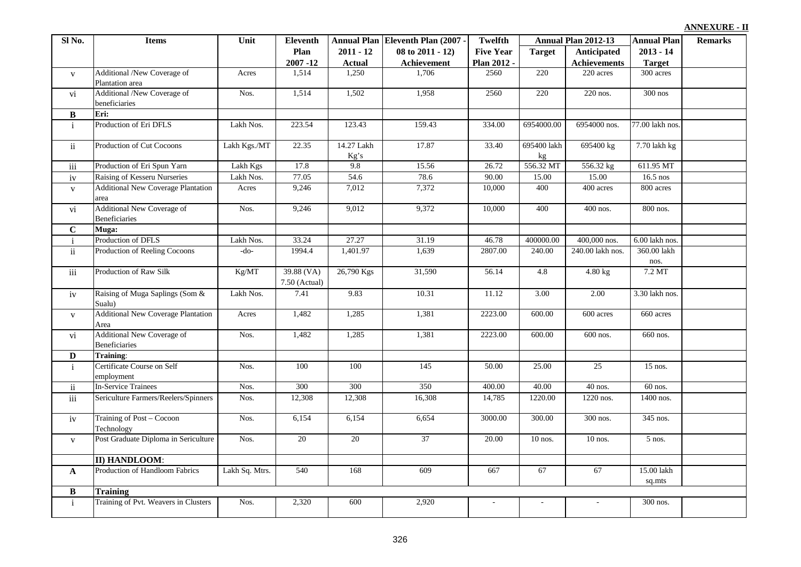| Sl No.       | <b>Items</b>                                       | Unit           | <b>Eleventh</b>               |                    | Annual Plan Eleventh Plan (2007 - | <b>Twelfth</b>   |                   | Annual Plan 2012-13 | <b>Annual Plan</b>   | <b>Remarks</b> |
|--------------|----------------------------------------------------|----------------|-------------------------------|--------------------|-----------------------------------|------------------|-------------------|---------------------|----------------------|----------------|
|              |                                                    |                | Plan                          | $2011 - 12$        | 08 to 2011 - 12)                  | <b>Five Year</b> | <b>Target</b>     | Anticipated         | $2013 - 14$          |                |
|              |                                                    |                | $2007 - 12$                   | <b>Actual</b>      | Achievement                       | Plan 2012 -      |                   | <b>Achievements</b> | <b>Target</b>        |                |
| $\mathbf{V}$ | Additional /New Coverage of                        | Acres          | 1,514                         | 1,250              | 1.706                             | 2560             | 220               | 220 acres           | 300 acres            |                |
|              | Plantation area                                    |                |                               |                    |                                   |                  |                   |                     |                      |                |
| vi           | Additional /New Coverage of                        | Nos.           | 1,514                         | 1,502              | 1,958                             | 2560             | 220               | 220 nos.            | $300$ nos            |                |
|              | beneficiaries                                      |                |                               |                    |                                   |                  |                   |                     |                      |                |
| B            | Eri:                                               |                |                               |                    |                                   |                  |                   |                     |                      |                |
| $\mathbf{i}$ | Production of Eri DFLS                             | Lakh Nos.      | 223.54                        | 123.43             | 159.43                            | 334.00           | 6954000.00        | 6954000 nos.        | 77.00 lakh nos.      |                |
| ii           | Production of Cut Cocoons                          | Lakh Kgs./MT   | 22.35                         | 14.27 Lakh<br>Kg's | 17.87                             | 33.40            | 695400 lakh<br>kg | 695400 kg           | 7.70 lakh kg         |                |
| $\rm iii$    | Production of Eri Spun Yarn                        | Lakh Kgs       | 17.8                          | 9.8                | 15.56                             | 26.72            | 556.32 MT         | 556.32 kg           | 611.95 MT            |                |
| iv           | Raising of Kesseru Nurseries                       | Lakh Nos.      | 77.05                         | 54.6               | 78.6                              | 90.00            | 15.00             | 15.00               | $16.5$ nos           |                |
| $\mathbf{V}$ | <b>Additional New Coverage Plantation</b>          | Acres          | 9,246                         | 7,012              | 7,372                             | 10,000           | 400               | 400 acres           | 800 acres            |                |
|              | area                                               |                |                               |                    |                                   |                  |                   |                     |                      |                |
| vi           | Additional New Coverage of<br><b>Beneficiaries</b> | Nos.           | 9,246                         | 9,012              | 9,372                             | 10,000           | 400               | 400 nos.            | 800 nos.             |                |
| $\mathbf C$  | Muga:                                              |                |                               |                    |                                   |                  |                   |                     |                      |                |
| i.           | Production of DFLS                                 | Lakh Nos.      | 33.24                         | 27.27              | 31.19                             | 46.78            | 400000.00         | 400,000 nos.        | 6.00 lakh nos        |                |
| ii           | Production of Reeling Cocoons                      | -do-           | 1994.4                        | 1,401.97           | 1,639                             | 2807.00          | 240.00            | 240.00 lakh nos.    | 360.00 lakh          |                |
|              |                                                    |                |                               |                    |                                   |                  |                   |                     | nos.                 |                |
| $\rm iii$    | Production of Raw Silk                             | Kg/MT          | $39.88$ (VA)<br>7.50 (Actual) | 26,790 Kgs         | 31,590                            | 56.14            | 4.8               | $4.80$ kg           | 7.2 MT               |                |
| iv           | Raising of Muga Saplings (Som &<br>Sualu)          | Lakh Nos.      | 7.41                          | 9.83               | 10.31                             | 11.12            | 3.00              | 2.00                | 3.30 lakh nos.       |                |
| $\mathbf{V}$ | <b>Additional New Coverage Plantation</b><br>Area  | Acres          | 1,482                         | 1,285              | 1,381                             | 2223.00          | 600.00            | 600 acres           | 660 acres            |                |
| vi           | Additional New Coverage of<br><b>Beneficiaries</b> | Nos.           | 1,482                         | 1,285              | 1,381                             | 2223.00          | 600.00            | 600 nos.            | 660 nos.             |                |
| D            | Training:                                          |                |                               |                    |                                   |                  |                   |                     |                      |                |
| $\mathbf{i}$ | Certificate Course on Self<br>employment           | Nos.           | 100                           | 100                | 145                               | 50.00            | 25.00             | 25                  | $15$ nos.            |                |
| $\,$ ii      | <b>In-Service Trainees</b>                         | Nos.           | 300                           | 300                | 350                               | 400.00           | 40.00             | 40 nos.             | 60 nos.              |                |
| $\rm iii$    | Sericulture Farmers/Reelers/Spinners               | Nos.           | 12,308                        | 12,308             | 16,308                            | 14,785           | 1220.00           | 1220 nos.           | 1400 nos.            |                |
| iv           | Training of Post - Cocoon<br>Technology            | Nos.           | 6,154                         | 6,154              | 6,654                             | 3000.00          | 300.00            | 300 nos.            | 345 nos.             |                |
| $\mathbf{V}$ | Post Graduate Diploma in Sericulture               | Nos.           | 20                            | 20                 | 37                                | 20.00            | $10$ nos.         | $10$ nos.           | 5 nos.               |                |
|              | II) HANDLOOM:                                      |                |                               |                    |                                   |                  |                   |                     |                      |                |
| $\mathbf{A}$ | Production of Handloom Fabrics                     | Lakh Sq. Mtrs. | 540                           | 168                | 609                               | 667              | 67                | 67                  | 15.00 lakh<br>sq.mts |                |
| $\, {\bf B}$ | <b>Training</b>                                    |                |                               |                    |                                   |                  |                   |                     |                      |                |
| $\mathbf{i}$ | Training of Pvt. Weavers in Clusters               | Nos.           | 2,320                         | 600                | 2,920                             | $\sim$           | $\sim$            | ÷.                  | 300 nos.             |                |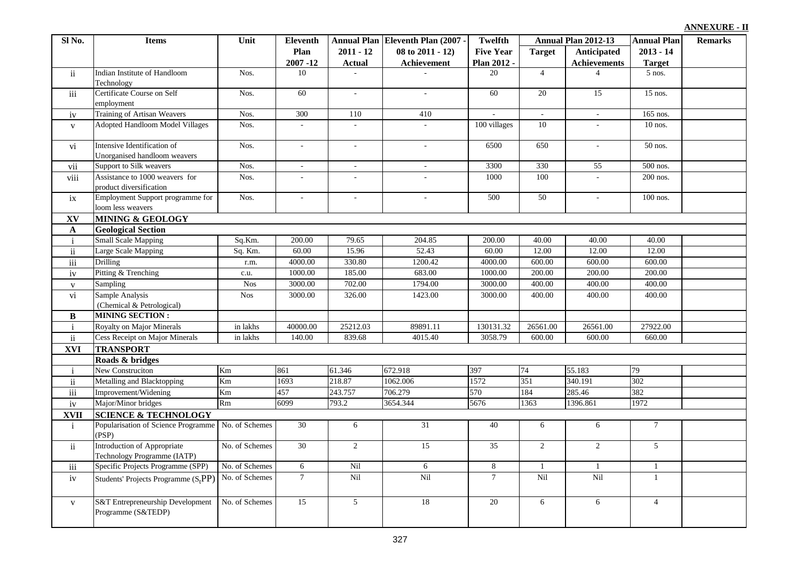| ANNEXURE - II |  |  |
|---------------|--|--|
|               |  |  |

| Sl No.        | <b>Items</b>                                                      | Unit           | Eleventh                    |                              | <b>Annual Plan Eleventh Plan (2007 -</b> | <b>Twelfth</b>                  |                | Annual Plan 2012-13                | <b>Annual Plan</b>           | <b>Remarks</b> |
|---------------|-------------------------------------------------------------------|----------------|-----------------------------|------------------------------|------------------------------------------|---------------------------------|----------------|------------------------------------|------------------------------|----------------|
|               |                                                                   |                | Plan<br>2007-12             | $2011 - 12$<br><b>Actual</b> | 08 to 2011 - 12)<br>Achievement          | <b>Five Year</b><br>Plan 2012 - | <b>Target</b>  | Anticipated<br><b>Achievements</b> | $2013 - 14$<br><b>Target</b> |                |
| $\mathbf{ii}$ | Indian Institute of Handloom<br>Technology                        | Nos.           | 10                          |                              |                                          | 20                              | $\overline{4}$ |                                    | $5$ nos.                     |                |
| iii           | Certificate Course on Self<br>employment                          | Nos.           | 60                          | $\omega$                     | $\omega$                                 | 60                              | 20             | 15                                 | 15 nos.                      |                |
| iv            | Training of Artisan Weavers                                       | Nos.           | 300                         | 110                          | 410                                      | $\mathcal{L}^{\mathcal{L}}$     | $\sim$         | $\sim$                             | 165 nos.                     |                |
| $\mathbf{V}$  | Adopted Handloom Model Villages                                   | Nos.           | $\mathbf{r}$                | $\sim$                       | $\mathbf{r}$                             | 100 villages                    | 10             | $\sim$                             | $10$ nos.                    |                |
| vi            | Intensive Identification of<br>Unorganised handloom weavers       | Nos.           | ä,                          | $\overline{\phantom{a}}$     | $\blacksquare$                           | 6500                            | 650            | $\omega$                           | $\overline{50}$ nos.         |                |
| vii           | Support to Silk weavers                                           | Nos.           | $\mathcal{L}_{\mathcal{A}}$ | $\sim$                       | $\sim$                                   | 3300                            | 330            | 55                                 | 500 nos.                     |                |
| viii          | Assistance to 1000 weavers for<br>product diversification         | Nos.           | $\mathbf{r}$                | $\sim$                       | $\mathcal{L}_{\mathcal{A}}$              | 1000                            | 100            | $\sim$                             | 200 nos.                     |                |
| ix            | Employment Support programme for<br>loom less weavers             | Nos.           | $\blacksquare$              | $\sim$                       | $\sim$                                   | 500                             | 50             | $\blacksquare$                     | 100 nos.                     |                |
| XV            | <b>MINING &amp; GEOLOGY</b>                                       |                |                             |                              |                                          |                                 |                |                                    |                              |                |
| $\mathbf{A}$  | <b>Geological Section</b>                                         |                |                             |                              |                                          |                                 |                |                                    |                              |                |
| $\mathbf{i}$  | <b>Small Scale Mapping</b>                                        | Sq.Km.         | 200.00                      | 79.65                        | 204.85                                   | 200.00                          | 40.00          | 40.00                              | 40.00                        |                |
| $\mathbf{ii}$ | <b>Large Scale Mapping</b>                                        | Sq. Km.        | 60.00                       | 15.96                        | 52.43                                    | 60.00                           | 12.00          | 12.00                              | 12.00                        |                |
| iii           | <b>Drilling</b>                                                   | r.m.           | 4000.00                     | 330.80                       | 1200.42                                  | 4000.00                         | 600.00         | 600.00                             | 600.00                       |                |
| iv            | Pitting & Trenching                                               | c.u.           | 1000.00                     | 185.00                       | 683.00                                   | 1000.00                         | 200.00         | 200.00                             | 200.00                       |                |
| $\mathbf V$   | Sampling                                                          | <b>Nos</b>     | 3000.00                     | 702.00                       | 1794.00                                  | 3000.00                         | 400.00         | 400.00                             | 400.00                       |                |
| vi            | Sample Analysis<br>(Chemical & Petrological)                      | $Nos$          | 3000.00                     | 326.00                       | 1423.00                                  | 3000.00                         | 400.00         | 400.00                             | 400.00                       |                |
| $\, {\bf B}$  | <b>MINING SECTION:</b>                                            |                |                             |                              |                                          |                                 |                |                                    |                              |                |
| $\mathbf{i}$  | Royalty on Major Minerals                                         | in lakhs       | 40000.00                    | 25212.03                     | 89891.11                                 | 130131.32                       | 26561.00       | 26561.00                           | 27922.00                     |                |
| $\mathbf{ii}$ | <b>Cess Receipt on Major Minerals</b>                             | in lakhs       | 140.00                      | 839.68                       | 4015.40                                  | 3058.79                         | 600.00         | 600.00                             | 660.00                       |                |
| XVI           | <b>TRANSPORT</b>                                                  |                |                             |                              |                                          |                                 |                |                                    |                              |                |
|               | Roads & bridges                                                   |                |                             |                              |                                          |                                 |                |                                    |                              |                |
| $\mathbf{i}$  | New Construciton                                                  | Km             | 861                         | 61.346                       | 672.918                                  | 397                             | 74             | 55.183                             | 79                           |                |
| $\mathbf{ii}$ | Metalling and Blacktopping                                        | Km             | 1693                        | 218.87                       | 1062.006                                 | 1572                            | 351            | 340.191                            | 302                          |                |
| iii           | Improvement/Widening                                              | Km             | 457                         | 243.757                      | 706.279                                  | 570                             | 184            | 285.46                             | 382                          |                |
| iv            | Major/Minor bridges                                               | Rm             | 6099                        | 793.2                        | 3654.344                                 | 5676                            | 1363           | 1396.861                           | 1972                         |                |
| <b>XVII</b>   | <b>SCIENCE &amp; TECHNOLOGY</b>                                   |                |                             |                              |                                          |                                 |                |                                    |                              |                |
| $\mathbf{i}$  | Popularisation of Science Programme No. of Schemes<br>(PSP)       |                | 30                          | 6                            | 31                                       | 40                              | 6              | 6                                  | $7\phantom{.0}$              |                |
| $\mathbf{ii}$ | Introduction of Appropriate<br>Technology Programme (IATP)        | No. of Schemes | 30                          | 2                            | 15                                       | 35                              | $\overline{2}$ | $\overline{2}$                     | $\mathfrak{S}$               |                |
| iii           | Specific Projects Programme (SPP)                                 | No. of Schemes | 6                           | Nil                          | 6                                        | 8                               | $\mathbf{1}$   | $\mathbf{1}$                       | $\mathbf{1}$                 |                |
| iv            | Students' Projects Programme $(StPP)$                             | No. of Schemes | $\overline{7}$              | Nil                          | Nil                                      | $\overline{7}$                  | Nil            | Nil                                | $\mathbf{1}$                 |                |
| $\mathbf{V}$  | <b>S&amp;T</b> Entrepreneurship Development<br>Programme (S&TEDP) | No. of Schemes | $\overline{15}$             | $\overline{5}$               | 18                                       | 20                              | 6              | 6                                  | $\overline{4}$               |                |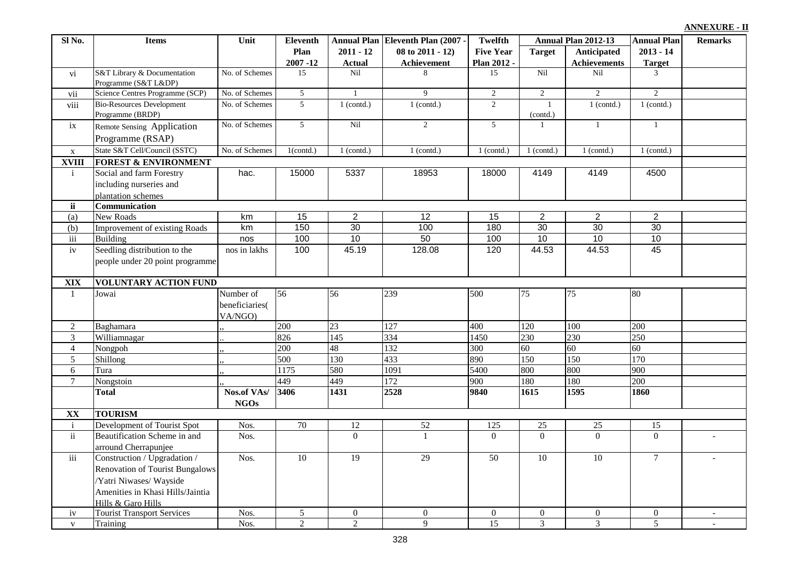| ANNEXURE - II |  |  |  |
|---------------|--|--|--|
|               |  |  |  |

| Sl No.              | <b>Items</b>                                         | Unit                       | Eleventh         |                  | Annual Plan Eleventh Plan (2007 - | <b>Twelfth</b>   |                  | Annual Plan 2012-13 | <b>Annual Plan</b> | <b>Remarks</b> |
|---------------------|------------------------------------------------------|----------------------------|------------------|------------------|-----------------------------------|------------------|------------------|---------------------|--------------------|----------------|
|                     |                                                      |                            | Plan             | $2011 - 12$      | 08 to 2011 - 12)                  | <b>Five Year</b> | <b>Target</b>    | <b>Anticipated</b>  | $2013 - 14$        |                |
|                     |                                                      |                            | $2007 - 12$      | <b>Actual</b>    | Achievement                       | Plan 2012 -      |                  | <b>Achievements</b> | <b>Target</b>      |                |
| vi                  | S&T Library & Documentation<br>Programme (S&T L&DP)  | No. of Schemes             | 15               | Nil              | 8                                 | 15               | Nil              | Nil                 | 3                  |                |
| vii                 | Science Centres Programme (SCP)                      | No. of Schemes             | $\overline{5}$   | $\mathbf{1}$     | 9                                 | $\sqrt{2}$       | $\overline{2}$   | $\overline{2}$      | $\overline{2}$     |                |
| viii                | <b>Bio-Resources Development</b><br>Programme (BRDP) | No. of Schemes             | $\overline{5}$   | $1$ (contd.)     | $1$ (contd.)                      | $\overline{2}$   | -1<br>(contd.)   | $1$ (contd.)        | $1$ (contd.)       |                |
| ix                  | Remote Sensing Application<br>Programme (RSAP)       | No. of Schemes             | $5\overline{)}$  | Nil              | $\overline{2}$                    | $5\overline{)}$  | -1               | $\mathbf{1}$        | $\mathbf{1}$       |                |
| $\mathbf X$         | State S&T Cell/Council (SSTC)                        | No. of Schemes             | $1$ (contd.)     | $1$ (contd.)     | $1$ (contd.)                      | $1$ (contd.)     | $1$ (contd.)     | $1$ (contd.)        | $1$ (contd.)       |                |
| <b>XVIII</b>        | <b>FOREST &amp; ENVIRONMENT</b>                      |                            |                  |                  |                                   |                  |                  |                     |                    |                |
| $\mathbf{i}$        | Social and farm Forestry                             | hac.                       | 15000            | 5337             | 18953                             | 18000            | 4149             | 4149                | 4500               |                |
|                     | including nurseries and                              |                            |                  |                  |                                   |                  |                  |                     |                    |                |
|                     | plantation schemes                                   |                            |                  |                  |                                   |                  |                  |                     |                    |                |
| <b>ii</b>           | Communication                                        |                            |                  |                  |                                   |                  |                  |                     |                    |                |
| (a)                 | New Roads                                            | km                         | $\overline{15}$  | $\overline{2}$   | 12                                | 15               | $\overline{2}$   | $\overline{2}$      | $\overline{2}$     |                |
| (b)                 | <b>Improvement of existing Roads</b>                 | km                         | 150              | 30               | 100                               | 180              | 30               | 30                  | 30                 |                |
| $\rm iii$           | <b>Building</b>                                      | nos                        | 100              | 10               | 50                                | 100              | 10               | 10                  | $10$               |                |
| iv                  | Seedling distribution to the                         | nos in lakhs               | 100              | 45.19            | 128.08                            | 120              | 44.53            | 44.53               | 45                 |                |
|                     | people under 20 point programme                      |                            |                  |                  |                                   |                  |                  |                     |                    |                |
|                     |                                                      |                            |                  |                  |                                   |                  |                  |                     |                    |                |
| <b>XIX</b>          | <b>VOLUNTARY ACTION FUND</b>                         |                            |                  |                  |                                   |                  |                  |                     |                    |                |
| $\mathbf{1}$        | Jowai                                                | Number of                  | $\overline{56}$  | 56               | 239                               | $\overline{500}$ | $\overline{75}$  | 75                  | 80                 |                |
|                     |                                                      | beneficiaries(             |                  |                  |                                   |                  |                  |                     |                    |                |
|                     |                                                      | VA/NGO)                    |                  |                  |                                   |                  |                  |                     |                    |                |
| $\overline{2}$      | Baghamara                                            |                            | $\overline{200}$ | $\overline{23}$  | 127                               | 400              | 120              | 100                 | 200                |                |
| $\mathfrak{Z}$      | Williamnagar                                         |                            | 826              | 145              | 334                               | 1450             | 230              | 230                 | 250                |                |
| $\overline{4}$      | Nongpoh                                              |                            | 200              | 48               | $\overline{132}$                  | $\overline{300}$ | $\overline{60}$  | 60                  | 60                 |                |
| $5\overline{)}$     | Shillong                                             |                            | $\overline{500}$ | 130              | 433                               | 890              | $\overline{150}$ | $\overline{150}$    | 170                |                |
| 6                   | Tura                                                 |                            | 1175             | 580              | 1091                              | 5400             | 800              | 800                 | 900                |                |
| $\overline{7}$      | Nongstoin                                            |                            | 449              | 449              | 172                               | $\overline{900}$ | 180              | 180                 | 200                |                |
|                     | Total                                                | Nos.of VAs/<br><b>NGOs</b> | 3406             | 1431             | 2528                              | 9840             | 1615             | 1595                | 1860               |                |
| XX                  | <b>TOURISM</b>                                       |                            |                  |                  |                                   |                  |                  |                     |                    |                |
| $\mathbf{i}$        | Development of Tourist Spot                          | Nos.                       | 70               | 12               | 52                                | 125              | $25\,$           | $25\,$              | 15                 |                |
| $\ddot{\mathbf{i}}$ | Beautification Scheme in and                         | Nos.                       |                  | $\theta$         | $\mathbf{1}$                      | $\Omega$         | $\Omega$         | $\Omega$            | $\Omega$           |                |
|                     | arround Cherrapunjee                                 |                            |                  |                  |                                   |                  |                  |                     |                    |                |
| iii                 | Construction / Upgradation /                         | Nos.                       | 10               | 19               | 29                                | 50               | 10               | 10                  | $\tau$             |                |
|                     | Renovation of Tourist Bungalows                      |                            |                  |                  |                                   |                  |                  |                     |                    |                |
|                     | Yatri Niwases/ Wayside                               |                            |                  |                  |                                   |                  |                  |                     |                    |                |
|                     | Amenities in Khasi Hills/Jaintia                     |                            |                  |                  |                                   |                  |                  |                     |                    |                |
|                     | Hills & Garo Hills                                   |                            |                  |                  |                                   |                  |                  |                     |                    |                |
| iv                  | <b>Tourist Transport Services</b>                    | Nos.                       | $\mathfrak{S}$   | $\boldsymbol{0}$ | $\boldsymbol{0}$                  | $\boldsymbol{0}$ | $\overline{0}$   | $\overline{0}$      | $\boldsymbol{0}$   | $\blacksquare$ |
| $\mathbf{V}$        | Training                                             | Nos.                       | $\overline{2}$   | $\overline{2}$   | 9                                 | $\overline{15}$  | 3                | $\overline{3}$      | 5                  |                |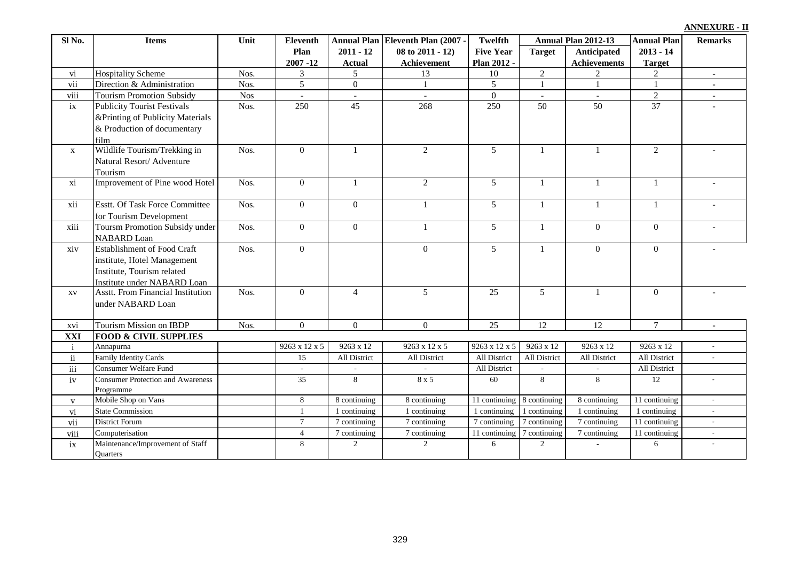|  | <b>ANNEXURE - II</b> |  |
|--|----------------------|--|
|  |                      |  |

| Sl <sub>No.</sub> | <b>Items</b>                             | Unit       | <b>Eleventh</b>  |                  | Annual Plan Eleventh Plan (2007 - | Twelfth          |                 | Annual Plan 2012-13 | <b>Annual Plan</b> | <b>Remarks</b>              |
|-------------------|------------------------------------------|------------|------------------|------------------|-----------------------------------|------------------|-----------------|---------------------|--------------------|-----------------------------|
|                   |                                          |            | Plan             | $2011 - 12$      | 08 to 2011 - 12)                  | <b>Five Year</b> | <b>Target</b>   | Anticipated         | $2013 - 14$        |                             |
|                   |                                          |            | $2007 - 12$      | <b>Actual</b>    | Achievement                       | Plan 2012 -      |                 | <b>Achievements</b> | <b>Target</b>      |                             |
| vi                | <b>Hospitality Scheme</b>                | Nos.       | 3                | 5                | 13                                | 10               | $\overline{2}$  |                     | 2                  | $\blacksquare$              |
| vii               | Direction & Administration               | Nos.       | $5\overline{)}$  | $\overline{0}$   | 1                                 | $\overline{5}$   | $\overline{1}$  | $\overline{1}$      | 1                  |                             |
| viii              | <b>Tourism Promotion Subsidy</b>         | <b>Nos</b> |                  |                  |                                   | $\mathbf{0}$     |                 |                     | $\overline{2}$     |                             |
| ix                | <b>Publicity Tourist Festivals</b>       | Nos.       | 250              | $\overline{45}$  | 268                               | $\overline{250}$ | $\overline{50}$ | $\overline{50}$     | $\overline{37}$    |                             |
|                   | &Printing of Publicity Materials         |            |                  |                  |                                   |                  |                 |                     |                    |                             |
|                   | & Production of documentary              |            |                  |                  |                                   |                  |                 |                     |                    |                             |
|                   | film                                     |            |                  |                  |                                   |                  |                 |                     |                    |                             |
| $\mathbf X$       | Wildlife Tourism/Trekking in             | Nos.       | $\Omega$         | $\mathbf{1}$     | 2                                 | 5                | -1              | $\overline{1}$      | 2                  |                             |
|                   | Natural Resort/ Adventure                |            |                  |                  |                                   |                  |                 |                     |                    |                             |
|                   | Tourism                                  |            |                  |                  |                                   |                  |                 |                     |                    |                             |
| xi                | Improvement of Pine wood Hotel           | Nos.       | $\overline{0}$   | -1               | $\overline{2}$                    | 5                | -1              | -1                  | $\mathbf{1}$       |                             |
|                   |                                          |            |                  |                  |                                   |                  |                 |                     |                    |                             |
| xii               | <b>Esstt. Of Task Force Committee</b>    | Nos.       | $\overline{0}$   | $\mathbf{0}$     | 1                                 | 5                | -1              | -1                  | 1                  |                             |
|                   | for Tourism Development                  |            |                  |                  |                                   |                  |                 |                     |                    |                             |
| xiii              | Toursm Promotion Subsidy under           | Nos.       | $\boldsymbol{0}$ | $\boldsymbol{0}$ | 1                                 | 5                | -1              | $\overline{0}$      | $\overline{0}$     |                             |
|                   | <b>NABARD</b> Loan                       |            |                  |                  |                                   |                  |                 |                     |                    |                             |
| xiv               | <b>Establishment of Food Craft</b>       | Nos.       | $\Omega$         |                  | $\overline{0}$                    | 5                | $\mathbf{1}$    | $\theta$            | $\theta$           |                             |
|                   | institute, Hotel Management              |            |                  |                  |                                   |                  |                 |                     |                    |                             |
|                   | Institute, Tourism related               |            |                  |                  |                                   |                  |                 |                     |                    |                             |
|                   | Institute under NABARD Loan              |            |                  |                  |                                   |                  |                 |                     |                    |                             |
| XV                | Asstt. From Financial Institution        | Nos.       | $\Omega$         | $\overline{4}$   | 5                                 | 25               | $\overline{5}$  | $\mathbf{1}$        | $\theta$           |                             |
|                   | under NABARD Loan                        |            |                  |                  |                                   |                  |                 |                     |                    |                             |
|                   |                                          |            |                  |                  |                                   |                  |                 |                     |                    |                             |
| xvi               | Tourism Mission on IBDP                  | Nos.       | $\overline{0}$   | $\mathbf{0}$     | $\overline{0}$                    | 25               | 12              | 12                  | $7\overline{ }$    | $\sim$                      |
| XXI               | <b>FOOD &amp; CIVIL SUPPLIES</b>         |            |                  |                  |                                   |                  |                 |                     |                    |                             |
| $\mathbf{i}$      | Annapurna                                |            | 9263 x 12 x 5    | 9263 x 12        | 9263 x 12 x 5                     | 9263 x 12 x 5    | 9263 x 12       | 9263 x 12           | 9263 x 12          |                             |
| $\overline{ii}$   | <b>Family Identity Cards</b>             |            | 15               | All District     | All District                      | All District     | All District    | All District        | All District       | $\sim$                      |
| iii               | Consumer Welfare Fund                    |            | ÷.               |                  | $\sim$                            | All District     |                 | $\sim$              | All District       |                             |
| iv                | <b>Consumer Protection and Awareness</b> |            | 35               | 8                | 8 x 5                             | 60               | 8               | 8                   | 12                 |                             |
|                   | Programme                                |            |                  |                  |                                   |                  |                 |                     |                    |                             |
| $\mathbf{V}$      | Mobile Shop on Vans                      |            | 8                | 8 continuing     | 8 continuing                      | 11 continuing    | 8 continuing    | 8 continuing        | 11 continuing      | $\sim$                      |
| vi                | <b>State Commission</b>                  |            | $\mathbf{1}$     | 1 continuing     | 1 continuing                      | 1 continuing     | 1 continuing    | 1 continuing        | 1 continuing       | $\mathcal{L}_{\mathcal{A}}$ |
| vii               | <b>District Forum</b>                    |            | $\tau$           | 7 continuing     | 7 continuing                      | 7 continuing     | 7 continuing    | 7 continuing        | 11 continuing      | $\sim$                      |
| viii              | Computerisation                          |            | $\overline{4}$   | 7 continuing     | 7 continuing                      | 11 continuing    | 7 continuing    | 7 continuing        | 11 continuing      | $\sim$                      |
| ix                | Maintenance/Improvement of Staff         |            | 8                | 2                | 2                                 | 6                | 2               |                     | 6                  |                             |
|                   | Quarters                                 |            |                  |                  |                                   |                  |                 |                     |                    |                             |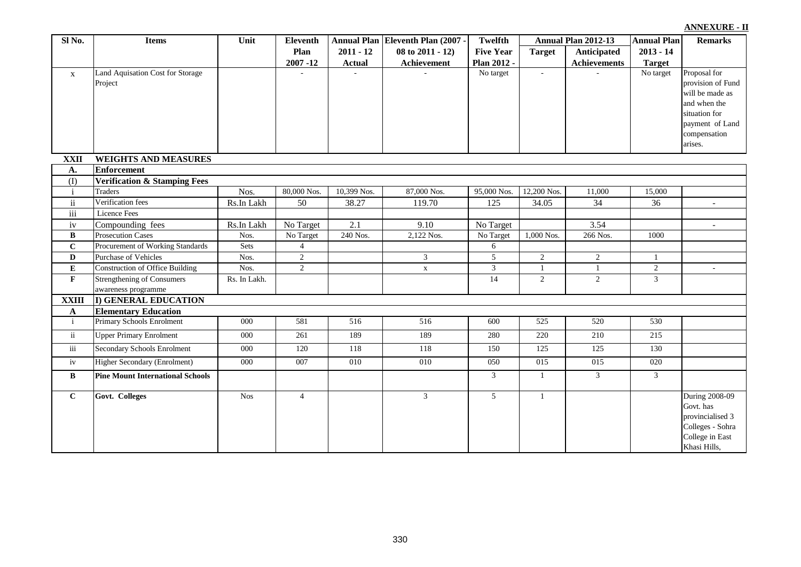| $2011 - 12$<br>$08$ to $2011 - 12$ )<br><b>Target</b><br>Anticipated<br>$2013 - 14$<br>Plan<br><b>Five Year</b><br>$2007 - 12$<br>Plan 2012 -<br><b>Achievements</b><br><b>Actual</b><br>Achievement<br><b>Target</b><br>Proposal for<br>Land Aquisation Cost for Storage<br>No target<br>No target<br>$\omega$<br>$\mathbf{X}$<br>provision of Fund<br>Project<br>will be made as<br>and when the<br>situation for<br>payment of Land<br>compensation<br>arises.<br><b>WEIGHTS AND MEASURES</b><br><b>XXII</b><br>Enforcement<br>A.<br>(1)<br><b>Verification &amp; Stamping Fees</b><br>87,000 Nos.<br>Traders<br>Nos.<br>80,000 Nos.<br>10,399 Nos.<br>12,200 Nos.<br>11,000<br>$\mathbf{i}$<br>95,000 Nos.<br>15,000<br>$\rm ii$<br>Verification fees<br>Rs.In Lakh<br>50<br>38.27<br>119.70<br>125<br>34.05<br>34<br>36<br>iii<br>Licence Fees<br>iv<br>No Target<br>2.1<br>9.10<br>3.54<br>Compounding fees<br>Rs.In Lakh<br>No Target<br>$\overline{\phantom{a}}$<br>B<br>240 Nos.<br>2,122 Nos.<br>1,000 Nos.<br>1000<br><b>Prosecution Cases</b><br>Nos.<br>No Target<br>266 Nos.<br>No Target<br>$\bf C$<br>Procurement of Working Standards<br>Sets<br>$\overline{4}$<br>6<br>$\overline{2}$<br>Nos.<br>Purchase of Vehicles<br>$\mathfrak{Z}$<br>5<br>$\overline{2}$<br>$\overline{2}$<br>$\mathbf D$<br>$\overline{2}$<br>$\overline{2}$<br>${\bf E}$<br>$\mathfrak{Z}$<br><b>Construction of Office Building</b><br>Nos.<br>$\mathbf{1}$<br>$\mathbf{1}$<br>$\mathbf X$<br>$\overline{\mathbf{3}}$<br>$\mathbf F$<br><b>Strengthening of Consumers</b><br>$\overline{2}$<br>14<br>$\overline{2}$<br>Rs. In Lakh.<br>awareness programme<br><b>XXIII</b><br>I) GENERAL EDUCATION<br><b>Elementary Education</b><br>$\mathbf A$<br>$\mathbf{i}$<br>Primary Schools Enrolment<br>000<br>581<br>516<br>525<br>520<br>530<br>516<br>600<br>$\ddot{\mathbf{u}}$<br><b>Upper Primary Enrolment</b><br>000<br>261<br>189<br>189<br>280<br>220<br>210<br>215<br><b>Secondary Schools Enrolment</b><br>iii<br>000<br>150<br>125<br>$\overline{125}$<br>130<br>120<br>118<br>118 | Sl No. | <b>Items</b> | Unit | Eleventh | Annual Plan Eleventh Plan (2007 - | <b>Twelfth</b> | Annual Plan 2012-13 | <b>Annual Plan</b> | <b>Remarks</b>   |
|-------------------------------------------------------------------------------------------------------------------------------------------------------------------------------------------------------------------------------------------------------------------------------------------------------------------------------------------------------------------------------------------------------------------------------------------------------------------------------------------------------------------------------------------------------------------------------------------------------------------------------------------------------------------------------------------------------------------------------------------------------------------------------------------------------------------------------------------------------------------------------------------------------------------------------------------------------------------------------------------------------------------------------------------------------------------------------------------------------------------------------------------------------------------------------------------------------------------------------------------------------------------------------------------------------------------------------------------------------------------------------------------------------------------------------------------------------------------------------------------------------------------------------------------------------------------------------------------------------------------------------------------------------------------------------------------------------------------------------------------------------------------------------------------------------------------------------------------------------------------------------------------------------------------------------------------------------------------------------------------------------------------------------------------------------------------------------------|--------|--------------|------|----------|-----------------------------------|----------------|---------------------|--------------------|------------------|
|                                                                                                                                                                                                                                                                                                                                                                                                                                                                                                                                                                                                                                                                                                                                                                                                                                                                                                                                                                                                                                                                                                                                                                                                                                                                                                                                                                                                                                                                                                                                                                                                                                                                                                                                                                                                                                                                                                                                                                                                                                                                                     |        |              |      |          |                                   |                |                     |                    |                  |
|                                                                                                                                                                                                                                                                                                                                                                                                                                                                                                                                                                                                                                                                                                                                                                                                                                                                                                                                                                                                                                                                                                                                                                                                                                                                                                                                                                                                                                                                                                                                                                                                                                                                                                                                                                                                                                                                                                                                                                                                                                                                                     |        |              |      |          |                                   |                |                     |                    |                  |
|                                                                                                                                                                                                                                                                                                                                                                                                                                                                                                                                                                                                                                                                                                                                                                                                                                                                                                                                                                                                                                                                                                                                                                                                                                                                                                                                                                                                                                                                                                                                                                                                                                                                                                                                                                                                                                                                                                                                                                                                                                                                                     |        |              |      |          |                                   |                |                     |                    |                  |
|                                                                                                                                                                                                                                                                                                                                                                                                                                                                                                                                                                                                                                                                                                                                                                                                                                                                                                                                                                                                                                                                                                                                                                                                                                                                                                                                                                                                                                                                                                                                                                                                                                                                                                                                                                                                                                                                                                                                                                                                                                                                                     |        |              |      |          |                                   |                |                     |                    |                  |
|                                                                                                                                                                                                                                                                                                                                                                                                                                                                                                                                                                                                                                                                                                                                                                                                                                                                                                                                                                                                                                                                                                                                                                                                                                                                                                                                                                                                                                                                                                                                                                                                                                                                                                                                                                                                                                                                                                                                                                                                                                                                                     |        |              |      |          |                                   |                |                     |                    |                  |
|                                                                                                                                                                                                                                                                                                                                                                                                                                                                                                                                                                                                                                                                                                                                                                                                                                                                                                                                                                                                                                                                                                                                                                                                                                                                                                                                                                                                                                                                                                                                                                                                                                                                                                                                                                                                                                                                                                                                                                                                                                                                                     |        |              |      |          |                                   |                |                     |                    |                  |
|                                                                                                                                                                                                                                                                                                                                                                                                                                                                                                                                                                                                                                                                                                                                                                                                                                                                                                                                                                                                                                                                                                                                                                                                                                                                                                                                                                                                                                                                                                                                                                                                                                                                                                                                                                                                                                                                                                                                                                                                                                                                                     |        |              |      |          |                                   |                |                     |                    |                  |
|                                                                                                                                                                                                                                                                                                                                                                                                                                                                                                                                                                                                                                                                                                                                                                                                                                                                                                                                                                                                                                                                                                                                                                                                                                                                                                                                                                                                                                                                                                                                                                                                                                                                                                                                                                                                                                                                                                                                                                                                                                                                                     |        |              |      |          |                                   |                |                     |                    |                  |
|                                                                                                                                                                                                                                                                                                                                                                                                                                                                                                                                                                                                                                                                                                                                                                                                                                                                                                                                                                                                                                                                                                                                                                                                                                                                                                                                                                                                                                                                                                                                                                                                                                                                                                                                                                                                                                                                                                                                                                                                                                                                                     |        |              |      |          |                                   |                |                     |                    |                  |
|                                                                                                                                                                                                                                                                                                                                                                                                                                                                                                                                                                                                                                                                                                                                                                                                                                                                                                                                                                                                                                                                                                                                                                                                                                                                                                                                                                                                                                                                                                                                                                                                                                                                                                                                                                                                                                                                                                                                                                                                                                                                                     |        |              |      |          |                                   |                |                     |                    |                  |
|                                                                                                                                                                                                                                                                                                                                                                                                                                                                                                                                                                                                                                                                                                                                                                                                                                                                                                                                                                                                                                                                                                                                                                                                                                                                                                                                                                                                                                                                                                                                                                                                                                                                                                                                                                                                                                                                                                                                                                                                                                                                                     |        |              |      |          |                                   |                |                     |                    |                  |
|                                                                                                                                                                                                                                                                                                                                                                                                                                                                                                                                                                                                                                                                                                                                                                                                                                                                                                                                                                                                                                                                                                                                                                                                                                                                                                                                                                                                                                                                                                                                                                                                                                                                                                                                                                                                                                                                                                                                                                                                                                                                                     |        |              |      |          |                                   |                |                     |                    |                  |
|                                                                                                                                                                                                                                                                                                                                                                                                                                                                                                                                                                                                                                                                                                                                                                                                                                                                                                                                                                                                                                                                                                                                                                                                                                                                                                                                                                                                                                                                                                                                                                                                                                                                                                                                                                                                                                                                                                                                                                                                                                                                                     |        |              |      |          |                                   |                |                     |                    |                  |
|                                                                                                                                                                                                                                                                                                                                                                                                                                                                                                                                                                                                                                                                                                                                                                                                                                                                                                                                                                                                                                                                                                                                                                                                                                                                                                                                                                                                                                                                                                                                                                                                                                                                                                                                                                                                                                                                                                                                                                                                                                                                                     |        |              |      |          |                                   |                |                     |                    |                  |
|                                                                                                                                                                                                                                                                                                                                                                                                                                                                                                                                                                                                                                                                                                                                                                                                                                                                                                                                                                                                                                                                                                                                                                                                                                                                                                                                                                                                                                                                                                                                                                                                                                                                                                                                                                                                                                                                                                                                                                                                                                                                                     |        |              |      |          |                                   |                |                     |                    |                  |
|                                                                                                                                                                                                                                                                                                                                                                                                                                                                                                                                                                                                                                                                                                                                                                                                                                                                                                                                                                                                                                                                                                                                                                                                                                                                                                                                                                                                                                                                                                                                                                                                                                                                                                                                                                                                                                                                                                                                                                                                                                                                                     |        |              |      |          |                                   |                |                     |                    |                  |
|                                                                                                                                                                                                                                                                                                                                                                                                                                                                                                                                                                                                                                                                                                                                                                                                                                                                                                                                                                                                                                                                                                                                                                                                                                                                                                                                                                                                                                                                                                                                                                                                                                                                                                                                                                                                                                                                                                                                                                                                                                                                                     |        |              |      |          |                                   |                |                     |                    |                  |
|                                                                                                                                                                                                                                                                                                                                                                                                                                                                                                                                                                                                                                                                                                                                                                                                                                                                                                                                                                                                                                                                                                                                                                                                                                                                                                                                                                                                                                                                                                                                                                                                                                                                                                                                                                                                                                                                                                                                                                                                                                                                                     |        |              |      |          |                                   |                |                     |                    |                  |
|                                                                                                                                                                                                                                                                                                                                                                                                                                                                                                                                                                                                                                                                                                                                                                                                                                                                                                                                                                                                                                                                                                                                                                                                                                                                                                                                                                                                                                                                                                                                                                                                                                                                                                                                                                                                                                                                                                                                                                                                                                                                                     |        |              |      |          |                                   |                |                     |                    |                  |
|                                                                                                                                                                                                                                                                                                                                                                                                                                                                                                                                                                                                                                                                                                                                                                                                                                                                                                                                                                                                                                                                                                                                                                                                                                                                                                                                                                                                                                                                                                                                                                                                                                                                                                                                                                                                                                                                                                                                                                                                                                                                                     |        |              |      |          |                                   |                |                     |                    |                  |
|                                                                                                                                                                                                                                                                                                                                                                                                                                                                                                                                                                                                                                                                                                                                                                                                                                                                                                                                                                                                                                                                                                                                                                                                                                                                                                                                                                                                                                                                                                                                                                                                                                                                                                                                                                                                                                                                                                                                                                                                                                                                                     |        |              |      |          |                                   |                |                     |                    |                  |
|                                                                                                                                                                                                                                                                                                                                                                                                                                                                                                                                                                                                                                                                                                                                                                                                                                                                                                                                                                                                                                                                                                                                                                                                                                                                                                                                                                                                                                                                                                                                                                                                                                                                                                                                                                                                                                                                                                                                                                                                                                                                                     |        |              |      |          |                                   |                |                     |                    |                  |
|                                                                                                                                                                                                                                                                                                                                                                                                                                                                                                                                                                                                                                                                                                                                                                                                                                                                                                                                                                                                                                                                                                                                                                                                                                                                                                                                                                                                                                                                                                                                                                                                                                                                                                                                                                                                                                                                                                                                                                                                                                                                                     |        |              |      |          |                                   |                |                     |                    |                  |
|                                                                                                                                                                                                                                                                                                                                                                                                                                                                                                                                                                                                                                                                                                                                                                                                                                                                                                                                                                                                                                                                                                                                                                                                                                                                                                                                                                                                                                                                                                                                                                                                                                                                                                                                                                                                                                                                                                                                                                                                                                                                                     |        |              |      |          |                                   |                |                     |                    |                  |
|                                                                                                                                                                                                                                                                                                                                                                                                                                                                                                                                                                                                                                                                                                                                                                                                                                                                                                                                                                                                                                                                                                                                                                                                                                                                                                                                                                                                                                                                                                                                                                                                                                                                                                                                                                                                                                                                                                                                                                                                                                                                                     |        |              |      |          |                                   |                |                     |                    |                  |
|                                                                                                                                                                                                                                                                                                                                                                                                                                                                                                                                                                                                                                                                                                                                                                                                                                                                                                                                                                                                                                                                                                                                                                                                                                                                                                                                                                                                                                                                                                                                                                                                                                                                                                                                                                                                                                                                                                                                                                                                                                                                                     |        |              |      |          |                                   |                |                     |                    |                  |
|                                                                                                                                                                                                                                                                                                                                                                                                                                                                                                                                                                                                                                                                                                                                                                                                                                                                                                                                                                                                                                                                                                                                                                                                                                                                                                                                                                                                                                                                                                                                                                                                                                                                                                                                                                                                                                                                                                                                                                                                                                                                                     |        |              |      |          |                                   |                |                     |                    |                  |
| <b>Higher Secondary (Enrolment)</b><br>000<br>007<br>010<br>050<br>015<br>015<br>020<br>010<br>iv                                                                                                                                                                                                                                                                                                                                                                                                                                                                                                                                                                                                                                                                                                                                                                                                                                                                                                                                                                                                                                                                                                                                                                                                                                                                                                                                                                                                                                                                                                                                                                                                                                                                                                                                                                                                                                                                                                                                                                                   |        |              |      |          |                                   |                |                     |                    |                  |
| $\bf{B}$<br><b>Pine Mount International Schools</b><br>3<br>3<br>$\mathfrak{Z}$<br>$\mathbf{1}$                                                                                                                                                                                                                                                                                                                                                                                                                                                                                                                                                                                                                                                                                                                                                                                                                                                                                                                                                                                                                                                                                                                                                                                                                                                                                                                                                                                                                                                                                                                                                                                                                                                                                                                                                                                                                                                                                                                                                                                     |        |              |      |          |                                   |                |                     |                    |                  |
| <b>Nos</b><br>5 <sup>5</sup><br>$\mathbf{C}$<br>$\overline{4}$<br>$\mathfrak{Z}$<br>Govt. Colleges<br>$\mathbf{1}$                                                                                                                                                                                                                                                                                                                                                                                                                                                                                                                                                                                                                                                                                                                                                                                                                                                                                                                                                                                                                                                                                                                                                                                                                                                                                                                                                                                                                                                                                                                                                                                                                                                                                                                                                                                                                                                                                                                                                                  |        |              |      |          |                                   |                |                     |                    | During 2008-09   |
| Govt. has                                                                                                                                                                                                                                                                                                                                                                                                                                                                                                                                                                                                                                                                                                                                                                                                                                                                                                                                                                                                                                                                                                                                                                                                                                                                                                                                                                                                                                                                                                                                                                                                                                                                                                                                                                                                                                                                                                                                                                                                                                                                           |        |              |      |          |                                   |                |                     |                    |                  |
|                                                                                                                                                                                                                                                                                                                                                                                                                                                                                                                                                                                                                                                                                                                                                                                                                                                                                                                                                                                                                                                                                                                                                                                                                                                                                                                                                                                                                                                                                                                                                                                                                                                                                                                                                                                                                                                                                                                                                                                                                                                                                     |        |              |      |          |                                   |                |                     |                    | provincialised 3 |
|                                                                                                                                                                                                                                                                                                                                                                                                                                                                                                                                                                                                                                                                                                                                                                                                                                                                                                                                                                                                                                                                                                                                                                                                                                                                                                                                                                                                                                                                                                                                                                                                                                                                                                                                                                                                                                                                                                                                                                                                                                                                                     |        |              |      |          |                                   |                |                     |                    | Colleges - Sohra |
| Khasi Hills,                                                                                                                                                                                                                                                                                                                                                                                                                                                                                                                                                                                                                                                                                                                                                                                                                                                                                                                                                                                                                                                                                                                                                                                                                                                                                                                                                                                                                                                                                                                                                                                                                                                                                                                                                                                                                                                                                                                                                                                                                                                                        |        |              |      |          |                                   |                |                     |                    | College in East  |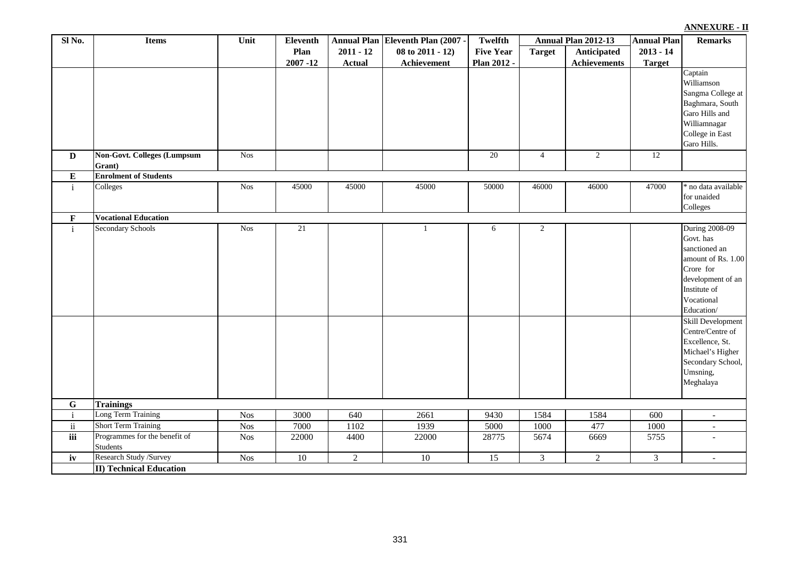| Sl No.          | <b>Items</b>                                                                   | Unit             | Eleventh        |                | Annual Plan Eleventh Plan (2007 - | <b>Twelfth</b>   |                | Annual Plan 2012-13 | <b>Annual Plan</b> | <b>Remarks</b>                                                                                                                                                                                                                                                                        |
|-----------------|--------------------------------------------------------------------------------|------------------|-----------------|----------------|-----------------------------------|------------------|----------------|---------------------|--------------------|---------------------------------------------------------------------------------------------------------------------------------------------------------------------------------------------------------------------------------------------------------------------------------------|
|                 |                                                                                |                  | Plan            | $2011 - 12$    | $08$ to $2011 - 12$ )             | <b>Five Year</b> | <b>Target</b>  | Anticipated         | $2013 - 14$        |                                                                                                                                                                                                                                                                                       |
|                 |                                                                                |                  | $2007 - 12$     | <b>Actual</b>  | Achievement                       | Plan 2012 -      |                | <b>Achievements</b> | <b>Target</b>      |                                                                                                                                                                                                                                                                                       |
|                 |                                                                                |                  |                 |                |                                   |                  |                |                     |                    | Captain<br>Williamson<br>Sangma College at<br>Baghmara, South<br>Garo Hills and<br>Williamnagar<br>College in East<br>Garo Hills.                                                                                                                                                     |
| $\mathbf{D}$    | <b>Non-Govt. Colleges (Lumpsum</b><br>Grant)                                   | Nos              |                 |                |                                   | $\overline{20}$  | $\overline{4}$ | $\overline{2}$      | 12                 |                                                                                                                                                                                                                                                                                       |
| ${\bf E}$       | <b>Enrolment of Students</b>                                                   |                  |                 |                |                                   |                  |                |                     |                    |                                                                                                                                                                                                                                                                                       |
| $\rm i$         | Colleges                                                                       | <b>Nos</b>       | 45000           | 45000          | 45000                             | 50000            | 46000          | 46000               | 47000              | no data available<br>for unaided<br>Colleges                                                                                                                                                                                                                                          |
| $\mathbf F$     | <b>Vocational Education</b>                                                    |                  |                 |                |                                   |                  |                |                     |                    |                                                                                                                                                                                                                                                                                       |
| $\mathbf{i}$    | Secondary Schools                                                              | <b>Nos</b>       | $\overline{21}$ |                | 1                                 | 6                | $\overline{2}$ |                     |                    | <b>During 2008-09</b><br>Govt. has<br>sanctioned an<br>amount of Rs. 1.00<br>Crore for<br>development of an<br>Institute of<br>Vocational<br>Education/<br>Skill Development<br>Centre/Centre of<br>Excellence, St.<br>Michael's Higher<br>Secondary School,<br>Umsning,<br>Meghalaya |
| $\overline{G}$  | <b>Trainings</b>                                                               |                  |                 |                |                                   |                  |                |                     |                    |                                                                                                                                                                                                                                                                                       |
| $\mathbf{i}$    | Long Term Training                                                             | Nos              | 3000            | 640            | 2661                              | 9430             | 1584           | 1584                | 600                |                                                                                                                                                                                                                                                                                       |
| $\rm ii$<br>iii | <b>Short Term Training</b><br>Programmes for the benefit of<br><b>Students</b> | Nos<br>$Nos$     | 7000<br>22000   | 1102<br>4400   | 1939<br>22000                     | 5000<br>28775    | 1000<br>5674   | 477<br>6669         | 1000<br>5755       | $\overline{\phantom{a}}$<br>$\overline{a}$                                                                                                                                                                                                                                            |
| iv              | Research Study /Survey                                                         | Nos <sup>1</sup> | $\overline{10}$ | $\overline{2}$ | 10                                | $\overline{15}$  | $\overline{3}$ | $\overline{2}$      | $\overline{3}$     | $\overline{\phantom{a}}$                                                                                                                                                                                                                                                              |
|                 | <b>II) Technical Education</b>                                                 |                  |                 |                |                                   |                  |                |                     |                    |                                                                                                                                                                                                                                                                                       |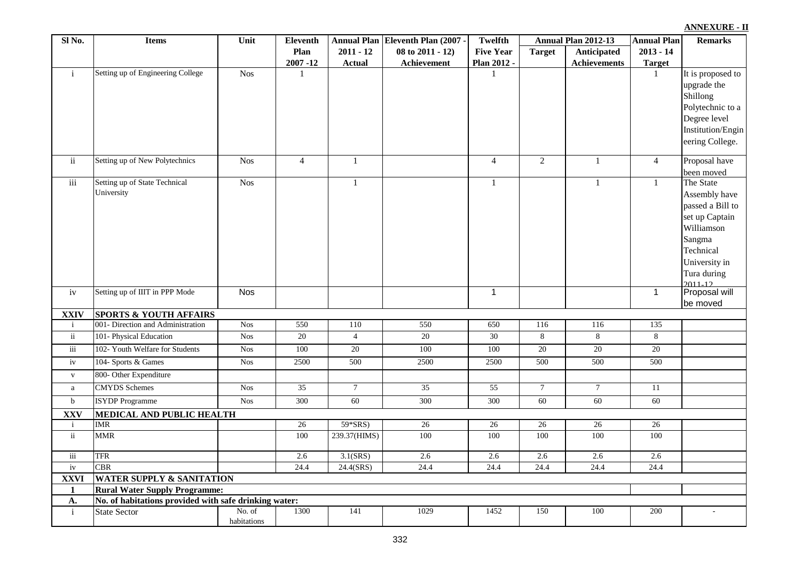332

| Sl No.                      | <b>Items</b>                                                           | Unit                  | <b>Eleventh</b> |                 | Annual Plan Eleventh Plan (2007 - | Twelfth          |                 | Annual Plan 2012-13 | <b>Annual Plan</b> | <b>Remarks</b>                    |
|-----------------------------|------------------------------------------------------------------------|-----------------------|-----------------|-----------------|-----------------------------------|------------------|-----------------|---------------------|--------------------|-----------------------------------|
|                             |                                                                        |                       | Plan            | $2011 - 12$     | 08 to 2011 - 12)                  | <b>Five Year</b> | <b>Target</b>   | Anticipated         | $2013 - 14$        |                                   |
|                             |                                                                        |                       | $2007 - 12$     | <b>Actual</b>   | Achievement                       | Plan 2012 -      |                 | <b>Achievements</b> | <b>Target</b>      |                                   |
| $\mathbf{i}$                | Setting up of Engineering College                                      | <b>Nos</b>            | $\mathbf{1}$    |                 |                                   | $\mathbf{1}$     |                 |                     | 1                  | It is proposed to                 |
|                             |                                                                        |                       |                 |                 |                                   |                  |                 |                     |                    | upgrade the                       |
|                             |                                                                        |                       |                 |                 |                                   |                  |                 |                     |                    | Shillong                          |
|                             |                                                                        |                       |                 |                 |                                   |                  |                 |                     |                    | Polytechnic to a                  |
|                             |                                                                        |                       |                 |                 |                                   |                  |                 |                     |                    | Degree level<br>Institution/Engin |
|                             |                                                                        |                       |                 |                 |                                   |                  |                 |                     |                    | eering College.                   |
|                             |                                                                        |                       |                 |                 |                                   |                  |                 |                     |                    |                                   |
| ii                          | Setting up of New Polytechnics                                         | <b>Nos</b>            | $\overline{4}$  | $\mathbf{1}$    |                                   | $\overline{4}$   | $\overline{2}$  | 1                   | $\overline{4}$     | Proposal have                     |
|                             |                                                                        |                       |                 |                 |                                   |                  |                 |                     |                    | been moved                        |
| iii                         | Setting up of State Technical                                          | <b>Nos</b>            |                 | $\mathbf{1}$    |                                   | $\mathbf{1}$     |                 | $\mathbf{1}$        | $\mathbf{1}$       | The State                         |
|                             | University                                                             |                       |                 |                 |                                   |                  |                 |                     |                    | Assembly have                     |
|                             |                                                                        |                       |                 |                 |                                   |                  |                 |                     |                    | passed a Bill to                  |
|                             |                                                                        |                       |                 |                 |                                   |                  |                 |                     |                    | set up Captain                    |
|                             |                                                                        |                       |                 |                 |                                   |                  |                 |                     |                    | Williamson<br>Sangma              |
|                             |                                                                        |                       |                 |                 |                                   |                  |                 |                     |                    | Technical                         |
|                             |                                                                        |                       |                 |                 |                                   |                  |                 |                     |                    | University in                     |
|                             |                                                                        |                       |                 |                 |                                   |                  |                 |                     |                    | Tura during                       |
|                             |                                                                        |                       |                 |                 |                                   |                  |                 |                     |                    | $2011 - 12$                       |
| iv                          | Setting up of IIIT in PPP Mode                                         | <b>Nos</b>            |                 |                 |                                   | $\overline{1}$   |                 |                     | $\mathbf{1}$       | Proposal will                     |
|                             |                                                                        |                       |                 |                 |                                   |                  |                 |                     |                    | be moved                          |
| <b>XXIV</b><br>$\mathbf{i}$ | <b>SPORTS &amp; YOUTH AFFAIRS</b><br>001- Direction and Administration | <b>Nos</b>            | 550             | 110             | 550                               | 650              | 116             | 116                 | 135                |                                   |
| $\ddot{\rm n}$              | 101- Physical Education                                                | <b>Nos</b>            | 20              | $\overline{4}$  | 20                                | 30               | $\overline{8}$  | 8                   | 8                  |                                   |
| iii                         | 102- Youth Welfare for Students                                        | <b>Nos</b>            | 100             | $\overline{20}$ | 100                               | 100              | $\overline{20}$ | $\overline{20}$     | 20                 |                                   |
| iv                          | 104- Sports & Games                                                    | <b>Nos</b>            | 2500            | 500             | 2500                              | 2500             | 500             | 500                 | 500                |                                   |
| $\mathbf{V}$                | 800- Other Expenditure                                                 |                       |                 |                 |                                   |                  |                 |                     |                    |                                   |
| $\rm{a}$                    | <b>CMYDS</b> Schemes                                                   | <b>Nos</b>            | $\overline{35}$ | $\tau$          | 35                                | 55               | $7\overline{ }$ | $\boldsymbol{7}$    | 11                 |                                   |
|                             | <b>ISYDP</b> Programme                                                 | <b>Nos</b>            |                 | 60              | 300                               |                  | 60              | 60                  | 60                 |                                   |
| $\mathbf b$                 |                                                                        |                       | 300             |                 |                                   | 300              |                 |                     |                    |                                   |
| <b>XXV</b><br>$\mathbf{i}$  | MEDICAL AND PUBLIC HEALTH<br><b>IMR</b>                                |                       | 26              | $59*SRS$        | 26                                | 26               | 26              | 26                  | 26                 |                                   |
| $\ddot{\rm n}$              | <b>MMR</b>                                                             |                       | 100             | 239.37(HIMS)    | 100                               | 100              | 100             | 100                 | 100                |                                   |
|                             |                                                                        |                       |                 |                 |                                   |                  |                 |                     |                    |                                   |
| $\rm iii$                   | TFR                                                                    |                       | 2.6             | 3.1(SRS)        | 2.6                               | 2.6              | 2.6             | 2.6                 | 2.6                |                                   |
| iv                          | CBR                                                                    |                       | 24.4            | 24.4(SRS)       | 24.4                              | 24.4             | 24.4            | 24.4                | 24.4               |                                   |
| <b>XXVI</b>                 | <b>WATER SUPPLY &amp; SANITATION</b>                                   |                       |                 |                 |                                   |                  |                 |                     |                    |                                   |
| $\mathbf{1}$                | <b>Rural Water Supply Programme:</b>                                   |                       |                 |                 |                                   |                  |                 |                     |                    |                                   |
| A.                          | No. of habitations provided with safe drinking water:                  |                       |                 |                 |                                   |                  |                 |                     |                    |                                   |
| $\mathbf{i}$                | <b>State Sector</b>                                                    | No. of<br>habitations | 1300            | 141             | 1029                              | 1452             | 150             | 100                 | 200                |                                   |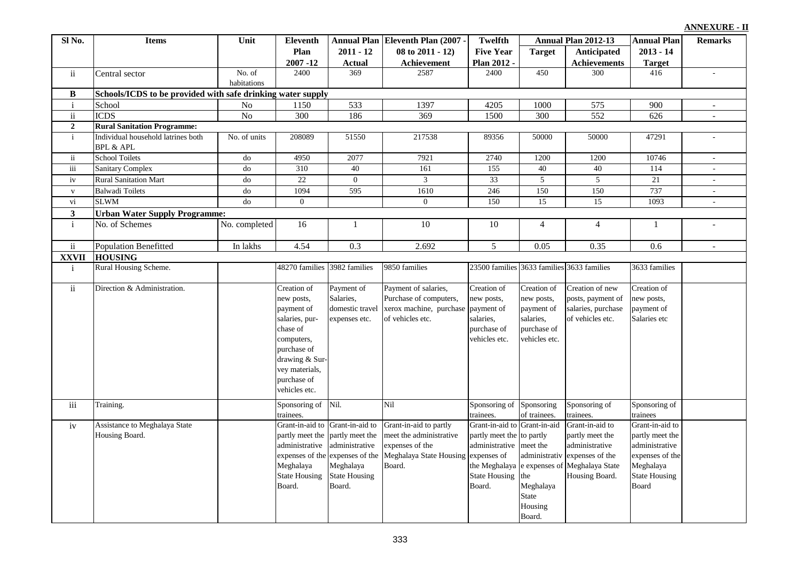| Sl No.              | <b>Items</b>                                                | Unit            | <b>Eleventh</b>                                                                                                                                                        |                                                                                                                                                        | Annual Plan Eleventh Plan (2007 -                                                                                     | Twelfth                                                                                                                        |                                                                                      | Annual Plan 2012-13                                                                                                        | <b>Annual Plan</b>                                                                                                    | <b>Remarks</b>            |
|---------------------|-------------------------------------------------------------|-----------------|------------------------------------------------------------------------------------------------------------------------------------------------------------------------|--------------------------------------------------------------------------------------------------------------------------------------------------------|-----------------------------------------------------------------------------------------------------------------------|--------------------------------------------------------------------------------------------------------------------------------|--------------------------------------------------------------------------------------|----------------------------------------------------------------------------------------------------------------------------|-----------------------------------------------------------------------------------------------------------------------|---------------------------|
|                     |                                                             |                 | Plan                                                                                                                                                                   | $2011 - 12$                                                                                                                                            | $08$ to $2011 - 12$ )                                                                                                 | <b>Five Year</b>                                                                                                               | <b>Target</b>                                                                        | Anticipated                                                                                                                | $2013 - 14$                                                                                                           |                           |
|                     |                                                             |                 | $2007 - 12$                                                                                                                                                            | <b>Actual</b>                                                                                                                                          | Achievement                                                                                                           | Plan 2012 -                                                                                                                    |                                                                                      | <b>Achievements</b>                                                                                                        | <b>Target</b>                                                                                                         |                           |
| ii                  | Central sector                                              | No. of          | 2400                                                                                                                                                                   | 369                                                                                                                                                    | 2587                                                                                                                  | 2400                                                                                                                           | 450                                                                                  | 300                                                                                                                        | 416                                                                                                                   | $\sim$                    |
|                     |                                                             | habitations     |                                                                                                                                                                        |                                                                                                                                                        |                                                                                                                       |                                                                                                                                |                                                                                      |                                                                                                                            |                                                                                                                       |                           |
| B                   | Schools/ICDS to be provided with safe drinking water supply |                 |                                                                                                                                                                        |                                                                                                                                                        |                                                                                                                       |                                                                                                                                |                                                                                      |                                                                                                                            |                                                                                                                       |                           |
| $\mathbf{i}$        | School                                                      | $\rm No$        | 1150                                                                                                                                                                   | 533                                                                                                                                                    | 1397                                                                                                                  | 4205                                                                                                                           | 1000                                                                                 | 575                                                                                                                        | 900                                                                                                                   |                           |
| $\rm ii$            | <b>ICDS</b>                                                 | $\overline{No}$ | $\overline{300}$                                                                                                                                                       | 186                                                                                                                                                    | 369                                                                                                                   | 1500                                                                                                                           | 300                                                                                  | $\overline{552}$                                                                                                           | 626                                                                                                                   | $\overline{a}$            |
| $\overline{2}$      | <b>Rural Sanitation Programme:</b>                          |                 |                                                                                                                                                                        |                                                                                                                                                        |                                                                                                                       |                                                                                                                                |                                                                                      |                                                                                                                            |                                                                                                                       |                           |
| $\mathbf{i}$        | Individual household latrines both<br><b>BPL &amp; APL</b>  | No. of units    | 208089                                                                                                                                                                 | 51550                                                                                                                                                  | 217538                                                                                                                | 89356                                                                                                                          | 50000                                                                                | 50000                                                                                                                      | 47291                                                                                                                 |                           |
| $\ddot{\mathbf{u}}$ | <b>School Toilets</b>                                       | do              | 4950                                                                                                                                                                   | 2077                                                                                                                                                   | 7921                                                                                                                  | 2740                                                                                                                           | 1200                                                                                 | 1200                                                                                                                       | 10746                                                                                                                 | $\bar{\phantom{a}}$       |
| iii                 | <b>Sanitary Complex</b>                                     | d <sub>o</sub>  | 310                                                                                                                                                                    | 40                                                                                                                                                     | 161                                                                                                                   | 155                                                                                                                            | 40                                                                                   | 40                                                                                                                         | 114                                                                                                                   |                           |
| iv                  | <b>Rural Sanitation Mart</b>                                | do              | 22                                                                                                                                                                     | $\mathbf{0}$                                                                                                                                           | 3                                                                                                                     | 33                                                                                                                             | $\overline{5}$                                                                       | $\overline{5}$                                                                                                             | 21                                                                                                                    | $\sim$                    |
| $\mathbf{V}$        | <b>Balwadi Toilets</b>                                      | do              | 1094                                                                                                                                                                   | 595                                                                                                                                                    | 1610                                                                                                                  | 246                                                                                                                            | 150                                                                                  | 150                                                                                                                        | 737                                                                                                                   |                           |
| vi                  | <b>SLWM</b>                                                 | d <sub>o</sub>  | $\mathbf{0}$                                                                                                                                                           |                                                                                                                                                        | $\overline{0}$                                                                                                        | 150                                                                                                                            | 15                                                                                   | 15                                                                                                                         | 1093                                                                                                                  |                           |
| $\mathbf{3}$        | <b>Urban Water Supply Programme:</b>                        |                 |                                                                                                                                                                        |                                                                                                                                                        |                                                                                                                       |                                                                                                                                |                                                                                      |                                                                                                                            |                                                                                                                       |                           |
| $\mathbf{i}$        | No. of Schemes                                              | No. completed   | 16                                                                                                                                                                     | -1                                                                                                                                                     | 10                                                                                                                    | 10                                                                                                                             | $\overline{4}$                                                                       | $\overline{4}$                                                                                                             | $\mathbf{1}$                                                                                                          |                           |
| $\mathbf{ii}$       | <b>Population Benefitted</b>                                | In lakhs        | 4.54                                                                                                                                                                   | 0.3                                                                                                                                                    | 2.692                                                                                                                 | 5                                                                                                                              | 0.05                                                                                 | 0.35                                                                                                                       | 0.6                                                                                                                   | $\mathbb{L}^{\mathbb{Z}}$ |
| <b>XXVII</b>        | <b>HOUSING</b>                                              |                 |                                                                                                                                                                        |                                                                                                                                                        |                                                                                                                       |                                                                                                                                |                                                                                      |                                                                                                                            |                                                                                                                       |                           |
| $\mathbf{i}$        | Rural Housing Scheme.                                       |                 | 48270 families                                                                                                                                                         | 3982 families                                                                                                                                          | 9850 families                                                                                                         | 23500 families 3633 families 3633 families                                                                                     |                                                                                      |                                                                                                                            | 3633 families                                                                                                         |                           |
| $\rm ii$            | Direction & Administration.                                 |                 | Creation of<br>new posts,<br>payment of<br>salaries, pur-<br>chase of<br>computers,<br>purchase of<br>drawing & Sur-<br>vey materials,<br>purchase of<br>vehicles etc. | Payment of<br>Salaries,<br>domestic travel<br>expenses etc.                                                                                            | Payment of salaries,<br>Purchase of computers,<br>xerox machine, purchase payment of<br>of vehicles etc.              | Creation of<br>new posts,<br>salaries.<br>purchase of<br>vehicles etc.                                                         | Creation of<br>new posts,<br>payment of<br>salaries,<br>purchase of<br>vehicles etc. | Creation of new<br>posts, payment of<br>salaries, purchase<br>of vehicles etc.                                             | Creation of<br>new posts,<br>payment of<br>Salaries etc                                                               |                           |
| iii                 | Training.                                                   |                 | Sponsoring of<br>trainees.                                                                                                                                             | Nil.                                                                                                                                                   | Nil                                                                                                                   | Sponsoring of<br>trainees.                                                                                                     | Sponsoring<br>of trainees.                                                           | Sponsoring of<br>trainees.                                                                                                 | Sponsoring of<br>trainees                                                                                             |                           |
| iv                  | Assistance to Meghalaya State<br>Housing Board.             |                 | Grant-in-aid to<br>administrative<br>Meghalaya<br><b>State Housing</b><br>Board.                                                                                       | Grant-in-aid to<br>partly meet the partly meet the<br>administrative<br>expenses of the expenses of the<br>Meghalaya<br><b>State Housing</b><br>Board. | Grant-in-aid to partly<br>meet the administrative<br>expenses of the<br>Meghalaya State Housing expenses of<br>Board. | Grant-in-aid to Grant-in-aid<br>partly meet the to partly<br>administrative<br>the Meghalaya<br><b>State Housing</b><br>Board. | meet the<br>administrativ<br>the<br>Meghalaya<br><b>State</b><br>Housing<br>Board.   | Grant-in-aid to<br>partly meet the<br>administrative<br>expenses of the<br>e expenses of Meghalaya State<br>Housing Board. | Grant-in-aid to<br>partly meet the<br>administrative<br>expenses of the<br>Meghalaya<br><b>State Housing</b><br>Board |                           |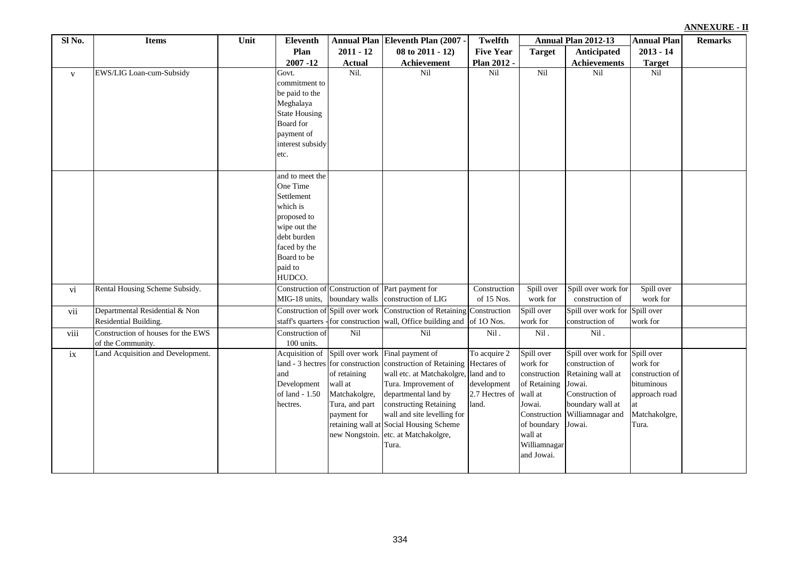| Sl No.       | <b>Items</b>                                            | Unit | <b>Eleventh</b>                                                                                                                                         |                                                                           | Annual Plan Eleventh Plan (2007 -                                                                                                                                                                                                                                                                                                                          | <b>Twelfth</b>                                         |                                                                                                                                                     | Annual Plan 2012-13                                                                                                                        | <b>Annual Plan</b>                                                                                 | <b>Remarks</b> |
|--------------|---------------------------------------------------------|------|---------------------------------------------------------------------------------------------------------------------------------------------------------|---------------------------------------------------------------------------|------------------------------------------------------------------------------------------------------------------------------------------------------------------------------------------------------------------------------------------------------------------------------------------------------------------------------------------------------------|--------------------------------------------------------|-----------------------------------------------------------------------------------------------------------------------------------------------------|--------------------------------------------------------------------------------------------------------------------------------------------|----------------------------------------------------------------------------------------------------|----------------|
|              |                                                         |      | Plan                                                                                                                                                    | $2011 - 12$                                                               | $08$ to $2011 - 12$ )                                                                                                                                                                                                                                                                                                                                      | <b>Five Year</b>                                       | <b>Target</b>                                                                                                                                       | Anticipated                                                                                                                                | $2013 - 14$                                                                                        |                |
|              |                                                         |      | $2007 - 12$                                                                                                                                             | <b>Actual</b>                                                             | <b>Achievement</b>                                                                                                                                                                                                                                                                                                                                         | Plan 2012 -                                            |                                                                                                                                                     | <b>Achievements</b>                                                                                                                        | <b>Target</b>                                                                                      |                |
| $\mathbf{V}$ | EWS/LIG Loan-cum-Subsidy                                |      | Govt.<br>commitment to<br>be paid to the<br>Meghalaya<br><b>State Housing</b><br>Board for<br>payment of<br>interest subsidy<br>etc.                    | Nil.                                                                      | Nil                                                                                                                                                                                                                                                                                                                                                        | Nil                                                    | Nil                                                                                                                                                 | Nil                                                                                                                                        | Nil                                                                                                |                |
|              |                                                         |      | and to meet the<br>One Time<br>Settlement<br>which is<br>proposed to<br>wipe out the<br>debt burden<br>faced by the<br>Board to be<br>paid to<br>HUDCO. |                                                                           |                                                                                                                                                                                                                                                                                                                                                            |                                                        |                                                                                                                                                     |                                                                                                                                            |                                                                                                    |                |
| vi           | Rental Housing Scheme Subsidy.                          |      | MIG-18 units,                                                                                                                                           | boundary walls                                                            | Construction of Construction of Part payment for<br>construction of LIG                                                                                                                                                                                                                                                                                    | Construction<br>of 15 Nos.                             | Spill over<br>work for                                                                                                                              | Spill over work for<br>construction of                                                                                                     | Spill over<br>work for                                                                             |                |
| vii          | Departmental Residential & Non<br>Residential Building. |      | staff's quarters                                                                                                                                        | Construction of Spill over work                                           | Construction of Retaining<br>-for construction wall, Office building and                                                                                                                                                                                                                                                                                   | Construction<br>of 10 Nos.                             | Spill over<br>work for                                                                                                                              | Spill over work for Spill over<br>construction of                                                                                          | work for                                                                                           |                |
| viii         | Construction of houses for the EWS<br>of the Community. |      | Construction of<br>100 units.                                                                                                                           | Nil                                                                       | Nil                                                                                                                                                                                                                                                                                                                                                        | Nil.                                                   | Nil.                                                                                                                                                | Nil.                                                                                                                                       |                                                                                                    |                |
| $i$ x        | Land Acquisition and Development.                       |      | Acquisition of<br>and<br>Development<br>of land - 1.50<br>hectres.                                                                                      | of retaining<br>wall at<br>Matchakolgre,<br>Tura, and part<br>payment for | Spill over work Final payment of<br>land - 3 hectres for construction construction of Retaining Hectares of<br>wall etc. at Matchakolgre, land and to<br>Tura. Improvement of<br>departmental land by<br>constructing Retaining<br>wall and site levelling for<br>retaining wall at Social Housing Scheme<br>new Nongstoin. etc. at Matchakolgre,<br>Tura. | To acquire 2<br>development<br>2.7 Hectres of<br>land. | Spill over<br>work for<br>construction<br>of Retaining<br>wall at<br>Jowai.<br>Construction<br>of boundary<br>wall at<br>Williamnagar<br>and Jowai. | Spill over work for<br>construction of<br>Retaining wall at<br>Jowai.<br>Construction of<br>boundary wall at<br>Williamnagar and<br>Jowai. | Spill over<br>work for<br>construction of<br>bituminous<br>approach road<br>Matchakolgre,<br>Tura. |                |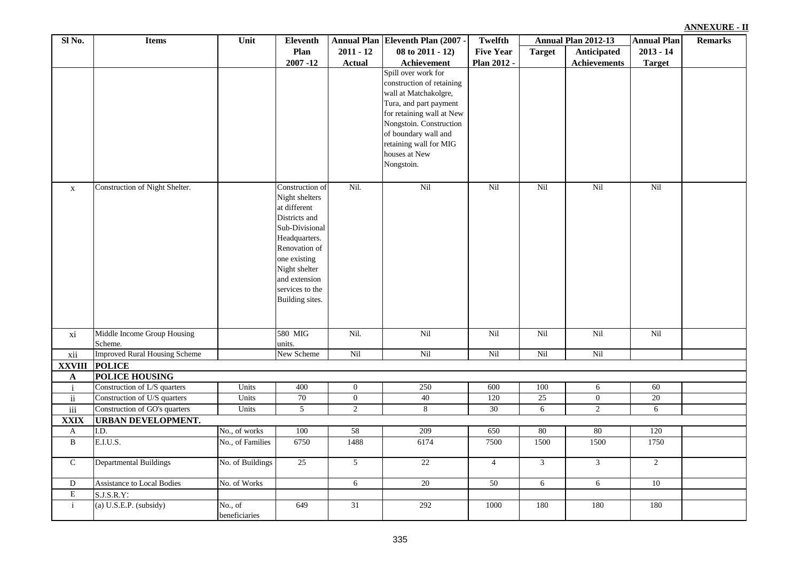|  | ANNEXURE - II |  |  |
|--|---------------|--|--|
|  |               |  |  |

| Sl No.        | <b>Items</b>                           | Unit                     | <b>Eleventh</b>                                                                                                                                                                                                |                  | Annual Plan Eleventh Plan (2007 -                                                                                                                                                                                                            | Twelfth          |               | Annual Plan 2012-13 | <b>Annual Plan</b> | <b>Remarks</b> |
|---------------|----------------------------------------|--------------------------|----------------------------------------------------------------------------------------------------------------------------------------------------------------------------------------------------------------|------------------|----------------------------------------------------------------------------------------------------------------------------------------------------------------------------------------------------------------------------------------------|------------------|---------------|---------------------|--------------------|----------------|
|               |                                        |                          | Plan                                                                                                                                                                                                           | $2011 - 12$      | 08 to 2011 - 12)                                                                                                                                                                                                                             | <b>Five Year</b> | <b>Target</b> | Anticipated         | $2013 - 14$        |                |
|               |                                        |                          | $2007 - 12$                                                                                                                                                                                                    | <b>Actual</b>    | Achievement                                                                                                                                                                                                                                  | Plan 2012 -      |               | <b>Achievements</b> | <b>Target</b>      |                |
|               |                                        |                          |                                                                                                                                                                                                                |                  | Spill over work for<br>construction of retaining<br>wall at Matchakolgre,<br>Tura, and part payment<br>for retaining wall at New<br>Nongstoin. Construction<br>of boundary wall and<br>retaining wall for MIG<br>houses at New<br>Nongstoin. |                  |               |                     |                    |                |
| $\mathbf{X}$  | Construction of Night Shelter.         |                          | Construction of<br>Night shelters<br>at different<br>Districts and<br>Sub-Divisional<br>Headquarters.<br>Renovation of<br>one existing<br>Night shelter<br>and extension<br>services to the<br>Building sites. | Nil.             | Nil                                                                                                                                                                                                                                          | Nil              | Nil           | Nil                 | Nil                |                |
| xi            | Middle Income Group Housing<br>Scheme. |                          | 580 MIG<br>units.                                                                                                                                                                                              | Nil.             | Nil                                                                                                                                                                                                                                          | Nil              | Nil           | Nil                 | Nil                |                |
| xii           | <b>Improved Rural Housing Scheme</b>   |                          | New Scheme                                                                                                                                                                                                     | Nil              | Nil                                                                                                                                                                                                                                          | Nil              | Nil           | Nil                 |                    |                |
| <b>XXVIII</b> | <b>POLICE</b>                          |                          |                                                                                                                                                                                                                |                  |                                                                                                                                                                                                                                              |                  |               |                     |                    |                |
| $\mathbf A$   | <b>POLICE HOUSING</b>                  |                          |                                                                                                                                                                                                                |                  |                                                                                                                                                                                                                                              |                  |               |                     |                    |                |
| $\mathbf i$   | Construction of L/S quarters           | Units                    | 400                                                                                                                                                                                                            | $\mathbf{0}$     | 250                                                                                                                                                                                                                                          | 600              | 100           | 6                   | 60                 |                |
| ii            | Construction of U/S quarters           | Units                    | 70                                                                                                                                                                                                             | $\boldsymbol{0}$ | 40                                                                                                                                                                                                                                           | 120              | 25            | $\overline{0}$      | $\overline{20}$    |                |
| $\rm iii$     | Construction of GO's quarters          | Units                    | $\overline{5}$                                                                                                                                                                                                 | $\overline{2}$   | $8\,$                                                                                                                                                                                                                                        | 30               | 6             | $\sqrt{2}$          | 6                  |                |
| <b>XXIX</b>   | <b>URBAN DEVELOPMENT.</b>              |                          |                                                                                                                                                                                                                |                  |                                                                                                                                                                                                                                              |                  |               |                     |                    |                |
| $\mathbf{A}$  | I.D.                                   | No., of works            | 100                                                                                                                                                                                                            | 58               | 209                                                                                                                                                                                                                                          | 650              | 80            | 80                  | 120                |                |
| $\, {\bf B}$  | E.I.U.S.                               | No., of Families         | 6750                                                                                                                                                                                                           | 1488             | 6174                                                                                                                                                                                                                                         | 7500             | 1500          | 1500                | 1750               |                |
| $\mathsf{C}$  | <b>Departmental Buildings</b>          | No. of Buildings         | 25                                                                                                                                                                                                             | 5                | 22                                                                                                                                                                                                                                           | $\overline{4}$   | 3             | 3                   | $\overline{2}$     |                |
| D             | <b>Assistance to Local Bodies</b>      | No. of Works             |                                                                                                                                                                                                                | 6                | 20                                                                                                                                                                                                                                           | 50               | 6             | 6                   | $10$               |                |
| ${\bf E}$     | $\overline{S}$ .J.S.R.Y:               |                          |                                                                                                                                                                                                                |                  |                                                                                                                                                                                                                                              |                  |               |                     |                    |                |
| $\mathbf{i}$  | (a) U.S.E.P. (subsidy)                 | No., of<br>beneficiaries | 649                                                                                                                                                                                                            | 31               | 292                                                                                                                                                                                                                                          | 1000             | 180           | 180                 | 180                |                |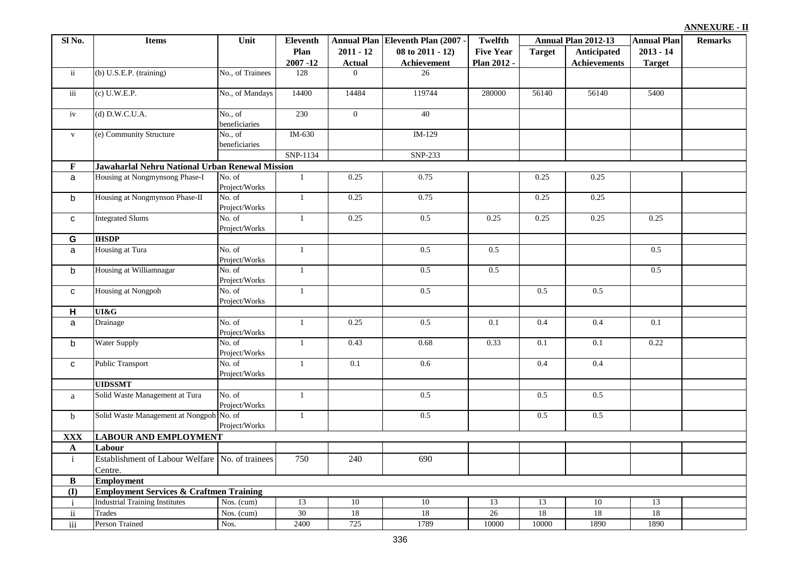| Sl No.                   | <b>Items</b>                                               | Unit                     | Eleventh       |                | Annual Plan Eleventh Plan (2007 - | <b>Twelfth</b>   |               | Annual Plan 2012-13 | Annual Plan   | <b>Remarks</b> |
|--------------------------|------------------------------------------------------------|--------------------------|----------------|----------------|-----------------------------------|------------------|---------------|---------------------|---------------|----------------|
|                          |                                                            |                          | Plan           | $2011 - 12$    | 08 to 2011 - 12)                  | <b>Five Year</b> | <b>Target</b> | Anticipated         | $2013 - 14$   |                |
|                          |                                                            |                          | $2007 - 12$    | <b>Actual</b>  | <b>Achievement</b>                | Plan 2012 -      |               | <b>Achievements</b> | <b>Target</b> |                |
| $\ddot{\mathbf{i}}$      | (b) U.S.E.P. (training)                                    | No., of Trainees         | 128            | $\Omega$       | 26                                |                  |               |                     |               |                |
| iii                      | $(c)$ U.W.E.P.                                             | No., of Mandays          | 14400          | 14484          | 119744                            | 280000           | 56140         | 56140               | 5400          |                |
| iv                       | $(d)$ D.W.C.U.A.                                           | No., of<br>beneficiaries | 230            | $\overline{0}$ | 40                                |                  |               |                     |               |                |
| $\mathbf{V}$             | (e) Community Structure                                    | No., of<br>beneficiaries | IM-630 $\,$    |                | IM-129                            |                  |               |                     |               |                |
|                          |                                                            |                          | SNP-1134       |                | SNP-233                           |                  |               |                     |               |                |
| $\mathbf{F}$             | Jawaharlal Nehru National Urban Renewal Mission            |                          |                |                |                                   |                  |               |                     |               |                |
| a                        | Housing at Nongmynsong Phase-I                             | No. of<br>Project/Works  | $\mathbf{1}$   | 0.25           | 0.75                              |                  | 0.25          | 0.25                |               |                |
| b                        | Housing at Nongmynson Phase-II                             | No. of<br>Project/Works  | $\mathbf{1}$   | 0.25           | 0.75                              |                  | 0.25          | 0.25                |               |                |
| ${\bf c}$                | <b>Integrated Slums</b>                                    | No. of<br>Project/Works  | $\mathbf{1}$   | 0.25           | 0.5                               | 0.25             | 0.25          | 0.25                | 0.25          |                |
| G                        | <b>IHSDP</b>                                               |                          |                |                |                                   |                  |               |                     |               |                |
| a                        | Housing at Tura                                            | No. of<br>Project/Works  | $\mathbf{1}$   |                | 0.5                               | 0.5              |               |                     | 0.5           |                |
| $\mathsf b$              | Housing at Williamnagar                                    | No. of<br>Project/Works  | $\mathbf{1}$   |                | 0.5                               | 0.5              |               |                     | 0.5           |                |
| $\mathbf{C}$             | <b>Housing at Nongpoh</b>                                  | No. of<br>Project/Works  | $\overline{1}$ |                | 0.5                               |                  | 0.5           | 0.5                 |               |                |
| H                        | UI&G                                                       |                          |                |                |                                   |                  |               |                     |               |                |
| a                        | Drainage                                                   | No. of<br>Project/Works  | $\mathbf{1}$   | 0.25           | 0.5                               | 0.1              | 0.4           | 0.4                 | 0.1           |                |
| b                        | Water Supply                                               | No. of<br>Project/Works  | $\mathbf{1}$   | 0.43           | 0.68                              | 0.33             | 0.1           | 0.1                 | 0.22          |                |
| $\mathbf{C}$             | <b>Public Transport</b>                                    | No. of<br>Project/Works  | $\mathbf{1}$   | 0.1            | 0.6                               |                  | 0.4           | 0.4                 |               |                |
|                          | <b>UIDSSMT</b>                                             |                          |                |                |                                   |                  |               |                     |               |                |
| a                        | Solid Waste Management at Tura                             | No. of<br>Project/Works  | $\mathbf{1}$   |                | 0.5                               |                  | 0.5           | 0.5                 |               |                |
| $\mathbf b$              | Solid Waste Management at Nongpoh No. of                   | Project/Works            | $\mathbf{1}$   |                | 0.5                               |                  | 0.5           | 0.5                 |               |                |
| <b>XXX</b>               | <b>LABOUR AND EMPLOYMENT</b>                               |                          |                |                |                                   |                  |               |                     |               |                |
| $\mathbf{A}$             | Labour                                                     |                          |                |                |                                   |                  |               |                     |               |                |
| $\mathbf{i}$             | Establishment of Labour Welfare No. of trainees<br>Centre. |                          | 750            | 240            | 690                               |                  |               |                     |               |                |
| B                        | <b>Employment</b>                                          |                          |                |                |                                   |                  |               |                     |               |                |
| (1)                      | <b>Employment Services &amp; Craftmen Training</b>         |                          |                |                |                                   |                  |               |                     |               |                |
| $\mathbf{i}$             | <b>Industrial Training Institutes</b>                      | Nos. (cum)               | 13             | 10             | 10                                | 13               | 13            | 10                  | 13            |                |
| $\overline{\textbf{ii}}$ | Trades                                                     | Nos. (cum)               | 30             | 18             | 18                                | 26               | 18            | 18                  | 18            |                |
| $\overline{iii}$         | Person Trained                                             | Nos.                     | 2400           | 725            | 1789                              | 10000            | 10000         | 1890                | 1890          |                |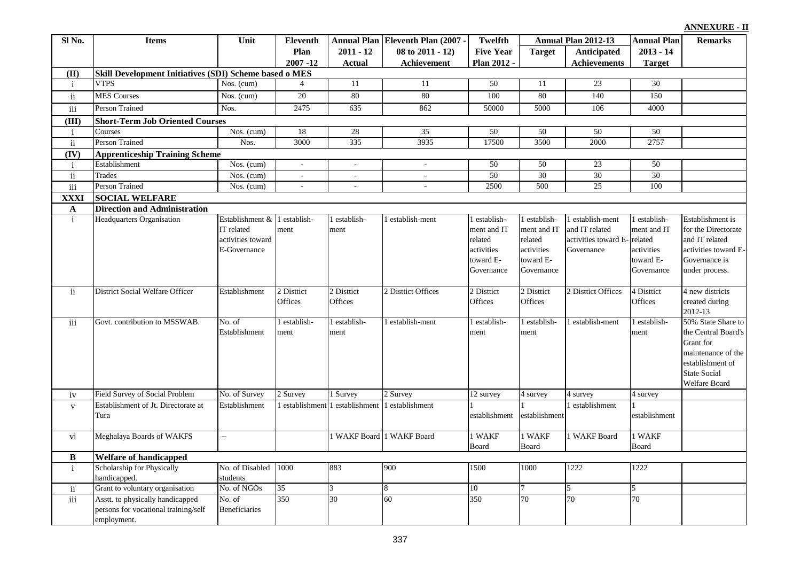#### **Target Anticipated Achievements Annual Plan 2011 - 12 Actual Eleventh Plan (2007) 08 to 2011 - 12) Achievement Twelfth Five Year Plan 2012 - Annual Plan 2012-13 Annual Plan Eleventh Remarks 2013 - 14 Target Plan 2007 -12 Sl No. Items Unit (II)** i VTPS Nos. (cum)  $4 \mid 11 \mid 11 \mid 50 \mid 11 \mid 23 \mid 30$ ii MES Courses Nos. (cum) 20 80 80 100 80 140 150 iii Person Trained Nos. 1975 635 862 50000 5000 106 4000 **(III)** i Courses 1 Nos. (cum) 18 28 35 50 50 50 50 50 50 ii Person-Trained 1 Nos. 3000 335 3935 17500 3500 2000 2757 **(IV)** i Establishment Nos. (cum) - - - 50 50 23 50 ii Trades 19 Nos. (cum) -  $\frac{1}{2}$  -  $\frac{1}{2}$  50 30 30 30 30 30 30 iii Person Trained Nos. (cum) - - - 2500 500 25 100 **XXXI A** i Headquarters Organisation IT related activities toward E-Governance Establishment  $\&$  1 establishment 1 establishment 1 establish-ment 1 establishment and IT related activities toward E-Governance 1 establishment and IT related activities toward E-Governance establish-ment and IT related activities toward E-Governance 1 establishment and IT related activities toward E-Governance Establishment is for the Directorate and IT related activities toward E-Governance is under process. ii District Social Welfare Officer Establishment 2 District **Offices** 2 Disttict **Offices** 2 District Offices 2 District **Offices** 2 Disttict **Offices** 2 District Offices 4 District **Offices** 4 new districts created during 2012-13 iii Govt. contribution to MSSWAB. No. of Establishment 1 establishment 1 establishment 1 establish-ment 1 establishment 1 establishment 1 establish-ment 1 establishment 50% State Share to the Central Board's Grant for maintenance of the establishment of State Social Welfare Board iv Field Survey of Social Problem No. of Survey 2 Survey 1 Survey 2 Survey 12 survey 4 survey 4 survey 4 survey v Establishment of Jt. Directorate at Tura Establishment 1 establishment 1 establishment 1 establishment establishment 1 establishment establishment establishment vi Meghalaya Boards of WAKFS -- 1 WAKF Board 1 WAKF Board 1 WAKF 1 WAKF 1 WAKF Board 1 WAKF Board 1 WAKF Board 1 WAKF Board **B** i Scholarship for Physically handicapped. No. of Disabled students 1000 883 900 1500 1000 1222 1222 ii Grant to voluntary organisation No. of NGOs 35 3 8 10 7 5 5 5 5 5 5 5 6 6 10 1 7 5 5 5 5 5 6 7 6 10 1 7 5 5 5 5 6 7 6 10 1 7 5 5 5 5 6 7 7 1 5 5 5 6 7 7 1 5 5 6 7 7 1 5 5 6 7 7 1 5 5 6 7 7 1 5 5 6 7 7 1 7 1 5 5 6 7 7 1 iii Asstt. to physically handicapped persons for vocational training/self employment. No. of Beneficiaries 350 360 60 350 70 70 70 **Direction and Administration Welfare of handicapped Apprenticeship Training Scheme SOCIAL WELFARE Short-Term Job Oriented Courses Skill Development Initiatives (SDI) Scheme based o MES**<br>VTPS **Nos. (cum)** 4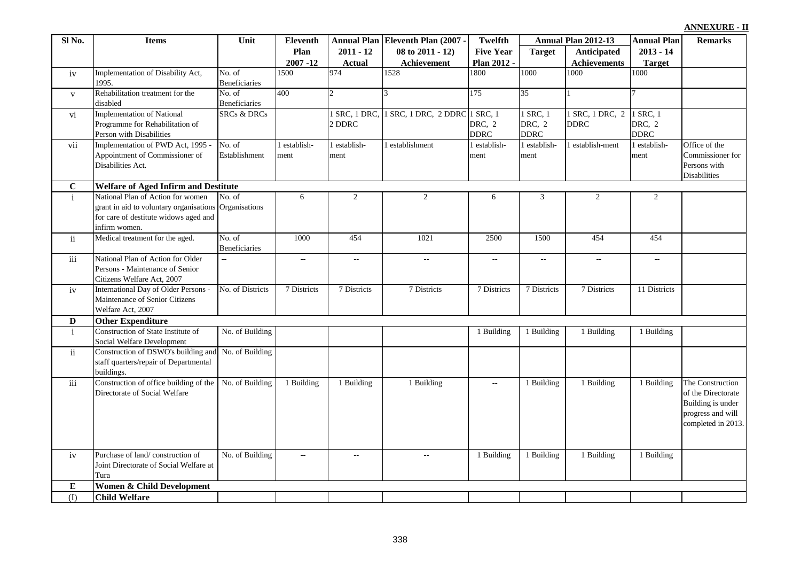338

|  | <b>ANNEXURE - II</b> |  |  |
|--|----------------------|--|--|
|--|----------------------|--|--|

| Sl No.       | <b>Items</b>                                                                                                                                         | Unit                           | Eleventh             |                      | Annual Plan Eleventh Plan (2007 -           | <b>Twelfth</b>        |                                   | Annual Plan 2012-13            | <b>Annual Plan</b>                | <b>Remarks</b>                                                                                         |
|--------------|------------------------------------------------------------------------------------------------------------------------------------------------------|--------------------------------|----------------------|----------------------|---------------------------------------------|-----------------------|-----------------------------------|--------------------------------|-----------------------------------|--------------------------------------------------------------------------------------------------------|
|              |                                                                                                                                                      |                                | Plan                 | $2011 - 12$          | 08 to 2011 - 12)                            | <b>Five Year</b>      | <b>Target</b>                     | Anticipated                    | $2013 - 14$                       |                                                                                                        |
|              |                                                                                                                                                      |                                | $2007 - 12$          | <b>Actual</b>        | Achievement                                 | Plan 2012 -           |                                   | <b>Achievements</b>            | <b>Target</b>                     |                                                                                                        |
| iv           | Implementation of Disability Act,<br>1995.                                                                                                           | No. of<br><b>Beneficiaries</b> | 1500                 | 974                  | 1528                                        | 1800                  | 1000                              | 1000                           | 1000                              |                                                                                                        |
| $\mathbf{V}$ | Rehabilitation treatment for the<br>disabled                                                                                                         | No. of<br><b>Beneficiaries</b> | 400                  | $\mathfrak{D}$       | $\overline{\mathbf{3}}$                     | 175                   | 35                                |                                |                                   |                                                                                                        |
| vi           | <b>Implementation of National</b><br>Programme for Rehabilitation of<br>Person with Disabilities                                                     | <b>SRCs &amp; DRCs</b>         |                      | 2 DDRC               | 1 SRC, 1 DRC, 1 SRC, 1 DRC, 2 DDRC 1 SRC, 1 | DRC, 2<br><b>DDRC</b> | 1 SRC, 1<br>DRC, 2<br><b>DDRC</b> | 1 SRC, 1 DRC, 2<br><b>DDRC</b> | 1 SRC, 1<br>DRC, 2<br><b>DDRC</b> |                                                                                                        |
| vii          | Implementation of PWD Act, 1995 -<br>Appointment of Commissioner of<br>Disabilities Act.                                                             | No. of<br>Establishment        | 1 establish-<br>ment | l establish-<br>ment | 1 establishment                             | 1 establish-<br>ment  | 1 establish-<br>ment              | l establish-ment               | l establish-<br>ment              | Office of the<br>Commissioner for<br>Persons with<br><b>Disabilities</b>                               |
| $\mathbf C$  | <b>Welfare of Aged Infirm and Destitute</b>                                                                                                          |                                |                      |                      |                                             |                       |                                   |                                |                                   |                                                                                                        |
| $\mathbf{i}$ | National Plan of Action for women<br>grant in aid to voluntary organisations Organisations<br>for care of destitute widows aged and<br>infirm women. | No. of                         | 6                    | $\overline{2}$       | $\overline{2}$                              | 6                     | 3                                 | 2                              | 2                                 |                                                                                                        |
| ii           | Medical treatment for the aged.                                                                                                                      | No. of<br><b>Beneficiaries</b> | 1000                 | 454                  | 1021                                        | 2500                  | 1500                              | 454                            | 454                               |                                                                                                        |
| iii          | National Plan of Action for Older<br>Persons - Maintenance of Senior<br>Citizens Welfare Act, 2007                                                   |                                | $\mathbf{u}$         | $\mathbf{u}$         | $\mathcal{L} =$                             | $-$                   | $\overline{\phantom{a}}$          | $\overline{\phantom{a}}$       | $\mathbf{u}$                      |                                                                                                        |
| iv           | International Day of Older Persons -<br>Maintenance of Senior Citizens<br>Welfare Act, 2007                                                          | No. of Districts               | 7 Districts          | 7 Districts          | 7 Districts                                 | 7 Districts           | 7 Districts                       | 7 Districts                    | 11 Districts                      |                                                                                                        |
| D            | <b>Other Expenditure</b>                                                                                                                             |                                |                      |                      |                                             |                       |                                   |                                |                                   |                                                                                                        |
| $\mathbf{i}$ | Construction of State Institute of<br>Social Welfare Development                                                                                     | No. of Building                |                      |                      |                                             | 1 Building            | 1 Building                        | 1 Building                     | 1 Building                        |                                                                                                        |
| $\rm ii$     | Construction of DSWO's building and No. of Building<br>staff quarters/repair of Departmental<br>buildings.                                           |                                |                      |                      |                                             |                       |                                   |                                |                                   |                                                                                                        |
| iii          | Construction of office building of the<br>Directorate of Social Welfare                                                                              | No. of Building                | 1 Building           | 1 Building           | 1 Building                                  | Ξ.                    | 1 Building                        | 1 Building                     | 1 Building                        | The Construction<br>of the Directorate<br>Building is under<br>progress and will<br>completed in 2013. |
| iv           | Purchase of land/construction of<br>Joint Directorate of Social Welfare at<br>Tura                                                                   | No. of Building                | $\sim$ $\sim$        | $\sim$ $\sim$        | $\sim$ $\sim$                               | 1 Building            | 1 Building                        | 1 Building                     | 1 Building                        |                                                                                                        |
| E            | Women & Child Development                                                                                                                            |                                |                      |                      |                                             |                       |                                   |                                |                                   |                                                                                                        |
| $($ $\Gamma$ | <b>Child Welfare</b>                                                                                                                                 |                                |                      |                      |                                             |                       |                                   |                                |                                   |                                                                                                        |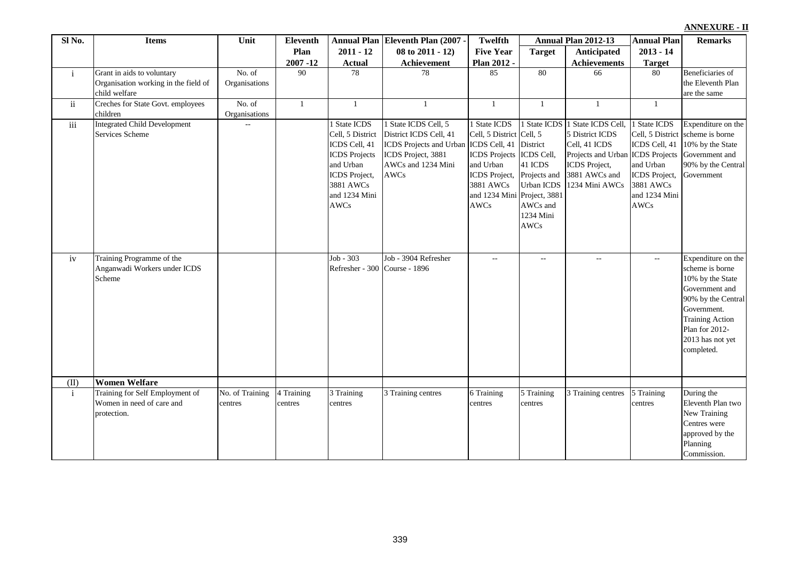| Sl No.              | <b>Items</b>                                                                        | Unit                       | <b>Eleventh</b>       |                                                                                                                                                      | Annual Plan Eleventh Plan (2007 -                                                                                             | <b>Twelfth</b>                                                                                                                                        |                                                                                                                          | Annual Plan 2012-13                                                                                                                           | <b>Annual Plan</b>                                                                                                               | <b>Remarks</b>                                                                                                                                                                                 |
|---------------------|-------------------------------------------------------------------------------------|----------------------------|-----------------------|------------------------------------------------------------------------------------------------------------------------------------------------------|-------------------------------------------------------------------------------------------------------------------------------|-------------------------------------------------------------------------------------------------------------------------------------------------------|--------------------------------------------------------------------------------------------------------------------------|-----------------------------------------------------------------------------------------------------------------------------------------------|----------------------------------------------------------------------------------------------------------------------------------|------------------------------------------------------------------------------------------------------------------------------------------------------------------------------------------------|
|                     |                                                                                     |                            | Plan                  | $2011 - 12$                                                                                                                                          | 08 to 2011 - 12)                                                                                                              | <b>Five Year</b>                                                                                                                                      | <b>Target</b>                                                                                                            | <b>Anticipated</b>                                                                                                                            | $2013 - 14$                                                                                                                      |                                                                                                                                                                                                |
|                     |                                                                                     |                            | $2007 - 12$           | <b>Actual</b>                                                                                                                                        | Achievement                                                                                                                   | Plan 2012 -                                                                                                                                           |                                                                                                                          | <b>Achievements</b>                                                                                                                           | <b>Target</b>                                                                                                                    |                                                                                                                                                                                                |
| $\mathbf{i}$        | Grant in aids to voluntary<br>Organisation working in the field of<br>child welfare | No. of<br>Organisations    | 90                    | 78                                                                                                                                                   | 78                                                                                                                            | 85                                                                                                                                                    | 80                                                                                                                       | 66                                                                                                                                            | 80                                                                                                                               | Beneficiaries of<br>the Eleventh Plan<br>are the same                                                                                                                                          |
| $\ddot{\mathbf{1}}$ | Creches for State Govt. employees<br>children                                       | No. of<br>Organisations    | $\mathbf{1}$          | $\mathbf{1}$                                                                                                                                         | $\mathbf{1}$                                                                                                                  | $\mathbf{1}$                                                                                                                                          | -1                                                                                                                       | $\mathbf{1}$                                                                                                                                  | -1                                                                                                                               |                                                                                                                                                                                                |
| $\overline{iii}$    | <b>Integrated Child Development</b><br>Services Scheme                              | L.                         |                       | 1 State ICDS<br>Cell, 5 District<br>ICDS Cell, 41<br><b>ICDS</b> Projects<br>and Urban<br>ICDS Project,<br>3881 AWCs<br>and 1234 Mini<br><b>AWCs</b> | 1 State ICDS Cell, 5<br>District ICDS Cell, 41<br>ICDS Projects and Urban<br>ICDS Project, 3881<br>AWCs and 1234 Mini<br>AWCs | 1 State ICDS<br>Cell, 5 District Cell, 5<br>ICDS Cell, 41<br><b>ICDS</b> Projects<br>and Urban<br>ICDS Project,<br>3881 AWCs<br>and 1234 Mini<br>AWCs | District<br>ICDS Cell,<br>41 ICDS<br>Projects and<br>Urban ICDS<br>Project, 3881<br>AWCs and<br>1234 Mini<br><b>AWCs</b> | 1 State ICDS 1 State ICDS Cell,<br>5 District ICDS<br>Cell, 41 ICDS<br>Projects and Urban<br>ICDS Project,<br>3881 AWCs and<br>1234 Mini AWCs | 1 State ICDS<br>ICDS Cell, 41<br><b>ICDS</b> Projects<br>and Urban<br>ICDS Project,<br>3881 AWCs<br>and 1234 Mini<br><b>AWCs</b> | Expenditure on the<br>Cell, 5 District scheme is borne<br>10% by the State<br>Government and<br>90% by the Central<br>Government                                                               |
| iv                  | Training Programme of the<br>Anganwadi Workers under ICDS<br>Scheme                 |                            |                       | Job - 303<br>Refresher - 300 Course - 1896                                                                                                           | Job - 3904 Refresher                                                                                                          | $-$                                                                                                                                                   | $\overline{\phantom{a}}$                                                                                                 | $\mathcal{L}_{\mathcal{A}}$                                                                                                                   | $\sim$                                                                                                                           | Expenditure on the<br>scheme is borne<br>10% by the State<br>Government and<br>90% by the Central<br>Government.<br><b>Training Action</b><br>Plan for 2012-<br>2013 has not yet<br>completed. |
| (II)                | <b>Women Welfare</b>                                                                |                            |                       |                                                                                                                                                      |                                                                                                                               |                                                                                                                                                       |                                                                                                                          |                                                                                                                                               |                                                                                                                                  |                                                                                                                                                                                                |
| $\mathbf{i}$        | Training for Self Employment of<br>Women in need of care and<br>protection.         | No. of Training<br>centres | 4 Training<br>centres | 3 Training<br>centres                                                                                                                                | 3 Training centres                                                                                                            | 6 Training<br>centres                                                                                                                                 | 5 Training<br>centres                                                                                                    | 3 Training centres                                                                                                                            | 5 Training<br>centres                                                                                                            | During the<br>Eleventh Plan two<br>New Training<br>Centres were<br>approved by the<br>Planning<br>Commission.                                                                                  |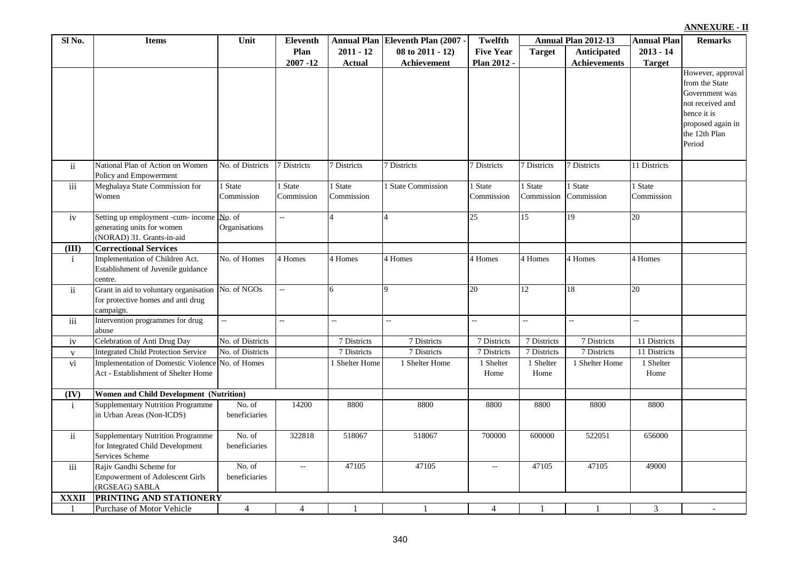| Sl No.           | <b>Items</b>                                                                                          | Unit                    | <b>Eleventh</b>     |                       | Annual Plan Eleventh Plan (2007 - | <b>Twelfth</b>            |                       | Annual Plan 2012-13   | <b>Annual Plan</b>    | <b>Remarks</b>                                                                                                                           |
|------------------|-------------------------------------------------------------------------------------------------------|-------------------------|---------------------|-----------------------|-----------------------------------|---------------------------|-----------------------|-----------------------|-----------------------|------------------------------------------------------------------------------------------------------------------------------------------|
|                  |                                                                                                       |                         | Plan                | $2011 - 12$           | 08 to 2011 - 12)                  | <b>Five Year</b>          | <b>Target</b>         | Anticipated           | $2013 - 14$           |                                                                                                                                          |
|                  |                                                                                                       |                         | $2007 - 12$         | <b>Actual</b>         | Achievement                       | Plan 2012                 |                       | <b>Achievements</b>   | <b>Target</b>         |                                                                                                                                          |
|                  |                                                                                                       |                         |                     |                       |                                   |                           |                       |                       |                       | However, approval<br>from the State<br>Government was<br>not received and<br>hence it is<br>proposed again in<br>the 12th Plan<br>Period |
| ii.              | National Plan of Action on Women<br>Policy and Empowerment                                            | No. of Districts        | 7 Districts         | 7 Districts           | 7 Districts                       | 7 Districts               | 7 Districts           | 7 Districts           | 11 Districts          |                                                                                                                                          |
| iii              | Meghalaya State Commission for<br>Women                                                               | 1 State<br>Commission   | State<br>Commission | I State<br>Commission | 1 State Commission                | 1 State<br>Commission     | 1 State<br>Commission | 1 State<br>Commission | 1 State<br>Commission |                                                                                                                                          |
| iv               | Setting up employment -cum- income No. of<br>generating units for women<br>(NORAD) 31. Grants-in-aid  | Organisations           | ä,                  |                       | $\overline{A}$                    | $\overline{25}$           | $\overline{15}$       | 19                    | 20                    |                                                                                                                                          |
| (III)            | <b>Correctional Services</b>                                                                          |                         |                     |                       |                                   |                           |                       |                       |                       |                                                                                                                                          |
| $\mathbf{i}$     | Implementation of Children Act.<br>Establishment of Juvenile guidance<br>centre.                      | No. of Homes            | 4 Homes             | 4 Homes               | 4 Homes                           | 4 Homes                   | 4 Homes               | 4 Homes               | 4 Homes               |                                                                                                                                          |
| $\mathbf{ii}$    | Grant in aid to voluntary organisation No. of NGOs<br>for protective homes and anti drug<br>campaign. |                         | Щ.                  | 6                     | 9                                 | 20                        | 12                    | 18                    | 20                    |                                                                                                                                          |
| iii              | Intervention programmes for drug<br>abuse                                                             |                         | L.                  | uu.                   | L.                                | цú.                       | u.                    | $\overline{a}$        | u.                    |                                                                                                                                          |
| iv               | Celebration of Anti Drug Day                                                                          | No. of Districts        |                     | 7 Districts           | 7 Districts                       | 7 Districts               | 7 Districts           | 7 Districts           | 11 Districts          |                                                                                                                                          |
| $\mathbf{V}$     | <b>Integrated Child Protection Service</b>                                                            | No. of Districts        |                     | 7 Districts           | 7 Districts                       | 7 Districts               | 7 Districts           | 7 Districts           | 11 Districts          |                                                                                                                                          |
| vi               | Implementation of Domestic Violence No. of Homes<br>Act - Establishment of Shelter Home               |                         |                     | 1 Shelter Home        | 1 Shelter Home                    | 1 Shelter<br>Home         | 1 Shelter<br>Home     | 1 Shelter Home        | 1 Shelter<br>Home     |                                                                                                                                          |
| (IV)             | <b>Women and Child Development (Nutrition)</b>                                                        |                         |                     |                       |                                   |                           |                       |                       |                       |                                                                                                                                          |
| $\mathbf{i}$     | <b>Supplementary Nutrition Programme</b><br>in Urban Areas (Non-ICDS)                                 | No. of<br>beneficiaries | 14200               | 8800                  | 8800                              | 8800                      | 8800                  | 8800                  | 8800                  |                                                                                                                                          |
| $\mathbf{ii}$    | <b>Supplementary Nutrition Programme</b><br>for Integrated Child Development<br>Services Scheme       | No. of<br>beneficiaries | 322818              | 518067                | 518067                            | 700000                    | 600000                | 522051                | 656000                |                                                                                                                                          |
| $\overline{iii}$ | Rajiv Gandhi Scheme for<br><b>Empowerment of Adolescent Girls</b><br>(RGSEAG) SABLA                   | No. of<br>beneficiaries | $\omega_{\rm m}$    | 47105                 | 47105                             | $\mathbb{L}^{\mathbb{L}}$ | 47105                 | 47105                 | 49000                 |                                                                                                                                          |
| <b>XXXII</b>     | PRINTING AND STATIONERY                                                                               |                         |                     |                       |                                   |                           |                       |                       |                       |                                                                                                                                          |
|                  | Purchase of Motor Vehicle                                                                             | $\overline{4}$          | $\overline{4}$      |                       | -1                                | $\overline{4}$            |                       |                       | 3                     |                                                                                                                                          |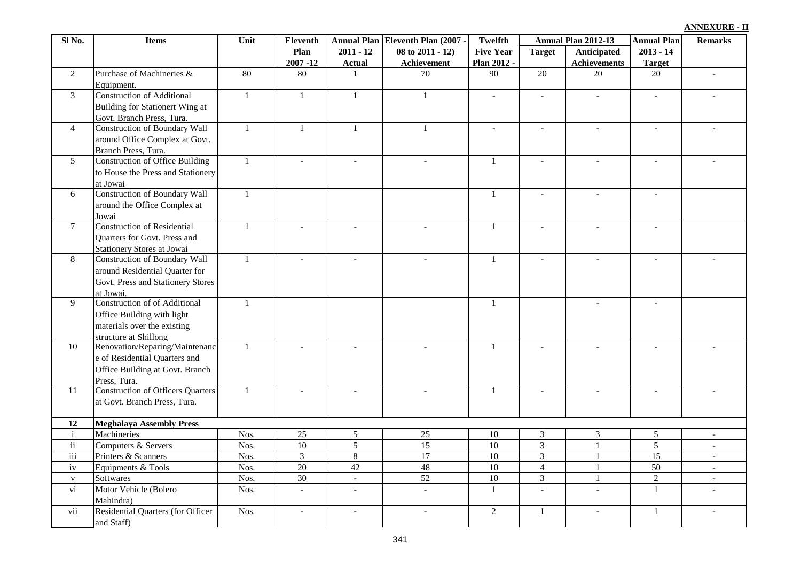| Sl No.                   | <b>Items</b>                                            | Unit         | <b>Eleventh</b>          |                          | Annual Plan Eleventh Plan (2007 - | Twelfth                  |                          | Annual Plan 2012-13      | <b>Annual Plan</b>       | <b>Remarks</b>           |
|--------------------------|---------------------------------------------------------|--------------|--------------------------|--------------------------|-----------------------------------|--------------------------|--------------------------|--------------------------|--------------------------|--------------------------|
|                          |                                                         |              | Plan                     | $2011 - 12$              | 08 to 2011 - 12)                  | <b>Five Year</b>         | <b>Target</b>            | Anticipated              | $2013 - 14$              |                          |
|                          |                                                         |              | $2007 - 12$              | <b>Actual</b>            | Achievement                       | Plan 2012 -              |                          | <b>Achievements</b>      | <b>Target</b>            |                          |
| 2                        | Purchase of Machineries &                               | 80           | 80                       | $\mathbf{1}$             | 70                                | 90                       | 20                       | 20                       | 20                       |                          |
|                          | Equipment.                                              |              |                          |                          |                                   |                          |                          |                          |                          |                          |
| $\mathfrak{Z}$           | <b>Construction of Additional</b>                       | $\mathbf{1}$ | $\mathbf{1}$             | $\mathbf{1}$             | $\mathbf{1}$                      | $\blacksquare$           | $\overline{a}$           |                          | $\blacksquare$           |                          |
|                          | Building for Stationert Wing at                         |              |                          |                          |                                   |                          |                          |                          |                          |                          |
|                          | Govt. Branch Press, Tura.                               |              |                          |                          |                                   |                          |                          |                          |                          |                          |
| $\overline{4}$           | <b>Construction of Boundary Wall</b>                    | $\mathbf{1}$ | $\mathbf{1}$             | $\mathbf{1}$             | $\mathbf{1}$                      | $\overline{\phantom{a}}$ | $\overline{\phantom{a}}$ | $\overline{\phantom{a}}$ | $\overline{\phantom{a}}$ |                          |
|                          | around Office Complex at Govt.                          |              |                          |                          |                                   |                          |                          |                          |                          |                          |
|                          | Branch Press, Tura.                                     |              |                          |                          |                                   |                          |                          |                          |                          |                          |
| $5\overline{)}$          | <b>Construction of Office Building</b>                  | $\mathbf{1}$ | $\overline{a}$           |                          | $\overline{a}$                    | $\mathbf{1}$             |                          |                          | $\equiv$                 |                          |
|                          | to House the Press and Stationery                       |              |                          |                          |                                   |                          |                          |                          |                          |                          |
|                          | at Jowai                                                |              |                          |                          |                                   |                          |                          |                          |                          |                          |
| 6                        | <b>Construction of Boundary Wall</b>                    | $\mathbf{1}$ |                          |                          |                                   | $\overline{1}$           | $\overline{a}$           | $\overline{a}$           | $\overline{\phantom{a}}$ |                          |
|                          | around the Office Complex at                            |              |                          |                          |                                   |                          |                          |                          |                          |                          |
|                          | Jowai                                                   |              |                          |                          |                                   |                          |                          |                          |                          |                          |
| $\tau$                   | <b>Construction of Residential</b>                      | $\mathbf{1}$ |                          |                          | $\blacksquare$                    | 1                        | $\overline{a}$           | $\overline{a}$           | $\overline{a}$           |                          |
|                          | <b>Ouarters for Govt. Press and</b>                     |              |                          |                          |                                   |                          |                          |                          |                          |                          |
|                          | <b>Stationery Stores at Jowai</b>                       |              |                          |                          |                                   |                          |                          |                          |                          |                          |
| $\,8\,$                  | <b>Construction of Boundary Wall</b>                    | $\mathbf{1}$ | $\overline{a}$           |                          | $\blacksquare$                    | $\mathbf{1}$             |                          |                          | $\overline{\phantom{a}}$ |                          |
|                          | around Residential Quarter for                          |              |                          |                          |                                   |                          |                          |                          |                          |                          |
|                          | Govt. Press and Stationery Stores                       |              |                          |                          |                                   |                          |                          |                          |                          |                          |
|                          | at Jowai.                                               |              |                          |                          |                                   |                          |                          |                          |                          |                          |
| 9                        | <b>Construction of of Additional</b>                    | $\mathbf{1}$ |                          |                          |                                   | $\mathbf{1}$             |                          |                          |                          |                          |
|                          | Office Building with light                              |              |                          |                          |                                   |                          |                          |                          |                          |                          |
|                          | materials over the existing                             |              |                          |                          |                                   |                          |                          |                          |                          |                          |
| 10                       | structure at Shillong<br>Renovation/Reparing/Maintenanc | $\mathbf{1}$ | $\sim$                   |                          | $\sim$                            | $\mathbf{1}$             |                          |                          |                          |                          |
|                          | e of Residential Quarters and                           |              |                          |                          |                                   |                          |                          |                          |                          |                          |
|                          |                                                         |              |                          |                          |                                   |                          |                          |                          |                          |                          |
|                          | Office Building at Govt. Branch<br>Press, Tura.         |              |                          |                          |                                   |                          |                          |                          |                          |                          |
| 11                       | <b>Construction of Officers Quarters</b>                | $\mathbf{1}$ | $\overline{a}$           |                          | $\omega$                          | $\mathbf{1}$             |                          | $\sim$                   | $\overline{a}$           |                          |
|                          | at Govt. Branch Press, Tura.                            |              |                          |                          |                                   |                          |                          |                          |                          |                          |
|                          |                                                         |              |                          |                          |                                   |                          |                          |                          |                          |                          |
| 12                       | <b>Meghalaya Assembly Press</b>                         |              |                          |                          |                                   |                          |                          |                          |                          |                          |
| $\rm i$                  | Machineries                                             | Nos.         | $\overline{25}$          | $\overline{5}$           | $\overline{25}$                   | $\overline{10}$          | $\overline{3}$           | $\overline{3}$           | 5                        | $\blacksquare$           |
| $\rm ii$                 | Computers & Servers                                     | Nos.         | 10                       | $\overline{5}$           | $\overline{15}$                   | $\overline{10}$          | $\overline{3}$           |                          | $\overline{5}$           | $\sim$                   |
| iii                      | Printers & Scanners                                     | Nos.         | $\mathfrak{Z}$           | $8\,$                    | $\overline{17}$                   | $\overline{10}$          | $\overline{3}$           |                          | 15                       | $\sim$                   |
| iv                       | Equipments & Tools                                      | Nos.         | $\overline{20}$          | 42                       | 48                                | $\overline{10}$          | $\overline{4}$           | $\mathbf{1}$             | $\overline{50}$          | $\sim$                   |
| $\mathbf{V}$             | <b>Softwares</b>                                        | Nos.         | $\overline{30}$          | $\overline{\phantom{a}}$ | 52                                | $\overline{10}$          | $\overline{3}$           |                          | $\overline{2}$           | $\overline{\phantom{a}}$ |
| $\overline{\mathbf{vi}}$ | Motor Vehicle (Bolero                                   | Nos.         | $\overline{\phantom{a}}$ | $\overline{\phantom{a}}$ | $\overline{\phantom{a}}$          | $\mathbf{1}$             | $\blacksquare$           | $\blacksquare$           | $\mathbf{1}$             |                          |
|                          | Mahindra)                                               |              |                          |                          |                                   |                          |                          |                          |                          |                          |
| vii                      | Residential Quarters (for Officer                       | Nos.         | $\overline{a}$           |                          | $\sim$                            | $\overline{2}$           | $\mathbf{1}$             |                          | $\mathbf{1}$             |                          |
|                          | and Staff)                                              |              |                          |                          |                                   |                          |                          |                          |                          |                          |